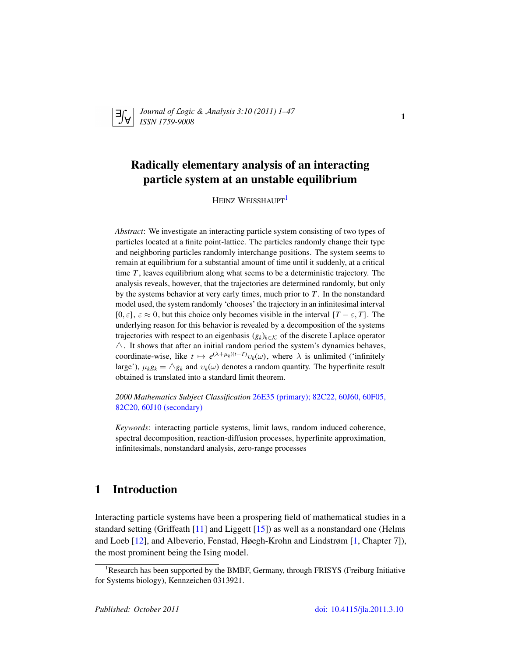

*Journal of* L*ogic &* A*nalysis 3:10 (2011) 1–47 ISSN 1759-9008* 1

# Radically elementary analysis of an interacting particle system at an unstable equilibrium

HEINZ WEISSHAUPT<sup>[1](#page-0-0)</sup>

*Abstract*: We investigate an interacting particle system consisting of two types of particles located at a finite point-lattice. The particles randomly change their type and neighboring particles randomly interchange positions. The system seems to remain at equilibrium for a substantial amount of time until it suddenly, at a critical time *T* , leaves equilibrium along what seems to be a deterministic trajectory. The analysis reveals, however, that the trajectories are determined randomly, but only by the systems behavior at very early times, much prior to *T* . In the nonstandard model used, the system randomly 'chooses' the trajectory in an infinitesimal interval [0,  $\varepsilon$ ],  $\varepsilon \approx 0$ , but this choice only becomes visible in the interval  $[T - \varepsilon, T]$ . The underlying reason for this behavior is revealed by a decomposition of the systems trajectories with respect to an eigenbasis  $(g_k)_{k \in \mathcal{K}}$  of the discrete Laplace operator  $\triangle$ . It shows that after an initial random period the system's dynamics behaves, coordinate-wise, like  $t \mapsto e^{(\lambda + \mu_k)(t-T)} v_k(\omega)$ , where  $\lambda$  is unlimited ('infinitely large'),  $\mu_k g_k = \Delta g_k$  and  $v_k(\omega)$  denotes a random quantity. The hyperfinite result obtained is translated into a standard limit theorem.

*2000 Mathematics Subject Classification* [26E35 \(primary\); 82C22, 60J60, 60F05,](http://www.ams.org/mathscinet/search/mscdoc.html?code=26E35,(82C22, 60J60, 60F05, 82C20, 60J10)) [82C20, 60J10 \(secondary\)](http://www.ams.org/mathscinet/search/mscdoc.html?code=26E35,(82C22, 60J60, 60F05, 82C20, 60J10))

*Keywords*: interacting particle systems, limit laws, random induced coherence, spectral decomposition, reaction-diffusion processes, hyperfinite approximation, infinitesimals, nonstandard analysis, zero-range processes

## 1 Introduction

Interacting particle systems have been a prospering field of mathematical studies in a standard setting (Griffeath [\[11\]](#page-45-0) and Liggett [\[15\]](#page-45-1)) as well as a nonstandard one (Helms and Loeb [\[12\]](#page-45-2), and Albeverio, Fenstad, Høegh-Krohn and Lindstrøm [\[1,](#page-44-0) Chapter 7]), the most prominent being the Ising model.

<span id="page-0-0"></span><sup>&</sup>lt;sup>1</sup>Research has been supported by the BMBF, Germany, through FRISYS (Freiburg Initiative for Systems biology), Kennzeichen 0313921.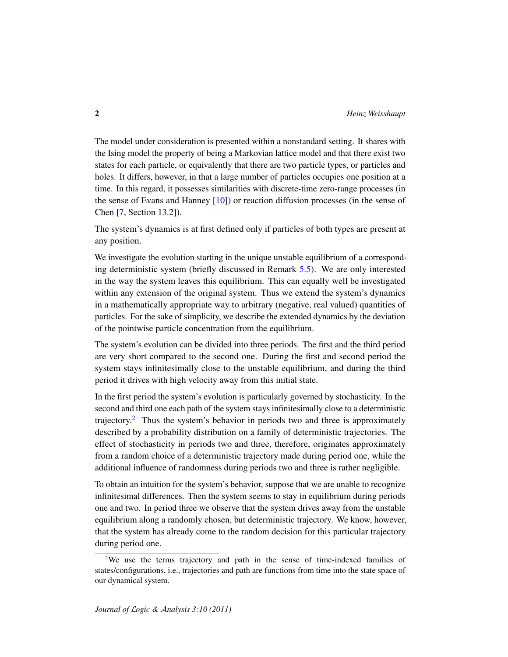The model under consideration is presented within a nonstandard setting. It shares with the Ising model the property of being a Markovian lattice model and that there exist two states for each particle, or equivalently that there are two particle types, or particles and holes. It differs, however, in that a large number of particles occupies one position at a time. In this regard, it possesses similarities with discrete-time zero-range processes (in the sense of Evans and Hanney [\[10\]](#page-45-3)) or reaction diffusion processes (in the sense of Chen [\[7,](#page-44-1) Section 13.2]).

The system's dynamics is at first defined only if particles of both types are present at any position.

We investigate the evolution starting in the unique unstable equilibrium of a corresponding deterministic system (briefly discussed in Remark [5.5\)](#page-19-0). We are only interested in the way the system leaves this equilibrium. This can equally well be investigated within any extension of the original system. Thus we extend the system's dynamics in a mathematically appropriate way to arbitrary (negative, real valued) quantities of particles. For the sake of simplicity, we describe the extended dynamics by the deviation of the pointwise particle concentration from the equilibrium.

The system's evolution can be divided into three periods. The first and the third period are very short compared to the second one. During the first and second period the system stays infinitesimally close to the unstable equilibrium, and during the third period it drives with high velocity away from this initial state.

In the first period the system's evolution is particularly governed by stochasticity. In the second and third one each path of the system stays infinitesimally close to a deterministic trajectory.<sup>[2](#page-1-0)</sup> Thus the system's behavior in periods two and three is approximately described by a probability distribution on a family of deterministic trajectories. The effect of stochasticity in periods two and three, therefore, originates approximately from a random choice of a deterministic trajectory made during period one, while the additional influence of randomness during periods two and three is rather negligible.

To obtain an intuition for the system's behavior, suppose that we are unable to recognize infinitesimal differences. Then the system seems to stay in equilibrium during periods one and two. In period three we observe that the system drives away from the unstable equilibrium along a randomly chosen, but deterministic trajectory. We know, however, that the system has already come to the random decision for this particular trajectory during period one.

<span id="page-1-0"></span><sup>2</sup>We use the terms trajectory and path in the sense of time-indexed families of states/configurations, i.e., trajectories and path are functions from time into the state space of our dynamical system.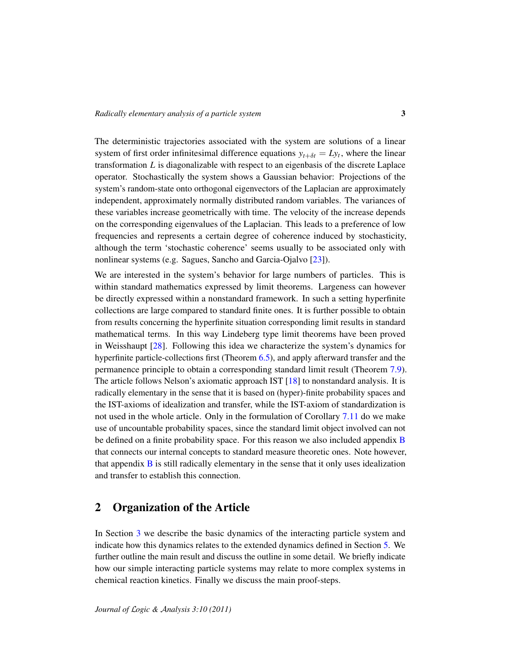The deterministic trajectories associated with the system are solutions of a linear system of first order infinitesimal difference equations  $y_{t+\delta t} = Ly_t$ , where the linear transformation *L* is diagonalizable with respect to an eigenbasis of the discrete Laplace operator. Stochastically the system shows a Gaussian behavior: Projections of the system's random-state onto orthogonal eigenvectors of the Laplacian are approximately independent, approximately normally distributed random variables. The variances of these variables increase geometrically with time. The velocity of the increase depends on the corresponding eigenvalues of the Laplacian. This leads to a preference of low frequencies and represents a certain degree of coherence induced by stochasticity, although the term 'stochastic coherence' seems usually to be associated only with nonlinear systems (e.g. Sagues, Sancho and Garcia-Ojalvo [\[23\]](#page-45-4)).

We are interested in the system's behavior for large numbers of particles. This is within standard mathematics expressed by limit theorems. Largeness can however be directly expressed within a nonstandard framework. In such a setting hyperfinite collections are large compared to standard finite ones. It is further possible to obtain from results concerning the hyperfinite situation corresponding limit results in standard mathematical terms. In this way Lindeberg type limit theorems have been proved in Weisshaupt [\[28\]](#page-46-0). Following this idea we characterize the system's dynamics for hyperfinite particle-collections first (Theorem [6.5\)](#page-25-0), and apply afterward transfer and the permanence principle to obtain a corresponding standard limit result (Theorem [7.9\)](#page-34-0). The article follows Nelson's axiomatic approach IST [\[18\]](#page-45-5) to nonstandard analysis. It is radically elementary in the sense that it is based on (hyper)-finite probability spaces and the IST-axioms of idealization and transfer, while the IST-axiom of standardization is not used in the whole article. Only in the formulation of Corollary [7.11](#page-35-0) do we make use of uncountable probability spaces, since the standard limit object involved can not be defined on a finite probability space. For this reason we also included appendix [B](#page-41-0) that connects our internal concepts to standard measure theoretic ones. Note however, that appendix  $\bf{B}$  $\bf{B}$  $\bf{B}$  is still radically elementary in the sense that it only uses idealization and transfer to establish this connection.

### 2 Organization of the Article

In Section [3](#page-4-0) we describe the basic dynamics of the interacting particle system and indicate how this dynamics relates to the extended dynamics defined in Section [5.](#page-17-0) We further outline the main result and discuss the outline in some detail. We briefly indicate how our simple interacting particle systems may relate to more complex systems in chemical reaction kinetics. Finally we discuss the main proof-steps.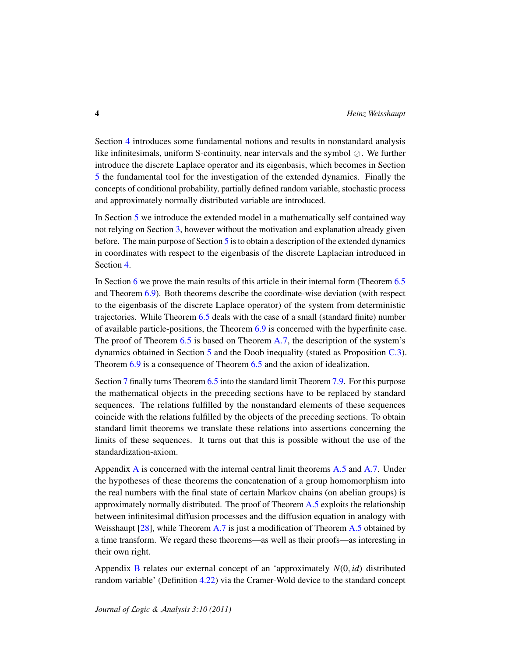Section [4](#page-11-0) introduces some fundamental notions and results in nonstandard analysis like infinitesimals, uniform S-continuity, near intervals and the symbol  $\oslash$ . We further introduce the discrete Laplace operator and its eigenbasis, which becomes in Section [5](#page-17-0) the fundamental tool for the investigation of the extended dynamics. Finally the concepts of conditional probability, partially defined random variable, stochastic process and approximately normally distributed variable are introduced.

In Section [5](#page-17-0) we introduce the extended model in a mathematically self contained way not relying on Section [3,](#page-4-0) however without the motivation and explanation already given before. The main purpose of Section [5](#page-17-0) is to obtain a description of the extended dynamics in coordinates with respect to the eigenbasis of the discrete Laplacian introduced in Section [4.](#page-11-0)

In Section [6](#page-24-0) we prove the main results of this article in their internal form (Theorem [6.5](#page-25-0) and Theorem [6.9\)](#page-27-0). Both theorems describe the coordinate-wise deviation (with respect to the eigenbasis of the discrete Laplace operator) of the system from deterministic trajectories. While Theorem [6.5](#page-25-0) deals with the case of a small (standard finite) number of available particle-positions, the Theorem [6.9](#page-27-0) is concerned with the hyperfinite case. The proof of Theorem [6.5](#page-25-0) is based on Theorem [A.7,](#page-40-0) the description of the system's dynamics obtained in Section [5](#page-17-0) and the Doob inequality (stated as Proposition [C.3\)](#page-44-2). Theorem [6.9](#page-27-0) is a consequence of Theorem [6.5](#page-25-0) and the axion of idealization.

Section [7](#page-32-0) finally turns Theorem [6.5](#page-25-0) into the standard limit Theorem [7.9.](#page-34-0) For this purpose the mathematical objects in the preceding sections have to be replaced by standard sequences. The relations fulfilled by the nonstandard elements of these sequences coincide with the relations fulfilled by the objects of the preceding sections. To obtain standard limit theorems we translate these relations into assertions concerning the limits of these sequences. It turns out that this is possible without the use of the standardization-axiom.

Appendix [A](#page-36-0) is concerned with the internal central limit theorems [A.5](#page-39-0) and [A.7.](#page-40-0) Under the hypotheses of these theorems the concatenation of a group homomorphism into the real numbers with the final state of certain Markov chains (on abelian groups) is approximately normally distributed. The proof of Theorem [A.5](#page-39-0) exploits the relationship between infinitesimal diffusion processes and the diffusion equation in analogy with Weisshaupt [\[28\]](#page-46-0), while Theorem [A.7](#page-40-0) is just a modification of Theorem [A.5](#page-39-0) obtained by a time transform. We regard these theorems—as well as their proofs—as interesting in their own right.

Appendix [B](#page-41-0) relates our external concept of an 'approximately *N*(0, *id*) distributed random variable' (Definition [4.22\)](#page-16-0) via the Cramer-Wold device to the standard concept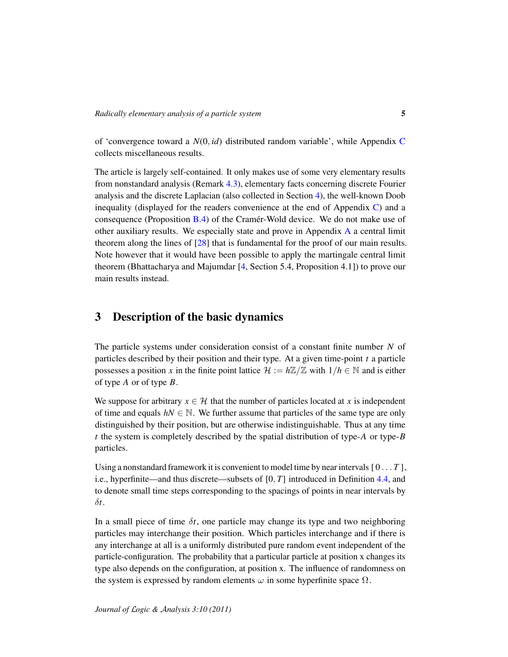of 'convergence toward a *N*(0, *id*) distributed random variable', while Appendix [C](#page-43-0) collects miscellaneous results.

The article is largely self-contained. It only makes use of some very elementary results from nonstandard analysis (Remark [4.3\)](#page-12-0), elementary facts concerning discrete Fourier analysis and the discrete Laplacian (also collected in Section [4\)](#page-11-0), the well-known Doob inequality (displayed for the readers convenience at the end of Appendix [C\)](#page-43-0) and a consequence (Proposition  $B.4$ ) of the Cramer-Wold device. We do not make use of other auxiliary results. We especially state and prove in Appendix [A](#page-36-0) a central limit theorem along the lines of [\[28\]](#page-46-0) that is fundamental for the proof of our main results. Note however that it would have been possible to apply the martingale central limit theorem (Bhattacharya and Majumdar [\[4,](#page-44-3) Section 5.4, Proposition 4.1]) to prove our main results instead.

## <span id="page-4-0"></span>3 Description of the basic dynamics

The particle systems under consideration consist of a constant finite number *N* of particles described by their position and their type. At a given time-point *t* a particle possesses a position *x* in the finite point lattice  $\mathcal{H} := h\mathbb{Z}/\mathbb{Z}$  with  $1/h \in \mathbb{N}$  and is either of type *A* or of type *B*.

We suppose for arbitrary  $x \in \mathcal{H}$  that the number of particles located at *x* is independent of time and equals  $hN \in \mathbb{N}$ . We further assume that particles of the same type are only distinguished by their position, but are otherwise indistinguishable. Thus at any time *t* the system is completely described by the spatial distribution of type-*A* or type-*B* particles.

Using a nonstandard framework it is convenient to model time by near intervals  $[0 \dots T]$ , i.e., hyperfinite—and thus discrete—subsets of [0, *T*] introduced in Definition [4.4,](#page-12-1) and to denote small time steps corresponding to the spacings of points in near intervals by δ*t*.

In a small piece of time  $\delta t$ , one particle may change its type and two neighboring particles may interchange their position. Which particles interchange and if there is any interchange at all is a uniformly distributed pure random event independent of the particle-configuration. The probability that a particular particle at position x changes its type also depends on the configuration, at position x. The influence of randomness on the system is expressed by random elements  $\omega$  in some hyperfinite space  $\Omega$ .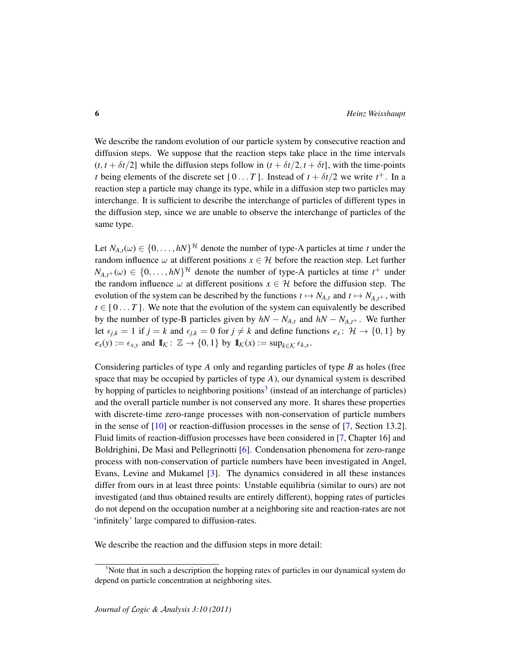We describe the random evolution of our particle system by consecutive reaction and diffusion steps. We suppose that the reaction steps take place in the time intervals  $(t, t + \delta t/2)$  while the diffusion steps follow in  $(t + \delta t/2, t + \delta t)$ , with the time-points *t* being elements of the discrete set  $[0...T]$ . Instead of  $t + \delta t/2$  we write  $t^+$ . In a reaction step a particle may change its type, while in a diffusion step two particles may interchange. It is sufficient to describe the interchange of particles of different types in the diffusion step, since we are unable to observe the interchange of particles of the same type.

Let  $N_{A,t}(\omega) \in \{0, \ldots, hN\}^{\mathcal{H}}$  denote the number of type-A particles at time *t* under the random influence  $\omega$  at different positions  $x \in \mathcal{H}$  before the reaction step. Let further  $N_{A,t^+}(\omega) \in \{0, \ldots, hN\}^{\mathcal{H}}$  denote the number of type-A particles at time  $t^+$  under the random influence  $\omega$  at different positions  $x \in \mathcal{H}$  before the diffusion step. The evolution of the system can be described by the functions  $t \mapsto N_{A,t}$  and  $t \mapsto N_{A,t^+}$ , with  $t \in [0...T]$ . We note that the evolution of the system can equivalently be described by the number of type-B particles given by  $hN - N_{A,t}$  and  $hN - N_{A,t+}$ . We further let  $\epsilon_{i,k} = 1$  if  $j = k$  and  $\epsilon_{i,k} = 0$  for  $j \neq k$  and define functions  $e_x : \mathcal{H} \to \{0, 1\}$  by  $e_x(y) := \epsilon_{x,y}$  and  $\mathbb{I}_\mathcal{K} : \mathbb{Z} \to \{0,1\}$  by  $\mathbb{I}_\mathcal{K}(x) := \sup_{k \in \mathcal{K}} \epsilon_{k,x}$ .

Considering particles of type *A* only and regarding particles of type *B* as holes (free space that may be occupied by particles of type *A*), our dynamical system is described by hopping of particles to neighboring positions<sup>[3](#page-5-0)</sup> (instead of an interchange of particles) and the overall particle number is not conserved any more. It shares these properties with discrete-time zero-range processes with non-conservation of particle numbers in the sense of  $[10]$  or reaction-diffusion processes in the sense of  $[7,$  Section 13.2]. Fluid limits of reaction-diffusion processes have been considered in [\[7,](#page-44-1) Chapter 16] and Boldrighini, De Masi and Pellegrinotti [\[6\]](#page-44-4). Condensation phenomena for zero-range process with non-conservation of particle numbers have been investigated in Angel, Evans, Levine and Mukamel [\[3\]](#page-44-5). The dynamics considered in all these instances differ from ours in at least three points: Unstable equilibria (similar to ours) are not investigated (and thus obtained results are entirely different), hopping rates of particles do not depend on the occupation number at a neighboring site and reaction-rates are not 'infinitely' large compared to diffusion-rates.

We describe the reaction and the diffusion steps in more detail:

<span id="page-5-0"></span><sup>&</sup>lt;sup>3</sup>Note that in such a description the hopping rates of particles in our dynamical system do depend on particle concentration at neighboring sites.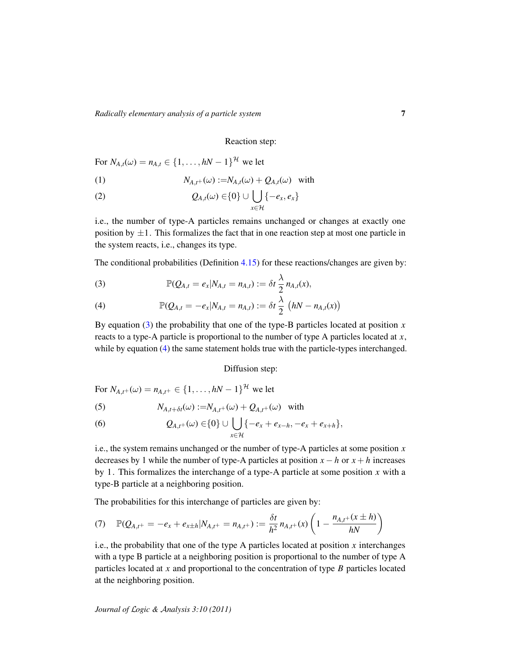*Radically elementary analysis of a particle system* 7

#### Reaction step:

For  $N_{A,t}(\omega) = n_{A,t} \in \{1, ..., hN - 1\}^{\mathcal{H}}$  we let

(1) 
$$
N_{A,t^+}(\omega) := N_{A,t}(\omega) + Q_{A,t}(\omega) \text{ with}
$$

(2) 
$$
Q_{A,t}(\omega) \in \{0\} \cup \bigcup_{x \in \mathcal{H}} \{-e_x, e_x\}
$$

i.e., the number of type-A particles remains unchanged or changes at exactly one position by  $\pm 1$ . This formalizes the fact that in one reaction step at most one particle in the system reacts, i.e., changes its type.

The conditional probabilities (Definition [4.15\)](#page-15-0) for these reactions/changes are given by:

<span id="page-6-0"></span>(3) 
$$
\mathbb{P}(Q_{A,t} = e_x | N_{A,t} = n_{A,t}) := \delta t \frac{\lambda}{2} n_{A,t}(x),
$$

<span id="page-6-1"></span>(4) 
$$
\mathbb{P}(Q_{A,t} = -e_x | N_{A,t} = n_{A,t}) := \delta t \frac{\lambda}{2} (hN - n_{A,t}(x))
$$

By equation  $(3)$  the probability that one of the type-B particles located at position  $x$ reacts to a type-A particle is proportional to the number of type A particles located at *x*, while by equation [\(4\)](#page-6-1) the same statement holds true with the particle-types interchanged.

#### Diffusion step:

For  $N_{A,t^+}(\omega) = n_{A,t^+} \in \{1, ..., hN - 1\}^{\mathcal{H}}$  we let

(5) 
$$
N_{A,t+\delta t}(\omega) := N_{A,t^+}(\omega) + Q_{A,t^+}(\omega) \text{ with}
$$

(6) 
$$
Q_{A,t^+}(\omega) \in \{0\} \cup \bigcup_{x \in \mathcal{H}} \{-e_x + e_{x-h}, -e_x + e_{x+h}\},
$$

i.e., the system remains unchanged or the number of type-A particles at some position *x* decreases by 1 while the number of type-A particles at position  $x - h$  or  $x + h$  increases by 1. This formalizes the interchange of a type-A particle at some position *x* with a type-B particle at a neighboring position.

The probabilities for this interchange of particles are given by:

<span id="page-6-2"></span>
$$
(7) \quad \mathbb{P}(Q_{A,t^{+}} = -e_x + e_{x \pm h} | N_{A,t^{+}} = n_{A,t^{+}}) := \frac{\delta t}{h^2} n_{A,t^{+}}(x) \left( 1 - \frac{n_{A,t^{+}}(x \pm h)}{hN} \right)
$$

i.e., the probability that one of the type A particles located at position *x* interchanges with a type B particle at a neighboring position is proportional to the number of type A particles located at *x* and proportional to the concentration of type *B* particles located at the neighboring position.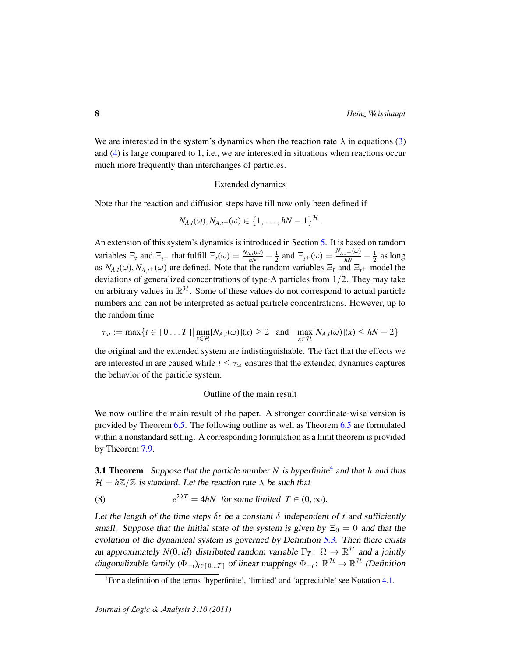We are interested in the system's dynamics when the reaction rate  $\lambda$  in equations [\(3\)](#page-6-0) and [\(4\)](#page-6-1) is large compared to 1, i.e., we are interested in situations when reactions occur much more frequently than interchanges of particles.

#### Extended dynamics

Note that the reaction and diffusion steps have till now only been defined if

$$
N_{A,t}(\omega), N_{A,t^+}(\omega) \in \{1, \ldots, hN-1\}^{\mathcal{H}}.
$$

An extension of this system's dynamics is introduced in Section [5.](#page-17-0) It is based on random variables  $\Xi_t$  and  $\Xi_{t+}$  that fulfill  $\Xi_t(\omega) = \frac{N_{A,t}(\omega)}{hN} - \frac{1}{2}$  $\frac{1}{2}$  and  $\Xi_{t+}(\omega) = \frac{N_{A,t+}(\omega)}{hN} - \frac{1}{2}$  $\frac{1}{2}$  as long as  $N_{A,t}(\omega)$ ,  $N_{A,t+1}(\omega)$  are defined. Note that the random variables  $\Xi_t$  and  $\Xi_{t+1}$  model the deviations of generalized concentrations of type-A particles from 1/2. They may take on arbitrary values in  $\mathbb{R}^{\mathcal{H}}$ . Some of these values do not correspond to actual particle numbers and can not be interpreted as actual particle concentrations. However, up to the random time

$$
\tau_{\omega} := \max\{t \in [0 \dots T] | \min_{x \in \mathcal{H}} [N_{A,t}(\omega)](x) \ge 2 \text{ and } \max_{x \in \mathcal{H}} [N_{A,t}(\omega)](x) \le hN - 2\}
$$

the original and the extended system are indistinguishable. The fact that the effects we are interested in are caused while  $t \leq \tau_{\omega}$  ensures that the extended dynamics captures the behavior of the particle system.

#### Outline of the main result

We now outline the main result of the paper. A stronger coordinate-wise version is provided by Theorem [6.5.](#page-25-0) The following outline as well as Theorem [6.5](#page-25-0) are formulated within a nonstandard setting. A corresponding formulation as a limit theorem is provided by Theorem [7.9.](#page-34-0)

<span id="page-7-1"></span>**3.1 Theorem** Suppose that the particle number N is hyperfinite<sup>[4](#page-7-0)</sup> and that h and thus  $\mathcal{H} = h\mathbb{Z}/\mathbb{Z}$  is standard. Let the reaction rate  $\lambda$  be such that

<span id="page-7-2"></span>(8) 
$$
e^{2\lambda T} = 4hN \text{ for some limited } T \in (0, \infty).
$$

Let the length of the time steps  $\delta t$  be a constant  $\delta$  independent of t and sufficiently small. Suppose that the initial state of the system is given by  $\Xi_0 = 0$  and that the evolution of the dynamical system is governed by Definition [5.3.](#page-17-1) Then there exists an approximately  $N(0, id)$  distributed random variable  $\Gamma_T: \Omega \to \mathbb{R}^{\mathcal{H}}$  and a jointly diagonalizable family  $(\Phi_{-t})_{t \in [0...T]}$  of linear mappings  $\Phi_{-t}$ :  $\mathbb{R}^{\mathcal{H}} \to \mathbb{R}^{\mathcal{H}}$  (Definition

<span id="page-7-0"></span><sup>4</sup>For a definition of the terms 'hyperfinite', 'limited' and 'appreciable' see Notation [4.1.](#page-12-2)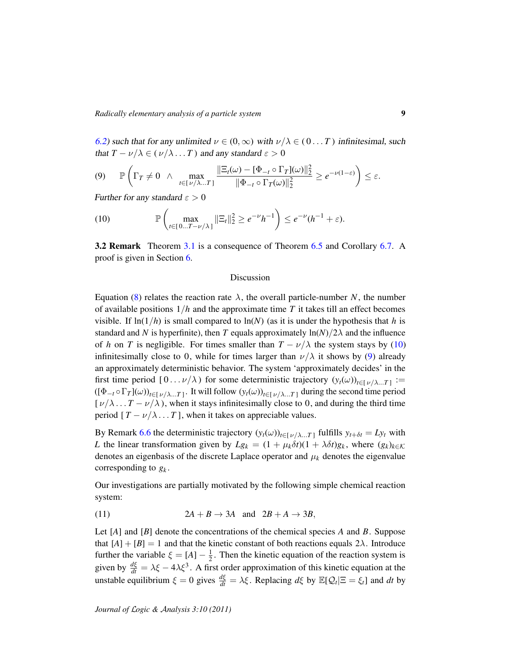[6.2\)](#page-24-1) such that for any unlimited  $\nu \in (0, \infty)$  with  $\nu/\lambda \in (0...T)$  infinitesimal, such that  $T - \nu/\lambda \in (\nu/\lambda ... T)$  and any standard  $\varepsilon > 0$ 

<span id="page-8-1"></span>
$$
(9) \qquad \mathbb{P}\left(\Gamma_T \neq 0 \quad \wedge \quad \max_{t \in [\nu/\lambda \dots T]} \frac{\|\Xi_t(\omega) - [\Phi_{-t} \circ \Gamma_T](\omega)\|_2^2}{\|\Phi_{-t} \circ \Gamma_T(\omega)\|_2^2} \geq e^{-\nu(1-\varepsilon)}\right) \leq \varepsilon.
$$

Further for any standard  $\varepsilon > 0$ 

<span id="page-8-0"></span>(10) 
$$
\mathbb{P}\left(\max_{t\in[0...T-\nu/\lambda]}||\Xi_t||_2^2\geq e^{-\nu}h^{-1}\right)\leq e^{-\nu}(h^{-1}+\varepsilon).
$$

**3.2 Remark** Theorem [3.1](#page-7-1) is a consequence of Theorem [6.5](#page-25-0) and Corollary [6.7.](#page-26-0) A proof is given in Section [6.](#page-24-0)

#### Discussion

Equation [\(8\)](#page-7-2) relates the reaction rate  $\lambda$ , the overall particle-number *N*, the number of available positions  $1/h$  and the approximate time T it takes till an effect becomes visible. If  $\ln(1/h)$  is small compared to  $\ln(N)$  (as it is under the hypothesis that h is standard and *N* is hyperfinite), then *T* equals approximately  $\ln(N)/2\lambda$  and the influence of *h* on *T* is negligible. For times smaller than  $T - \nu/\lambda$  the system stays by [\(10\)](#page-8-0) infinitesimally close to 0, while for times larger than  $\nu/\lambda$  it shows by [\(9\)](#page-8-1) already an approximately deterministic behavior. The system 'approximately decides' in the first time period  $[0 \dots \nu/\lambda)$  for some deterministic trajectory  $(y_t(\omega))_{t \in [\nu/\lambda \dots T]} :=$  $((\Phi_{-t} \circ \Gamma_T](\omega))_{t \in [\nu/\lambda...T]}$ . It will follow  $(y_t(\omega))_{t \in [\nu/\lambda...T]}$  during the second time period  $[\nu/\lambda \dots T - \nu/\lambda)$ , when it stays infinitesimally close to 0, and during the third time period  $[T - \nu/\lambda \dots T]$ , when it takes on appreciable values.

By Remark [6.6](#page-26-1) the deterministic trajectory  $(y_t(\omega))_{t \in [\nu/\lambda \dots T]}$  fulfills  $y_{t+\delta t} = Ly_t$  with *L* the linear transformation given by  $Lg_k = (1 + \mu_k \delta t)(1 + \lambda \delta t)g_k$ , where  $(g_k)_{k \in \mathcal{K}}$ denotes an eigenbasis of the discrete Laplace operator and  $\mu_k$  denotes the eigenvalue corresponding to *g<sup>k</sup>* .

Our investigations are partially motivated by the following simple chemical reaction system:

<span id="page-8-2"></span>(11) 
$$
2A + B \rightarrow 3A \text{ and } 2B + A \rightarrow 3B,
$$

Let [*A*] and [*B*] denote the concentrations of the chemical species *A* and *B*. Suppose that  $[A] + [B] = 1$  and that the kinetic constant of both reactions equals  $2\lambda$ . Introduce further the variable  $\xi = [A] - \frac{1}{2}$  $\frac{1}{2}$ . Then the kinetic equation of the reaction system is given by  $\frac{d\xi}{dt} = \lambda \xi - 4\lambda \xi^3$ . A first order approximation of this kinetic equation at the unstable equilibrium  $\xi = 0$  gives  $\frac{d\xi}{dt} = \lambda \xi$ . Replacing  $d\xi$  by  $\mathbb{E}[Q_t | \Xi = \xi_t]$  and  $dt$  by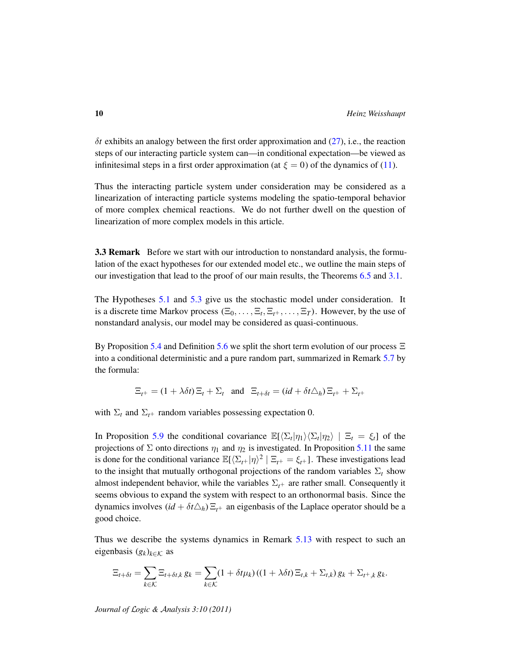$\delta t$  exhibits an analogy between the first order approximation and  $(27)$ , i.e., the reaction steps of our interacting particle system can—in conditional expectation—be viewed as infinitesimal steps in a first order approximation (at  $\xi = 0$ ) of the dynamics of [\(11\)](#page-8-2).

Thus the interacting particle system under consideration may be considered as a linearization of interacting particle systems modeling the spatio-temporal behavior of more complex chemical reactions. We do not further dwell on the question of linearization of more complex models in this article.

**3.3 Remark** Before we start with our introduction to nonstandard analysis, the formulation of the exact hypotheses for our extended model etc., we outline the main steps of our investigation that lead to the proof of our main results, the Theorems [6.5](#page-25-0) and [3.1.](#page-7-1)

The Hypotheses [5.1](#page-17-2) and [5.3](#page-17-1) give us the stochastic model under consideration. It is a discrete time Markov process  $(\Xi_0, \ldots, \Xi_t, \Xi_t, \ldots, \Xi_T)$ . However, by the use of nonstandard analysis, our model may be considered as quasi-continuous.

By Proposition [5.4](#page-18-1) and Definition [5.6](#page-19-1) we split the short term evolution of our process  $\Xi$ into a conditional deterministic and a pure random part, summarized in Remark [5.7](#page-19-2) by the formula:

$$
\Xi_{t+} = (1 + \lambda \delta t) \Xi_t + \Sigma_t \quad \text{and} \quad \Xi_{t+\delta t} = (id + \delta t \Delta_h) \Xi_{t+} + \Sigma_{t+}
$$

with  $\Sigma_t$  and  $\Sigma_{t+}$  random variables possessing expectation 0.

In Proposition [5.9](#page-20-0) the conditional covariance  $\mathbb{E}[\langle \Sigma_t | \eta_1 \rangle \langle \Sigma_t | \eta_2 \rangle | \Xi_t = \xi_t]$  of the projections of  $\Sigma$  onto directions  $\eta_1$  and  $\eta_2$  is investigated. In Proposition [5.11](#page-21-0) the same is done for the conditional variance  $\mathbb{E}[\langle \Sigma_{t+} | \eta \rangle^2 | \Xi_{t+} = \xi_{t+}]$ . These investigations lead to the insight that mutually orthogonal projections of the random variables  $\Sigma_t$  show almost independent behavior, while the variables  $\Sigma_{t+}$  are rather small. Consequently it seems obvious to expand the system with respect to an orthonormal basis. Since the dynamics involves  $(id + \delta t \Delta_h) \Xi_{t+}$  an eigenbasis of the Laplace operator should be a good choice.

Thus we describe the systems dynamics in Remark [5.13](#page-21-1) with respect to such an eigenbasis  $(g_k)_{k \in \mathcal{K}}$  as

$$
\Xi_{t+\delta t} = \sum_{k \in \mathcal{K}} \Xi_{t+\delta t,k} g_k = \sum_{k \in \mathcal{K}} (1 + \delta t \mu_k) \left( (1 + \lambda \delta t) \Xi_{t,k} + \Sigma_{t,k} \right) g_k + \Sigma_{t+\,k} g_k.
$$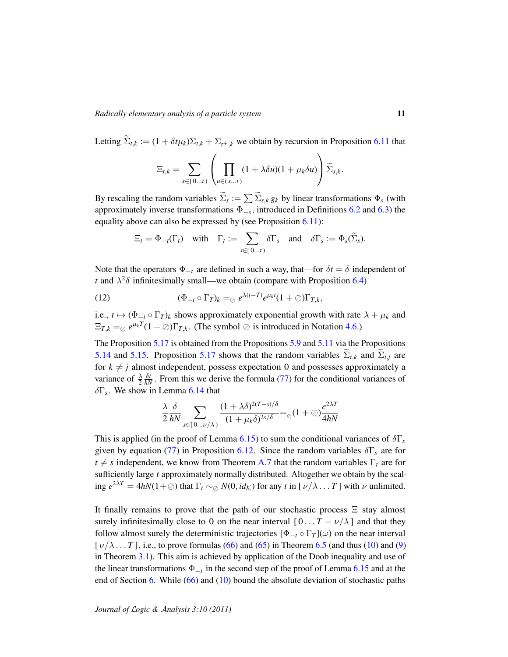Letting  $\widetilde{\Sigma}_{t,k} := (1 + \delta t \mu_k) \Sigma_{t,k} + \Sigma_{t+k}$  we obtain by recursion in Proposition [6.11](#page-28-0) that

$$
\Xi_{t,k} = \sum_{s \in [0...t)} \left( \prod_{u \in (s...t)} (1 + \lambda \delta u)(1 + \mu_k \delta u) \right) \widetilde{\Sigma}_{s,k}.
$$

By rescaling the random variables  $\Sigma_s := \sum \Sigma_{s,k} g_k$  by linear transformations  $\Phi_s$  (with approximately inverse transformations Φ−*<sup>s</sup>* , introduced in Definitions [6.2](#page-24-1) and [6.3\)](#page-24-2) the equality above can also be expressed by (see Proposition [6.11\)](#page-28-0):

<span id="page-10-0"></span>
$$
\Xi_t = \Phi_{-t}(\Gamma_t) \quad \text{with} \quad \Gamma_t := \sum_{s \in [0...t)} \delta \Gamma_s \quad \text{and} \quad \delta \Gamma_s := \Phi_s(\widetilde{\Sigma}_s).
$$

Note that the operators  $\Phi_{-t}$  are defined in such a way, that—for  $\delta t = \delta$  independent of *t* and  $\lambda^2 \delta$  infinitesimally small—we obtain (compare with Proposition [6.4\)](#page-25-1)

(12) 
$$
(\Phi_{-t} \circ \Gamma_T)_k =_{\odot} e^{\lambda(t-T)} e^{\mu_k t} (1+\odot) \Gamma_{T,k},
$$

i.e.,  $t \mapsto (\Phi_{-t} \circ \Gamma_T)_k$  shows approximately exponential growth with rate  $\lambda + \mu_k$  and  $\Xi_{T,k} =_{\emptyset} e^{\mu_k T} (1 + \emptyset) \Gamma_{T,k}$ . (The symbol  $\emptyset$  is introduced in Notation [4.6.](#page-13-0))

The Proposition [5.17](#page-23-0) is obtained from the Propositions [5.9](#page-20-0) and [5.11](#page-21-0) via the Propositions [5.14](#page-22-0) and [5.15.](#page-22-1) Proposition [5.17](#page-23-0) shows that the random variables  $\Sigma_{t,k}$  and  $\Sigma_{t,j}$  are for  $k \neq j$  almost independent, possess expectation 0 and possesses approximately a variance of  $\frac{\lambda}{2}$  $\frac{\delta t}{hN}$ . From this we derive the formula [\(77\)](#page-28-1) for the conditional variances of δΓ*<sup>s</sup>* . We show in Lemma [6.14](#page-29-0) that

$$
\frac{\lambda}{2} \frac{\delta}{hN} \sum_{s \in [0... \nu/\lambda)} \frac{(1 + \lambda \delta)^{2(T-s)/\delta}}{(1 + \mu_k \delta)^{2s/\delta}} =_{\oslash} (1 + \oslash) \frac{e^{2\lambda T}}{4hN}
$$

This is applied (in the proof of Lemma [6.15\)](#page-30-0) to sum the conditional variances of  $\delta\Gamma_s$ given by equation [\(77\)](#page-28-1) in Proposition [6.12.](#page-28-2) Since the random variables δΓ*<sup>s</sup>* are for  $t \neq s$  independent, we know from Theorem [A.7](#page-40-0) that the random variables  $\Gamma_t$  are for sufficiently large *t* approximately normally distributed. Altogether we obtain by the scaling  $e^{2\lambda T} = 4hN(1+\emptyset)$  that  $\Gamma_t \sim_{\emptyset} N(0, id_{\mathcal{K}})$  for any *t* in  $[\nu/\lambda \dots T]$  with  $\nu$  unlimited.

It finally remains to prove that the path of our stochastic process  $\Xi$  stay almost surely infinitesimally close to 0 on the near interval  $[0 \dots T - \nu/\lambda]$  and that they follow almost surely the deterministic trajectories  $[\Phi_{-t} \circ \Gamma_T](\omega)$  on the near interval  $[\nu/\lambda \dots T]$ , i.e., to prove formulas [\(66\)](#page-26-2) and [\(65\)](#page-26-3) in Theorem [6.5](#page-25-0) (and thus [\(10\)](#page-8-0) and [\(9\)](#page-8-1) in Theorem [3.1\)](#page-7-1). This aim is achieved by application of the Doob inequality and use of the linear transformations Φ−*<sup>t</sup>* in the second step of the proof of Lemma [6.15](#page-30-0) and at the end of Section [6.](#page-24-0) While [\(66\)](#page-26-2) and [\(10\)](#page-8-0) bound the absolute deviation of stochastic paths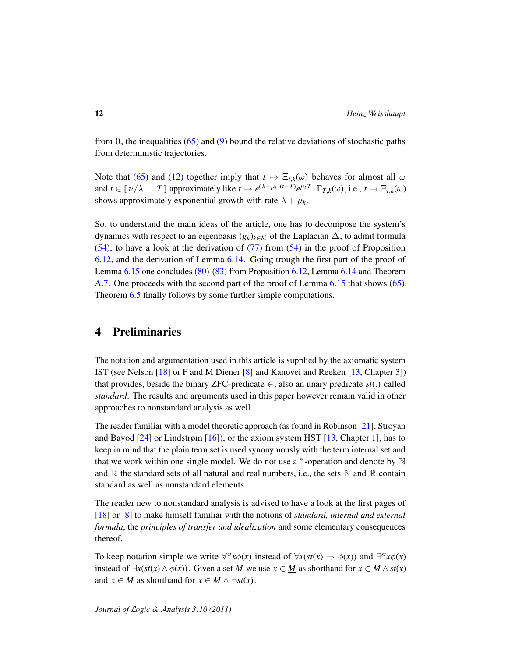from 0, the inequalities  $(65)$  and  $(9)$  bound the relative deviations of stochastic paths from deterministic trajectories.

Note that [\(65\)](#page-26-3) and [\(12\)](#page-10-0) together imply that  $t \mapsto \Xi_{t,k}(\omega)$  behaves for almost all  $\omega$ and  $t \in [\nu/\lambda \dots T]$  approximately like  $t \mapsto e^{(\lambda+\mu_k)(t-T)} e^{\mu_k T} \cdot \Gamma_{T,k}(\omega)$ , i.e.,  $t \mapsto \Xi_{t,k}(\omega)$ shows approximately exponential growth with rate  $\lambda + \mu_k$ .

So, to understand the main ideas of the article, one has to decompose the system's dynamics with respect to an eigenbasis  $(g_k)_{k \in \mathcal{K}}$  of the Laplacian  $\Delta$ , to admit formula  $(54)$ , to have a look at the derivation of  $(77)$  from  $(54)$  in the proof of Proposition [6.12,](#page-28-2) and the derivation of Lemma [6.14.](#page-29-0) Going trough the first part of the proof of Lemma [6.15](#page-30-0) one concludes [\(80\)](#page-30-1)-[\(83\)](#page-30-2) from Proposition [6.12,](#page-28-2) Lemma [6.14](#page-29-0) and Theorem [A.7.](#page-40-0) One proceeds with the second part of the proof of Lemma [6.15](#page-30-0) that shows [\(65\)](#page-26-3). Theorem [6.5](#page-25-0) finally follows by some further simple computations.

### <span id="page-11-0"></span>4 Preliminaries

The notation and argumentation used in this article is supplied by the axiomatic system IST (see Nelson [\[18\]](#page-45-5) or F and M Diener [\[8\]](#page-45-6) and Kanovei and Reeken [\[13,](#page-45-7) Chapter 3]) that provides, beside the binary ZFC-predicate  $∈$ , also an unary predicate  $st(.)$  called *standard*. The results and arguments used in this paper however remain valid in other approaches to nonstandard analysis as well.

The reader familiar with a model theoretic approach (as found in Robinson [\[21\]](#page-45-8), Stroyan and Bayod  $[24]$  or Lindstrøm  $[16]$ ), or the axiom system HST  $[13]$ , Chapter 1], has to keep in mind that the plain term set is used synonymously with the term internal set and that we work within one single model. We do not use a  $*$ -operation and denote by  $\mathbb N$ and  $\mathbb R$  the standard sets of all natural and real numbers, i.e., the sets  $\mathbb N$  and  $\mathbb R$  contain standard as well as nonstandard elements.

The reader new to nonstandard analysis is advised to have a look at the first pages of [\[18\]](#page-45-5) or [\[8\]](#page-45-6) to make himself familiar with the notions of *standard, internal and external formula*, the *principles of transfer and idealization* and some elementary consequences thereof.

To keep notation simple we write  $\forall^{st} x \phi(x)$  instead of  $\forall x (st(x) \Rightarrow \phi(x))$  and  $\exists^{st} x \phi(x)$ instead of  $\exists x(s t(x) \land \phi(x))$ . Given a set *M* we use  $x \in M$  as shorthand for  $x \in M \land st(x)$ and  $x \in \overline{M}$  as shorthand for  $x \in M \wedge \neg st(x)$ .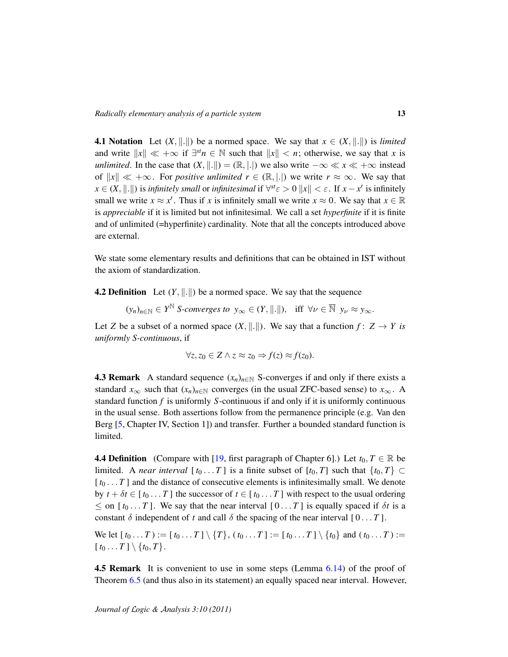<span id="page-12-2"></span>**4.1 Notation** Let  $(X, \| \| \|)$  be a normed space. We say that  $x \in (X, \| \| \|)$  is *limited* and write  $||x|| \ll +\infty$  if  $\exists^{st} n \in \mathbb{N}$  such that  $||x|| < n$ ; otherwise, we say that *x* is *unlimited*. In the case that  $(X, \|.\|) = (\mathbb{R}, \|.\|)$  we also write  $-\infty \ll x \ll +\infty$  instead of  $||x|| \ll +\infty$ . For *positive unlimited*  $r \in (\mathbb{R}, |.|$  we write  $r \approx \infty$ . We say that *x* ∈ (*X*,  $\Vert . \Vert$ ) is *infinitely small* or *infinitesimal* if  $\forall^{st} \epsilon > 0$   $\Vert x \Vert < \epsilon$ . If  $x - x'$  is infinitely small we write  $x \approx x'$ . Thus if *x* is infinitely small we write  $x \approx 0$ . We say that  $x \in \mathbb{R}$ is *appreciable* if it is limited but not infinitesimal. We call a set *hyperfinite* if it is finite and of unlimited (=hyperfinite) cardinality. Note that all the concepts introduced above are external.

We state some elementary results and definitions that can be obtained in IST without the axiom of standardization.

<span id="page-12-3"></span>**4.2 Definition** Let  $(Y, \|\cdot\|)$  be a normed space. We say that the sequence

 $(y_n)_{n \in \mathbb{N}} \in Y^{\mathbb{N}}$  *S-converges to*  $y_\infty \in (Y, \|\cdot\|)$ , iff  $\forall \nu \in \overline{\mathbb{N}}$   $y_\nu \approx y_\infty$ .

Let *Z* be a subset of a normed space  $(X, \| \| \|)$ . We say that a function  $f: Z \rightarrow Y$  is *uniformly S-continuous*, if

$$
\forall z, z_0 \in Z \land z \approx z_0 \Rightarrow f(z) \approx f(z_0).
$$

<span id="page-12-0"></span>**4.3 Remark** A standard sequence  $(x_n)_{n \in \mathbb{N}}$  S-converges if and only if there exists a standard  $x_{\infty}$  such that  $(x_n)_{n \in \mathbb{N}}$  converges (in the usual ZFC-based sense) to  $x_{\infty}$ . A standard function *f* is uniformly *S*-continuous if and only if it is uniformly continuous in the usual sense. Both assertions follow from the permanence principle (e.g. Van den Berg [\[5,](#page-44-6) Chapter IV, Section 1]) and transfer. Further a bounded standard function is limited.

<span id="page-12-1"></span>**4.4 Definition** (Compare with [\[19,](#page-45-11) first paragraph of Chapter 6].) Let  $t_0, T \in \mathbb{R}$  be limited. A *near interval* [ $t_0$ ... *T*] is a finite subset of [ $t_0$ , *T*] such that  $\{t_0, T\} \subset$  $[t_0 \dots T]$  and the distance of consecutive elements is infinitesimally small. We denote by  $t + \delta t \in [t_0 ... T]$  the successor of  $t \in [t_0 ... T]$  with respect to the usual ordering  $\leq$  on [ $t_0$ ... *T*]. We say that the near interval [0... *T*] is equally spaced if  $\delta t$  is a constant  $\delta$  independent of *t* and call  $\delta$  the spacing of the near interval [0... *T*].

We let  $[t_0 \dots T] := [t_0 \dots T] \setminus \{T\}, (t_0 \dots T] := [t_0 \dots T] \setminus \{t_0\}$  and  $(t_0 \dots T) :=$  $[t_0 ... T] \setminus \{t_0, T\}.$ 

**4.5 Remark** It is convenient to use in some steps (Lemma [6.14\)](#page-29-0) of the proof of Theorem [6.5](#page-25-0) (and thus also in its statement) an equally spaced near interval. However,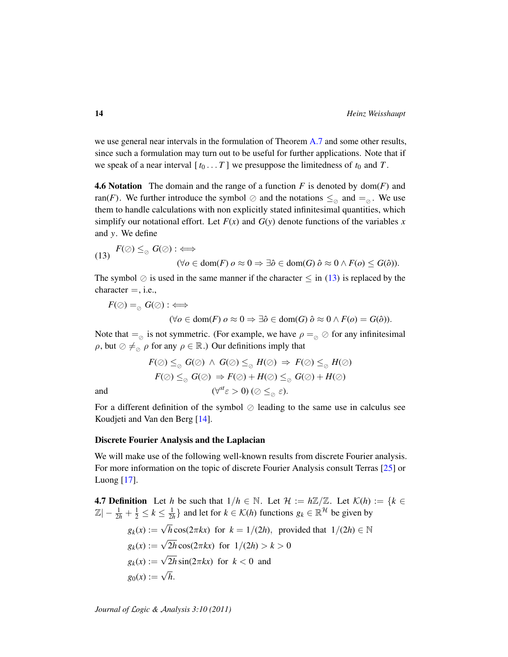we use general near intervals in the formulation of Theorem [A.7](#page-40-0) and some other results, since such a formulation may turn out to be useful for further applications. Note that if we speak of a near interval  $[t_0 \dots T]$  we presuppose the limitedness of  $t_0$  and  $T$ .

<span id="page-13-0"></span>**4.6 Notation** The domain and the range of a function  $F$  is denoted by dom( $F$ ) and ran(*F*). We further introduce the symbol  $\oslash$  and the notations  $\leq_{\oslash}$  and  $=_{\oslash}$ . We use them to handle calculations with non explicitly stated infinitesimal quantities, which simplify our notational effort. Let  $F(x)$  and  $G(y)$  denote functions of the variables x and *y*. We define

<span id="page-13-1"></span>(13) 
$$
F(\emptyset) \leq_{\emptyset} G(\emptyset) : \iff
$$
  
  $(\forall o \in \text{dom}(F) \ o \approx 0 \Rightarrow \exists \hat{o} \in \text{dom}(G) \ \hat{o} \approx 0 \land F(o) \leq G(\hat{o})).$ 

The symbol  $\oslash$  is used in the same manner if the character  $\leq$  in [\(13\)](#page-13-1) is replaced by the  $character =, i.e.,$ 

$$
F(\oslash) =_{\oslash} G(\oslash) : \iff
$$

(∀*o* ∈ dom(*F*)  $o \approx 0$   $\Rightarrow \exists \hat{o} \in \text{dom}(G)$   $\hat{o} \approx 0 \land F(o) = G(\hat{o})$ ).

Note that  $=_{\odot}$  is not symmetric. (For example, we have  $\rho =_{\odot} \odot$  for any infinitesimal ρ, but  $\oslash \neq_{\oslash} \rho$  for any  $\rho \in \mathbb{R}$ .) Our definitions imply that

$$
F(\oslash) \leq_{\oslash} G(\oslash) \land G(\oslash) \leq_{\oslash} H(\oslash) \Rightarrow F(\oslash) \leq_{\oslash} H(\oslash)
$$

$$
F(\oslash) \leq_{\oslash} G(\oslash) \Rightarrow F(\oslash) + H(\oslash) \leq_{\oslash} G(\oslash) + H(\oslash)
$$
  
and 
$$
(\forall^{st} \varepsilon > 0) \ (\oslash \leq_{\oslash} \varepsilon).
$$

For a different definition of the symbol  $\oslash$  leading to the same use in calculus see Koudjeti and Van den Berg [\[14\]](#page-45-12).

#### Discrete Fourier Analysis and the Laplacian

We will make use of the following well-known results from discrete Fourier analysis. For more information on the topic of discrete Fourier Analysis consult Terras [\[25\]](#page-46-1) or Luong [\[17\]](#page-45-13).

<span id="page-13-2"></span>**4.7 Definition** Let *h* be such that  $1/h \in \mathbb{N}$ . Let  $\mathcal{H} := h\mathbb{Z}/\mathbb{Z}$ . Let  $\mathcal{K}(h) := \{k \in \mathbb{N}\}$  $|\mathbb{Z}| - \frac{1}{2h} + \frac{1}{2} \le k \le \frac{1}{2h}$  and let for  $k \in \mathcal{K}(h)$  functions  $g_k \in \mathbb{R}^{\mathcal{H}}$  be given by  $g_k(x) :=$  $\sqrt{h} \cos(2\pi kx)$  for  $k = 1/(2h)$ , provided that  $1/(2h) \in \mathbb{N}$  $g_k(x) :=$ √  $2h\cos(2\pi kx)$  for  $1/(2h) > k > 0$  $g_k(x) :=$ √  $2h \sin(2\pi kx)$  for  $k < 0$  and  $g_0(x) :=$ √ *h*.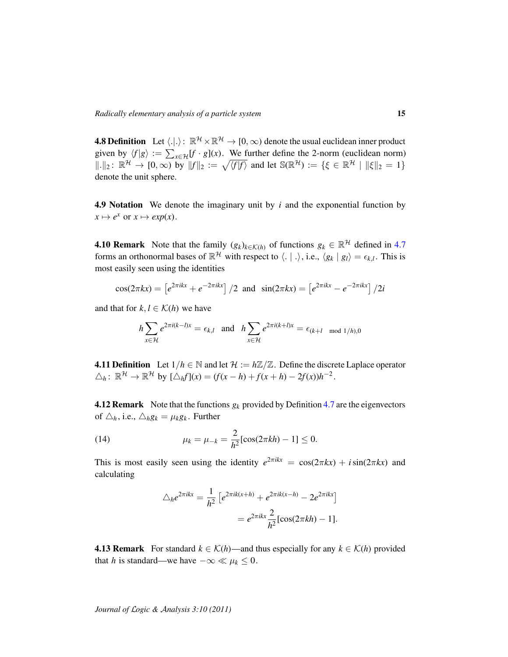**4.8 Definition** Let  $\langle .|. \rangle: \mathbb{R}^{\mathcal{H}} \times \mathbb{R}^{\mathcal{H}} \to [0, \infty)$  denote the usual euclidean inner product given by  $\langle f | g \rangle := \sum_{x \in \mathcal{H}} [f \cdot g](x)$ . We further define the 2-norm (euclidean norm)  $\|\cdot\|_2$ :  $\mathbb{R}^{\mathcal{H}} \to [0,\infty)$  by  $\|f\|_2 := \sqrt{\langle f|f\rangle}$  and let  $\mathbb{S}(\mathbb{R}^{\mathcal{H}}) := \{\xi \in \mathbb{R}^{\mathcal{H}} \mid \|\xi\|_2 = 1\}$ denote the unit sphere.

**4.9 Notation** We denote the imaginary unit by  $i$  and the exponential function by  $x \mapsto e^x$  or  $x \mapsto exp(x)$ .

**4.10 Remark** Note that the family  $(g_k)_{k \in \mathcal{K}(h)}$  of functions  $g_k \in \mathbb{R}^{\mathcal{H}}$  defined in [4.7](#page-13-2) forms an orthonormal bases of  $\mathbb{R}^H$  with respect to  $\langle . | . \rangle$ , i.e.,  $\langle g_k | g_l \rangle = \epsilon_{k,l}$ . This is most easily seen using the identities

$$
\cos(2\pi kx) = \left[e^{2\pi ikx} + e^{-2\pi ikx}\right] / 2 \text{ and } \sin(2\pi kx) = \left[e^{2\pi ikx} - e^{-2\pi ikx}\right] / 2i
$$

and that for  $k, l \in \mathcal{K}(h)$  we have

$$
h\sum_{x\in\mathcal{H}}e^{2\pi i(k-l)x}=\epsilon_{k,l}\quad\text{and}\quad h\sum_{x\in\mathcal{H}}e^{2\pi i(k+l)x}=\epsilon_{(k+l\mod 1/h),0}
$$

**4.11 Definition** Let  $1/h \in \mathbb{N}$  and let  $\mathcal{H} := h\mathbb{Z}/\mathbb{Z}$ . Define the discrete Laplace operator  $\triangle_h$ :  $\mathbb{R}^{\mathcal{H}} \to \mathbb{R}^{\mathcal{H}}$  by  $[\triangle_h f](x) = (f(x-h) + f(x+h) - 2f(x))h^{-2}$ .

<span id="page-14-1"></span>**4.12 Remark** Note that the functions  $g_k$  provided by Definition [4.7](#page-13-2) are the eigenvectors of  $\triangle_h$ , i.e.,  $\triangle_h g_k = \mu_k g_k$ . Further

(14) 
$$
\mu_k = \mu_{-k} = \frac{2}{h^2} [\cos(2\pi kh) - 1] \le 0.
$$

This is most easily seen using the identity  $e^{2\pi i kx} = \cos(2\pi kx) + i\sin(2\pi kx)$  and calculating

$$
\triangle_h e^{2\pi i kx} = \frac{1}{h^2} \left[ e^{2\pi i k(x+h)} + e^{2\pi i k(x-h)} - 2e^{2\pi i kx} \right]
$$

$$
= e^{2\pi i kx} \frac{2}{h^2} [\cos(2\pi k h) - 1].
$$

<span id="page-14-0"></span>**4.13 Remark** For standard  $k \in \mathcal{K}(h)$ —and thus especially for any  $k \in \mathcal{K}(h)$  provided that *h* is standard—we have  $-\infty \ll \mu_k \leq 0$ .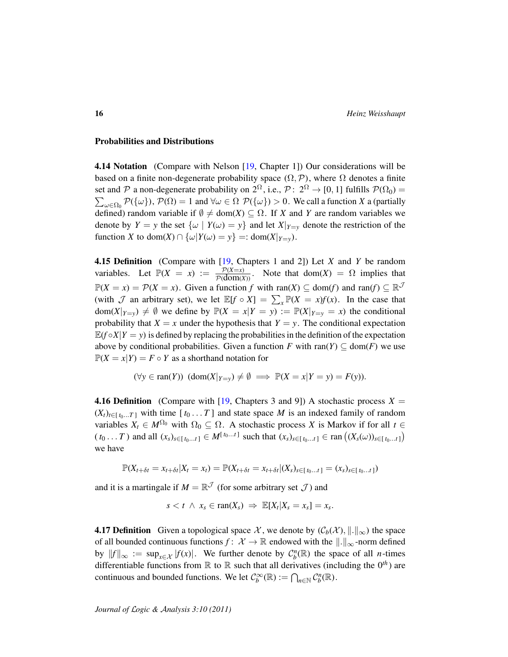#### Probabilities and Distributions

**4.14 Notation** (Compare with Nelson [\[19,](#page-45-11) Chapter 1]) Our considerations will be based on a finite non-degenerate probability space  $(\Omega, \mathcal{P})$ , where  $\Omega$  denotes a finite set and P a non-degenerate probability on  $2^{\Omega}$ , i.e.,  $\mathcal{P}: 2^{\Omega} \to [0,1]$  fulfills  $\mathcal{P}(\Omega_0)$  =  $\sum_{\omega \in \Omega_0} \mathcal{P}(\{\omega\}), \mathcal{P}(\Omega) = 1$  and  $\forall \omega \in \Omega \; \mathcal{P}(\{\omega\}) > 0$ . We call a function *X* a (partially defined) random variable if  $\emptyset \neq \text{dom}(X) \subseteq \Omega$ . If *X* and *Y* are random variables we denote by  $Y = y$  the set  $\{\omega \mid Y(\omega) = y\}$  and let  $X|_{Y=y}$  denote the restriction of the function *X* to dom(*X*)  $\cap$  { $\omega$ |*Y*( $\omega$ ) = *y*} = : dom(*X*|<sub>*Y*=*y*</sub>).

<span id="page-15-0"></span>4.15 Definition (Compare with [\[19,](#page-45-11) Chapters 1 and 2]) Let *X* and *Y* be random variables. Let  $\mathbb{P}(X = x) := \frac{\mathcal{P}(X=x)}{\mathcal{P}(dom(X))}$ . Note that dom(*X*) =  $\Omega$  implies that  $\mathbb{P}(X = x) = \mathcal{P}(X = x)$ . Given a function *f* with ran(*X*)  $\subseteq$  dom(*f*) and ran(*f*)  $\subseteq \mathbb{R}^{\mathcal{J}}$ (with  $\mathcal J$  an arbitrary set), we let  $\mathbb{E}[f \circ X] = \sum_{x} \mathbb{P}(X = x) f(x)$ . In the case that  $dom(X|_{Y=y}) \neq \emptyset$  we define by  $\mathbb{P}(X = x | Y = y) := \mathbb{P}(X|_{Y=y} = x)$  the conditional probability that  $X = x$  under the hypothesis that  $Y = y$ . The conditional expectation  $\mathbb{E}(f \circ X | Y = y)$  is defined by replacing the probabilities in the definition of the expectation above by conditional probabilities. Given a function *F* with ran(*Y*)  $\subseteq$  dom(*F*) we use  $\mathbb{P}(X = x | Y) = F \circ Y$  as a shorthand notation for

$$
(\forall y \in \text{ran}(Y))
$$
  $(\text{dom}(X|_{Y=y}) \neq \emptyset \implies \mathbb{P}(X=x|Y=y) = F(y)).$ 

**4.16 Definition** (Compare with [\[19,](#page-45-11) Chapters 3 and 9]) A stochastic process  $X =$  $(X_t)_{t \in [t_0...T]}$  with time  $[t_0...T]$  and state space *M* is an indexed family of random variables  $X_t \in M^{\Omega_0}$  with  $\Omega_0 \subseteq \Omega$ . A stochastic process *X* is Markov if for all  $t \in$  $(t_0...T)$  and all  $(x_s)_{s \in [t_0...t]} \in M^{[t_0...t]}$  such that  $(x_s)_{s \in [t_0...t]} \in \text{ran } ((X_s(\omega))_{s \in [t_0...t]})$ we have

$$
\mathbb{P}(X_{t+\delta t}=x_{t+\delta t}|X_t=x_t)=\mathbb{P}(X_{t+\delta t}=x_{t+\delta t}|(X_s)_{s\in[t_0...t]}=(x_s)_{s\in[t_0...t]})
$$

and it is a martingale if  $M = \mathbb{R}^{\mathcal{J}}$  (for some arbitrary set  $\mathcal{J}$ ) and

$$
s < t \ \land \ x_s \in \text{ran}(X_s) \ \Rightarrow \ \mathbb{E}[X_t | X_s = x_s] = x_s.
$$

**4.17 Definition** Given a topological space  $\mathcal{X}$ , we denote by  $(\mathcal{C}_b(\mathcal{X}), \|\cdot\|_{\infty})$  the space of all bounded continuous functions  $f: \mathcal{X} \to \mathbb{R}$  endowed with the  $\|.\|_{\infty}$ -norm defined by  $||f||_{\infty} := \sup_{x \in \mathcal{X}} |f(x)|$ . We further denote by  $\mathcal{C}_{b}^{n}(\mathbb{R})$  the space of all *n*-times differentiable functions from  $\mathbb R$  to  $\mathbb R$  such that all derivatives (including the  $0<sup>th</sup>$ ) are continuous and bounded functions. We let  $C_b^{\infty}(\mathbb{R}) := \bigcap_{n \in \mathbb{N}} C_b^n(\mathbb{R})$ .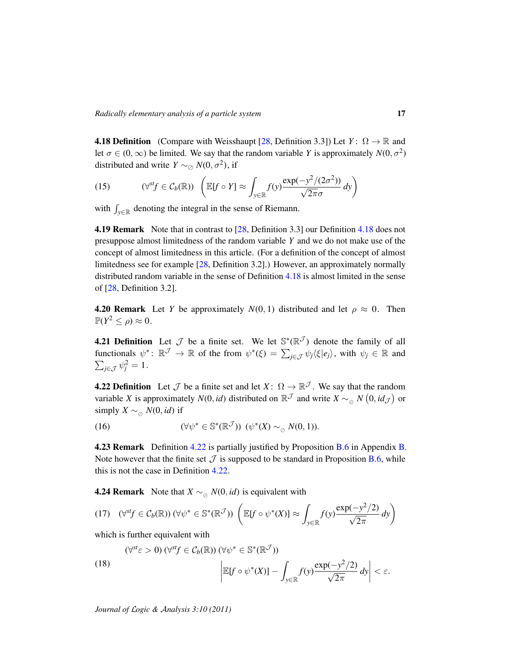<span id="page-16-1"></span>**4.18 Definition** (Compare with Weisshaupt [\[28,](#page-46-0) Definition 3.3]) Let  $Y: \Omega \to \mathbb{R}$  and let  $\sigma \in (0, \infty)$  be limited. We say that the random variable *Y* is approximately  $N(0, \sigma^2)$ distributed and write *Y* ~ $\oslash$  *N*(0,  $\sigma^2$ ), if

<span id="page-16-4"></span>(15) 
$$
(\forall^{st} f \in C_b(\mathbb{R})) \left( \mathbb{E}[f \circ Y] \approx \int_{y \in \mathbb{R}} f(y) \frac{\exp(-y^2/(2\sigma^2))}{\sqrt{2\pi}\sigma} dy \right)
$$

with  $\int_{y \in \mathbb{R}}$  denoting the integral in the sense of Riemann.

**4.19 Remark** Note that in contrast to [\[28,](#page-46-0) Definition 3.3] our Definition [4.18](#page-16-1) does not presuppose almost limitedness of the random variable *Y* and we do not make use of the concept of almost limitedness in this article. (For a definition of the concept of almost limitedness see for example [\[28,](#page-46-0) Definition 3.2].) However, an approximately normally distributed random variable in the sense of Definition [4.18](#page-16-1) is almost limited in the sense of [\[28,](#page-46-0) Definition 3.2].

<span id="page-16-2"></span>**4.20 Remark** Let *Y* be approximately  $N(0, 1)$  distributed and let  $\rho \approx 0$ . Then  $\mathbb{P}(Y^2 \leq \rho) \approx 0.$ 

**4.21 Definition** Let  $\mathcal{J}$  be a finite set. We let  $\mathbb{S}^*(\mathbb{R}^{\mathcal{J}})$  denote the family of all functionals  $\psi^* \colon \mathbb{R}^{\mathcal{J}} \to \mathbb{R}$  of the from  $\psi^*(\xi) = \sum_{j \in \mathcal{J}} \psi_j \langle \xi | e_j \rangle$ , with  $\psi_j \in \mathbb{R}$  and  $\sum_{j\in\mathcal{J}}\psi_j^2=1$ .

<span id="page-16-0"></span>**4.22 Definition** Let  $\mathcal{J}$  be a finite set and let  $X: \Omega \to \mathbb{R}^{\mathcal{J}}$ . We say that the random variable *X* is approximately *N*(0, *id*) distributed on  $\mathbb{R}^{\mathcal{J}}$  and write  $X \sim_{\oslash} N(0, id_{\mathcal{J}})$  or simply  $X \sim_{\alpha} N(0, id)$  if

(16) 
$$
(\forall \psi^* \in \mathbb{S}^*(\mathbb{R}^{\mathcal{J}})) \ (\psi^*(X) \sim_{\varnothing} N(0,1)).
$$

**4.23 Remark** Definition  $4.22$  is partially justified by Proposition **[B.6](#page-42-1)** in Appendix **B**. Note however that the finite set  $\mathcal J$  is supposed to be standard in Proposition [B.6,](#page-42-1) while this is not the case in Definition [4.22.](#page-16-0)

<span id="page-16-3"></span>**4.24 Remark** Note that *X* ∼<sub>⊘</sub> *N*(0, *id*) is equivalent with

$$
(17) \quad (\forall^{\mathit{sf}} \in \mathcal{C}_b(\mathbb{R})) \, (\forall \psi^* \in \mathbb{S}^*(\mathbb{R}^{\mathcal{J}})) \, \left( \mathbb{E}[f \circ \psi^*(X)] \approx \int_{y \in \mathbb{R}} f(y) \frac{\exp(-y^2/2)}{\sqrt{2\pi}} \, dy \right)
$$

which is further equivalent with

(18) 
$$
(\forall^{st}\varepsilon > 0) (\forall^{st}f \in C_b(\mathbb{R})) (\forall \psi^* \in \mathbb{S}^*(\mathbb{R}^{\mathcal{J}}))
$$

$$
\left| \mathbb{E}[f \circ \psi^*(X)] - \int_{y \in \mathbb{R}} f(y) \frac{\exp(-y^2/2)}{\sqrt{2\pi}} dy \right| < \varepsilon.
$$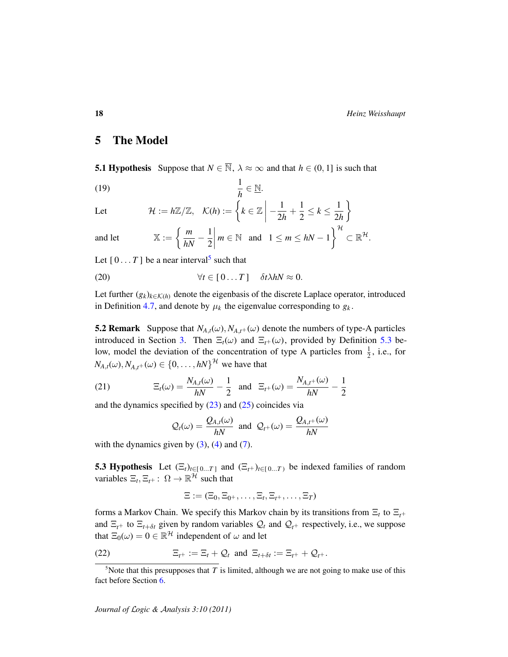### <span id="page-17-0"></span>5 The Model

<span id="page-17-2"></span>**5.1 Hypothesis** Suppose that  $N \in \overline{\mathbb{N}}$ ,  $\lambda \approx \infty$  and that  $h \in (0, 1]$  is such that

<span id="page-17-6"></span>1 (19)  $\frac{1}{h} \in \underline{\mathbb{N}}$ .

Let 
$$
\mathcal{H} := h\mathbb{Z}/\mathbb{Z}, \quad \mathcal{K}(h) := \left\{ k \in \mathbb{Z} \middle| -\frac{1}{2h} + \frac{1}{2} \leq k \leq \frac{1}{2h} \right\}
$$

and let 
$$
\mathbb{X} := \left\{ \frac{m}{hN} - \frac{1}{2} \middle| m \in \mathbb{N} \text{ and } 1 \le m \le hN - 1 \right\}^{\mathcal{H}} \subset \mathbb{R}^{\mathcal{H}}.
$$

Let  $[0...T]$  be a near interval<sup>[5](#page-17-3)</sup> such that

<span id="page-17-5"></span>(20) 
$$
\forall t \in [0...T] \quad \delta t \lambda h N \approx 0.
$$

Let further  $(g_k)_{k \in \mathcal{K}(h)}$  denote the eigenbasis of the discrete Laplace operator, introduced in Definition [4.7,](#page-13-2) and denote by  $\mu_k$  the eigenvalue corresponding to  $g_k$ .

**5.2 Remark** Suppose that  $N_{A,t}(\omega)$ ,  $N_{A,t^+}(\omega)$  denote the numbers of type-A particles introduced in Section [3.](#page-4-0) Then  $\Xi_t(\omega)$  and  $\Xi_{t+}(\omega)$ , provided by Definition [5.3](#page-17-1) below, model the deviation of the concentration of type A particles from  $\frac{1}{2}$ , i.e., for  $N_{A,t}(\omega), N_{A,t^+}(\omega) \in \{0, \ldots, hN\}^{\mathcal{H}}$  we have that

(21) 
$$
\Xi_t(\omega) = \frac{N_{A,t}(\omega)}{hN} - \frac{1}{2} \text{ and } \Xi_{t+}(\omega) = \frac{N_{A,t+}(\omega)}{hN} - \frac{1}{2}
$$

and the dynamics specified by  $(23)$  and  $(25)$  coincides via

$$
Q_t(\omega) = \frac{Q_{A,t}(\omega)}{hN}
$$
 and  $Q_{t+}(\omega) = \frac{Q_{A,t+}(\omega)}{hN}$ 

with the dynamics given by  $(3)$ ,  $(4)$  and  $(7)$ .

<span id="page-17-1"></span>**5.3 Hypothesis** Let  $(\Xi_t)_{t \in [0...T]}$  and  $(\Xi_t)_{t \in [0...T]}$  be indexed families of random variables  $\Xi_t$ ,  $\Xi_{t+}$ :  $\Omega \to \mathbb{R}^{\mathcal{H}}$  such that

<span id="page-17-4"></span>
$$
\Xi:=(\Xi_0,\Xi_{0^+},\ldots,\Xi_t,\Xi_{t^+},\ldots,\Xi_T)
$$

forms a Markov Chain. We specify this Markov chain by its transitions from Ξ*<sup>t</sup>* to Ξ*t*<sup>+</sup> and  $\Xi_{t+}$  to  $\Xi_{t+ \delta t}$  given by random variables  $\mathcal{Q}_t$  and  $\mathcal{Q}_{t+}$  respectively, i.e., we suppose that  $\Xi_0(\omega) = 0 \in \mathbb{R}^{\mathcal{H}}$  independent of  $\omega$  and let

(22) 
$$
\Xi_{t^+} := \Xi_t + \mathcal{Q}_t \text{ and } \Xi_{t+\delta t} := \Xi_{t^+} + \mathcal{Q}_{t^+}.
$$

<span id="page-17-3"></span> $5$ Note that this presupposes that  $T$  is limited, although we are not going to make use of this fact before Section [6.](#page-24-0)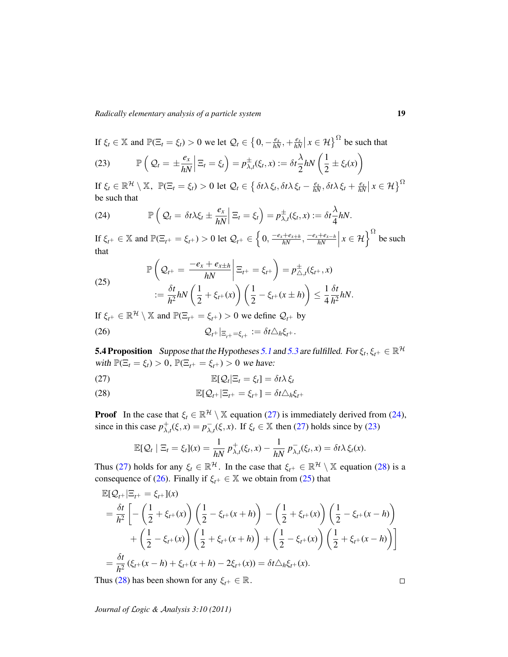If  $\xi_t \in \mathbb{X}$  and  $\mathbb{P}(\Xi_t = \xi_t) > 0$  we let  $\mathcal{Q}_t \in \left\{0, -\frac{e_x}{hN}, +\frac{e_x}{hN}\middle| x \in \mathcal{H}\right\}^{\Omega}$  be such that

<span id="page-18-2"></span>(23) 
$$
\mathbb{P}\left(Q_t = \pm \frac{e_x}{hN} \middle| \Xi_t = \xi_t\right) = p_{\lambda,t}^{\pm}(\xi_t, x) := \delta t \frac{\lambda}{2} hN\left(\frac{1}{2} \pm \xi_t(x)\right)
$$

 $\text{If } \xi_t \in \mathbb{R}^{\mathcal{H}} \setminus \mathbb{X}, \ \ \mathbb{P}(\Xi_t = \xi_t) > 0 \text{ let } \mathcal{Q}_t \in \left\{ \delta t \lambda \xi_t, \delta t \lambda \xi_t - \frac{e_x}{hN}, \delta t \lambda \xi_t + \frac{e_x}{hN} \middle| x \in \mathcal{H} \right\}^{\Omega}$ be such that

<span id="page-18-4"></span>(24) 
$$
\mathbb{P}\left(Q_t = \delta t \lambda \xi_t \pm \frac{e_x}{hN} \Big| \Xi_t = \xi_t\right) = p_{\lambda,t}^{\pm}(\xi_t, x) := \delta t \frac{\lambda}{4} hN.
$$

If  $\xi_{t^+} \in \mathbb{X}$  and  $\mathbb{P}(\Xi_{t^+} = \xi_{t^+}) > 0$  let  $\mathcal{Q}_{t^+} \in \left\{0, \frac{-e_x + e_{x+h}}{hN}, \frac{-e_x + e_{x-h}}{hN}\right\}$  $\frac{+e_{x-h}}{hN}$  $x \in \mathcal{H}$ <sup>2</sup> be such that

<span id="page-18-3"></span>(25) 
$$
\mathbb{P}\left(Q_{t^{+}} = \frac{-e_{x} + e_{x+h}}{hN} \middle| \Xi_{t^{+}} = \xi_{t^{+}}\right) = p_{\triangle,t}^{\pm}(\xi_{t^{+}}, x)
$$

$$
:= \frac{\delta t}{h^{2}} hN\left(\frac{1}{2} + \xi_{t^{+}}(x)\right) \left(\frac{1}{2} - \xi_{t^{+}}(x \pm h)\right) \leq \frac{1}{4} \frac{\delta t}{h^{2}} hN.
$$

If  $\xi_{t^+} \in \mathbb{R}^{\mathcal{H}} \setminus \mathbb{X}$  and  $\mathbb{P}(\Xi_{t^+} = \xi_{t^+}) > 0$  we define  $\mathcal{Q}_{t^+}$  by

<span id="page-18-6"></span>
$$
Q_{t^+}|_{\Xi_{t^+}=\xi_{t^+}} := \delta t \triangle_h \xi_{t^+}.
$$

<span id="page-18-1"></span>**5.4 Proposition** Suppose that the Hypotheses [5.1](#page-17-2) and [5.3](#page-17-1) are fulfilled. For  $\xi_t, \xi_{t^+} \in \mathbb{R}^{\mathcal{H}}$ with  $\mathbb{P}(\Xi_t = \xi_t) > 0$ ,  $\mathbb{P}(\Xi_{t^+} = \xi_{t^+}) > 0$  we have:

<span id="page-18-0"></span>(27) 
$$
\mathbb{E}[\mathcal{Q}_t|\Xi_t=\xi_t]=\delta t\lambda \xi_t
$$

<span id="page-18-5"></span>(28) 
$$
\mathbb{E}[\mathcal{Q}_{t^+}|\Xi_{t^+}=\xi_{t^+}]=\delta t\triangle_h\xi_{t^+}
$$

**Proof** In the case that  $\xi_t \in \mathbb{R}^{\mathcal{H}} \setminus \mathbb{X}$  equation [\(27\)](#page-18-0) is immediately derived from [\(24\)](#page-18-4), since in this case  $p_{\lambda}^{+}$  $^+_{\lambda,t}(\xi, x) = p^-_{\lambda, \zeta}$  $\overline{\lambda}_{,t}(\xi, x)$ . If  $\xi_t \in \mathbb{X}$  then [\(27\)](#page-18-0) holds since by [\(23\)](#page-18-2)

$$
\mathbb{E}[\mathcal{Q}_t \mid \Xi_t = \xi_t](x) = \frac{1}{hN} p_{\lambda,t}^+(\xi_t, x) - \frac{1}{hN} p_{\lambda,t}^-(\xi_t, x) = \delta t \lambda \xi_t(x).
$$

Thus [\(27\)](#page-18-0) holds for any  $\xi_t \in \mathbb{R}^H$ . In the case that  $\xi_{t+} \in \mathbb{R}^H \setminus \mathbb{X}$  equation [\(28\)](#page-18-5) is a consequence of [\(26\)](#page-18-6). Finally if  $\xi_{t+} \in \mathbb{X}$  we obtain from [\(25\)](#page-18-3) that

$$
\mathbb{E}[Q_{t+}|\Xi_{t+} = \xi_{t+}](x)
$$
\n
$$
= \frac{\delta t}{h^2} \left[ -\left(\frac{1}{2} + \xi_{t+}(x)\right) \left(\frac{1}{2} - \xi_{t+}(x+h)\right) - \left(\frac{1}{2} + \xi_{t+}(x)\right) \left(\frac{1}{2} - \xi_{t+}(x-h)\right) + \left(\frac{1}{2} - \xi_{t+}(x)\right) \left(\frac{1}{2} + \xi_{t+}(x+h)\right) + \left(\frac{1}{2} - \xi_{t+}(x)\right) \left(\frac{1}{2} + \xi_{t+}(x-h)\right) \right]
$$
\n
$$
= \frac{\delta t}{h^2} (\xi_{t+}(x-h) + \xi_{t+}(x+h) - 2\xi_{t+}(x)) = \delta t \triangle_h \xi_{t+}(x).
$$

Thus [\(28\)](#page-18-5) has been shown for any  $\xi_{t^+} \in \mathbb{R}$ .

*Journal of* L*ogic &* A*nalysis 3:10 (2011)*

 $\Box$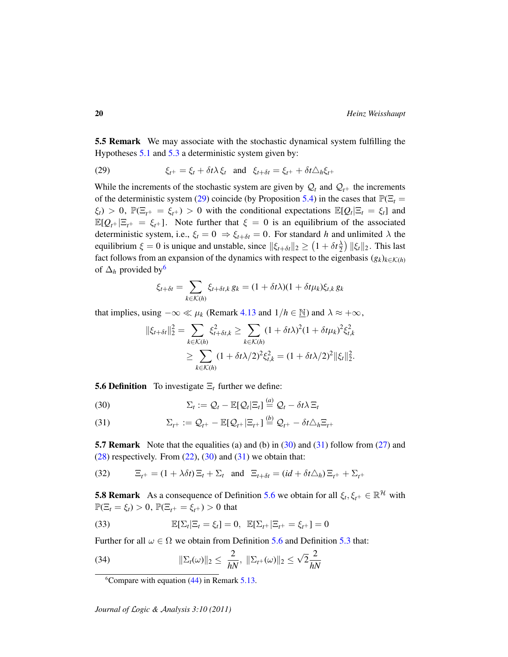<span id="page-19-0"></span>5.5 Remark We may associate with the stochastic dynamical system fulfilling the Hypotheses [5.1](#page-17-2) and [5.3](#page-17-1) a deterministic system given by:

<span id="page-19-3"></span>(29) 
$$
\xi_{t^+} = \xi_t + \delta t \lambda \xi_t \text{ and } \xi_{t+\delta t} = \xi_{t^+} + \delta t \Delta_h \xi_{t^+}
$$

While the increments of the stochastic system are given by  $\mathcal{Q}_t$  and  $\mathcal{Q}_{t+}$  the increments of the deterministic system [\(29\)](#page-19-3) coincide (by Proposition [5.4\)](#page-18-1) in the cases that  $\mathbb{P}(\Xi_t =$  $\xi_t$ ) > 0,  $\mathbb{P}(\Xi_{t^+} = \xi_{t^+})$  > 0 with the conditional expectations  $\mathbb{E}[Q_t | \Xi_t = \xi_t]$  and  $\mathbb{E}[Q_{t+}|\Xi_{t+} = \xi_{t+}]$ . Note further that  $\xi = 0$  is an equilibrium of the associated deterministic system, i.e.,  $\xi_t = 0 \Rightarrow \xi_{t+\delta t} = 0$ . For standard *h* and unlimited  $\lambda$  the equilibrium  $\xi = 0$  is unique and unstable, since  $\|\xi_{t+\delta t}\|_2 \geq (1 + \delta t \frac{\lambda}{2})$  $\frac{\lambda}{2}$ )  $\|\xi_t\|_2$ . This last fact follows from an expansion of the dynamics with respect to the eigenbasis  $(g_k)_{k \in \mathcal{K}(h)}$ of  $\Delta_h$  provided by<sup>[6](#page-19-4)</sup>

$$
\xi_{t+\delta t} = \sum_{k \in \mathcal{K}(h)} \xi_{t+\delta t,k} g_k = (1 + \delta t \lambda)(1 + \delta t \mu_k) \xi_{t,k} g_k
$$

that implies, using  $-\infty \ll \mu_k$  (Remark [4.13](#page-14-0) and  $1/h \in \mathbb{N}$ ) and  $\lambda \approx +\infty$ ,

$$
\begin{aligned} \|\xi_{t+\delta t}\|_2^2 &= \sum_{k\in\mathcal{K}(h)} \xi_{t+\delta t,k}^2 \ge \sum_{k\in\mathcal{K}(h)} (1+\delta t\lambda)^2 (1+\delta t\mu_k)^2 \xi_{t,k}^2 \\ &\ge \sum_{k\in\mathcal{K}(h)} (1+\delta t\lambda/2)^2 \xi_{t,k}^2 = (1+\delta t\lambda/2)^2 \|\xi_t\|_2^2. \end{aligned}
$$

<span id="page-19-1"></span>**5.6 Definition** To investigate  $\Xi_t$  further we define:

<span id="page-19-5"></span>(30) 
$$
\Sigma_t := \mathcal{Q}_t - \mathbb{E}[\mathcal{Q}_t | \Xi_t] \stackrel{(a)}{=} \mathcal{Q}_t - \delta t \lambda \Xi_t
$$

<span id="page-19-6"></span>(31) 
$$
\Sigma_{t^+} := \mathcal{Q}_{t^+} - \mathbb{E}[\mathcal{Q}_{t^+} | \Xi_{t^+}] \stackrel{(b)}{=} \mathcal{Q}_{t^+} - \delta t \triangle_h \Xi_{t^+}
$$

<span id="page-19-2"></span>**5.7 Remark** Note that the equalities (a) and (b) in  $(30)$  and  $(31)$  follow from  $(27)$  and  $(28)$  respectively. From  $(22)$ ,  $(30)$  and  $(31)$  we obtain that:

(*b*)

<span id="page-19-7"></span>(32) 
$$
\Xi_{t+} = (1 + \lambda \delta t) \Xi_t + \Sigma_t \text{ and } \Xi_{t+\delta t} = (id + \delta t \Delta_h) \Xi_{t+} + \Sigma_{t+}
$$

**5.8 Remark** As a consequence of Definition [5.6](#page-19-1) we obtain for all  $\xi_t, \xi_{t^+} \in \mathbb{R}^{\mathcal{H}}$  with  $\mathbb{P}(\Xi_t = \xi_t) > 0$ ,  $\mathbb{P}(\Xi_{t+} = \xi_{t+}) > 0$  that

<span id="page-19-9"></span>(33) 
$$
\mathbb{E}[\Sigma_t | \Xi_t = \xi_t] = 0, \ \mathbb{E}[\Sigma_{t+} | \Xi_{t^+} = \xi_{t^+}] = 0
$$

Further for all  $\omega \in \Omega$  we obtain from Definition [5.6](#page-19-1) and Definition [5.3](#page-17-1) that:

(34) 
$$
\|\Sigma_t(\omega)\|_2 \leq \frac{2}{hN}, \ \|\Sigma_{t^+}(\omega)\|_2 \leq \sqrt{2}\frac{2}{hN}
$$

<span id="page-19-8"></span><span id="page-19-4"></span><sup>&</sup>lt;sup>6</sup>Compare with equation  $(44)$  in Remark [5.13.](#page-21-1)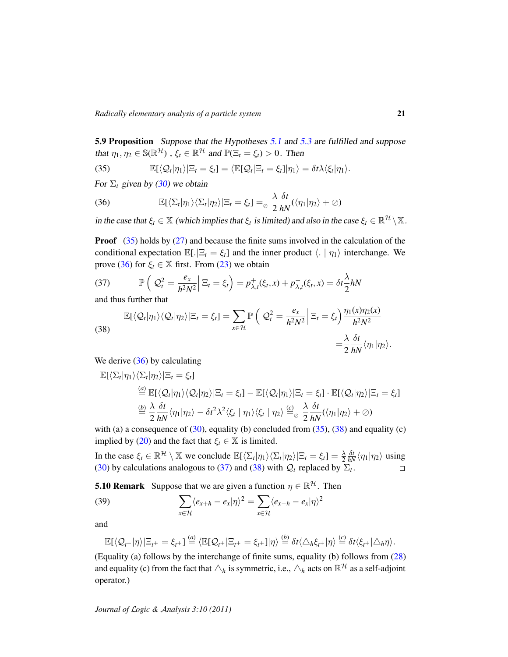*Radically elementary analysis of a particle system* 21

<span id="page-20-0"></span>5.9 Proposition Suppose that the Hypotheses [5.1](#page-17-2) and [5.3](#page-17-1) are fulfilled and suppose that  $\eta_1, \eta_2 \in \mathbb{S}(\mathbb{R}^{\mathcal{H}})$ ,  $\xi_t \in \mathbb{R}^{\mathcal{H}}$  and  $\mathbb{P}(\Xi_t = \xi_t) > 0$ . Then

<span id="page-20-1"></span>(35) 
$$
\mathbb{E}[\langle \mathcal{Q}_t | \eta_1 \rangle | \Xi_t = \xi_t] = \langle \mathbb{E}[\mathcal{Q}_t | \Xi_t = \xi_t] | \eta_1 \rangle = \delta t \lambda \langle \xi_t | \eta_1 \rangle.
$$

For  $\Sigma_t$  given by [\(30\)](#page-19-5) we obtain

<span id="page-20-2"></span>(36) 
$$
\mathbb{E}[\langle \Sigma_t | \eta_1 \rangle \langle \Sigma_t | \eta_2 \rangle | \Xi_t = \xi_t] =_{\odot} \frac{\lambda}{2} \frac{\delta t}{hN} (\langle \eta_1 | \eta_2 \rangle + \oslash)
$$

in the case that  $\xi_t \in \mathbb{X}$  (which implies that  $\xi_t$  is limited) and also in the case  $\xi_t \in \mathbb{R}^{\mathcal{H}} \setminus \mathbb{X}$ .

**Proof**  $(35)$  holds by  $(27)$  and because the finite sums involved in the calculation of the conditional expectation  $\mathbb{E}[.\vert \Xi_t = \xi_t]$  and the inner product  $\langle . \vert \eta_1 \rangle$  interchange. We prove [\(36\)](#page-20-2) for  $\xi_t \in \mathbb{X}$  first. From [\(23\)](#page-18-2) we obtain

<span id="page-20-4"></span>(37) 
$$
\mathbb{P}\left(\left| \mathcal{Q}_t^2 = \frac{e_x}{h^2 N^2} \right| \Xi_t = \xi_t\right) = p_{\lambda,t}^+(\xi_t, x) + p_{\lambda,t}^-(\xi_t, x) = \delta t \frac{\lambda}{2} hN
$$

and thus further that

<span id="page-20-3"></span>(38)  
\n
$$
\mathbb{E}[\langle \mathcal{Q}_t | \eta_1 \rangle \langle \mathcal{Q}_t | \eta_2 \rangle | \Xi_t = \xi_t] = \sum_{x \in \mathcal{H}} \mathbb{P}\left(\left. \mathcal{Q}_t^2 = \frac{e_x}{h^2 N^2} \right| \Xi_t = \xi_t \right) \frac{\eta_1(x)\eta_2(x)}{h^2 N^2} = \frac{\lambda}{2} \frac{\delta t}{hN} \langle \eta_1 | \eta_2 \rangle.
$$

We derive [\(36\)](#page-20-2) by calculating

$$
\mathbb{E}[\langle \Sigma_t | \eta_1 \rangle \langle \Sigma_t | \eta_2 \rangle | \Xi_t = \xi_t]
$$
  
\n
$$
\stackrel{(a)}{=} \mathbb{E}[\langle \mathcal{Q}_t | \eta_1 \rangle \langle \mathcal{Q}_t | \eta_2 \rangle | \Xi_t = \xi_t] - \mathbb{E}[\langle \mathcal{Q}_t | \eta_1 \rangle | \Xi_t = \xi_t] \cdot \mathbb{E}[\langle \mathcal{Q}_t | \eta_2 \rangle | \Xi_t = \xi_t]
$$
  
\n
$$
\stackrel{(b)}{=} \frac{\lambda}{2} \frac{\delta t}{hN} \langle \eta_1 | \eta_2 \rangle - \delta t^2 \lambda^2 \langle \xi_t | \eta_1 \rangle \langle \xi_t | \eta_2 \rangle \stackrel{(c)}{=} \frac{\lambda}{2} \frac{\delta t}{hN} (\langle \eta_1 | \eta_2 \rangle + \emptyset)
$$

with (a) a consequence of  $(30)$ , equality (b) concluded from  $(35)$ ,  $(38)$  and equality (c) implied by [\(20\)](#page-17-5) and the fact that  $\xi_t \in \mathbb{X}$  is limited.

In the case  $\xi_t \in \mathbb{R}^{\mathcal{H}} \setminus \mathbb{X}$  we conclude  $\mathbb{E}[\langle \Sigma_t | \eta_1 \rangle \langle \Sigma_t | \eta_2 \rangle | \Xi_t = \xi_t] = \frac{\lambda}{2}$ 2  $\frac{\delta t}{hN} \langle \eta_1 | \eta_2 \rangle$  using [\(30\)](#page-19-5) by calculations analogous to [\(37\)](#page-20-4) and [\(38\)](#page-20-3) with  $\mathcal{Q}_t$  replaced by  $\Sigma_t$ .

**5.10 Remark** Suppose that we are given a function  $\eta \in \mathbb{R}^{\mathcal{H}}$ . Then

(39) 
$$
\sum_{x \in \mathcal{H}} \langle e_{x+h} - e_x | \eta \rangle^2 = \sum_{x \in \mathcal{H}} \langle e_{x-h} - e_x | \eta \rangle^2
$$

and

<span id="page-20-5"></span>
$$
\mathbb{E}[\langle \mathcal{Q}_{t^+}|\eta\rangle|\Xi_{t^+}=\xi_{t^+}]\stackrel{(a)}{=}\langle \mathbb{E}[\mathcal{Q}_{t^+}|\Xi_{t^+}=\xi_{t^+}]\vert \eta\rangle\stackrel{(b)}{=}\delta t\langle \Delta_h\xi_{t^+}|\eta\rangle\stackrel{(c)}{=}\delta t\langle \xi_{t^+}|\Delta_h\eta\rangle.
$$

(Equality (a) follows by the interchange of finite sums, equality (b) follows from [\(28\)](#page-18-5) and equality (c) from the fact that  $\triangle_h$  is symmetric, i.e.,  $\triangle_h$  acts on  $\mathbb{R}^\mathcal{H}$  as a self-adjoint operator.)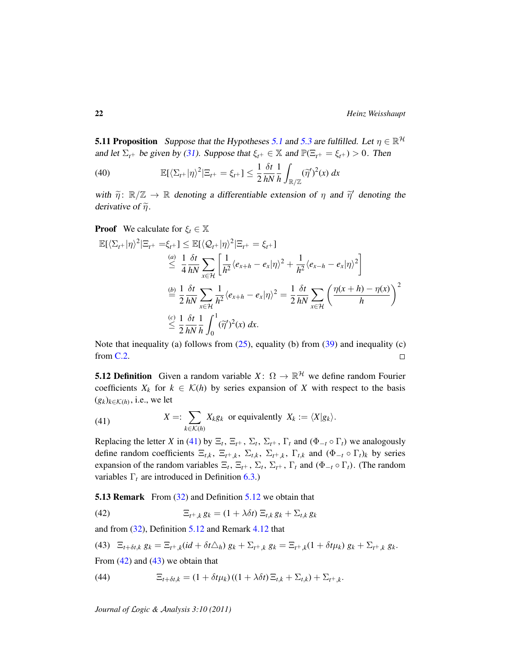<span id="page-21-0"></span>**[5.1](#page-17-2)1 Proposition** Suppose that the Hypotheses 5.1 and [5.3](#page-17-1) are fulfilled. Let  $\eta \in \mathbb{R}^{\mathcal{H}}$ and let  $\Sigma_{t+}$  be given by [\(31\)](#page-19-6). Suppose that  $\xi_{t+} \in \mathbb{X}$  and  $\mathbb{P}(\Xi_{t+} = \xi_{t+}) > 0$ . Then

<span id="page-21-7"></span>(40) 
$$
\mathbb{E}[\langle \Sigma_{t+} | \eta \rangle^2 | \Xi_{t+} = \xi_{t+}] \leq \frac{1}{2} \frac{\delta t}{hN} \frac{1}{h} \int_{\mathbb{R}/\mathbb{Z}} (\widetilde{\eta}')^2(x) dx
$$

with  $\tilde{\eta}$ :  $\mathbb{R}/\mathbb{Z} \to \mathbb{R}$  denoting a differentiable extension of  $\eta$  and  $\tilde{\eta}'$  denoting the denoting of  $\tilde{\approx}$ derivative of  $\tilde{\eta}$ .

**Proof** We calculate for  $\xi_t \in \mathbb{X}$ 

$$
\mathbb{E}[\langle \Sigma_{t+} | \eta \rangle^2 | \Xi_{t+} = \xi_{t+}] \leq \mathbb{E}[\langle \mathcal{Q}_{t+} | \eta \rangle^2 | \Xi_{t+} = \xi_{t+}]
$$
\n
$$
\stackrel{(a)}{\leq} \frac{1}{4} \frac{\delta t}{hN} \sum_{x \in \mathcal{H}} \left[ \frac{1}{h^2} \langle e_{x+h} - e_x | \eta \rangle^2 + \frac{1}{h^2} \langle e_{x-h} - e_x | \eta \rangle^2 \right]
$$
\n
$$
\stackrel{(b)}{=} \frac{1}{2} \frac{\delta t}{hN} \sum_{x \in \mathcal{H}} \frac{1}{h^2} \langle e_{x+h} - e_x | \eta \rangle^2 = \frac{1}{2} \frac{\delta t}{hN} \sum_{x \in \mathcal{H}} \left( \frac{\eta(x+h) - \eta(x)}{h} \right)^2
$$
\n
$$
\stackrel{(c)}{\leq} \frac{1}{2} \frac{\delta t}{hN} \frac{1}{h} \int_0^1 (\widetilde{\eta}')^2(x) dx.
$$

Note that inequality (a) follows from [\(25\)](#page-18-3), equality (b) from [\(39\)](#page-20-5) and inequality (c) from [C.2.](#page-43-1)  $\Box$ 

<span id="page-21-4"></span>**5.12 Definition** Given a random variable  $X: \Omega \to \mathbb{R}^{\mathcal{H}}$  we define random Fourier coefficients  $X_k$  for  $k \in \mathcal{K}(h)$  by series expansion of X with respect to the basis  $(g_k)_{k \in \mathcal{K}(h)}$ , i.e., we let

<span id="page-21-3"></span>(41) 
$$
X =: \sum_{k \in \mathcal{K}(h)} X_k g_k \text{ or equivalently } X_k := \langle X | g_k \rangle.
$$

Replacing the letter *X* in [\(41\)](#page-21-3) by  $\Xi_t$ ,  $\Xi_t$ +,  $\Sigma_t$ ,  $\Sigma_t$ ,  $\Gamma_t$  and ( $\Phi_{-t} \circ \Gamma_t$ ) we analogously define random coefficients  $\Xi_{t,k}$ ,  $\Xi_{t^+,k}$ ,  $\Sigma_{t,k}$ ,  $\Sigma_{t^+,k}$ ,  $\Gamma_{t,k}$  and  $(\Phi_{-t} \circ \Gamma_t)_k$  by series expansion of the random variables  $\Xi_t$ ,  $\Xi_t$ +,  $\Sigma_t$ ,  $\Sigma_t$ +,  $\Gamma_t$  and  $(\Phi_{-t} \circ \Gamma_t)$ . (The random variables  $\Gamma_t$  are introduced in Definition [6.3.](#page-24-2))

<span id="page-21-1"></span>**5.13 Remark** From [\(32\)](#page-19-7) and Definition [5.12](#page-21-4) we obtain that

<span id="page-21-5"></span>(42) 
$$
\Xi_{t^+,k} g_k = (1 + \lambda \delta t) \Xi_{t,k} g_k + \Sigma_{t,k} g_k
$$

and from [\(32\)](#page-19-7), Definition [5.12](#page-21-4) and Remark [4.12](#page-14-1) that

<span id="page-21-6"></span>(43) 
$$
\Xi_{t+\delta t,k} g_k = \Xi_{t+k}(id + \delta t \triangle_h) g_k + \Sigma_{t+k} g_k = \Xi_{t+k}(1 + \delta t \mu_k) g_k + \Sigma_{t+k} g_k.
$$

From  $(42)$  and  $(43)$  we obtain that

<span id="page-21-2"></span>(44) 
$$
\Xi_{t+\delta t,k} = (1+\delta t\mu_k)((1+\lambda\delta t)\Xi_{t,k} + \Sigma_{t,k}) + \Sigma_{t^+,k}.
$$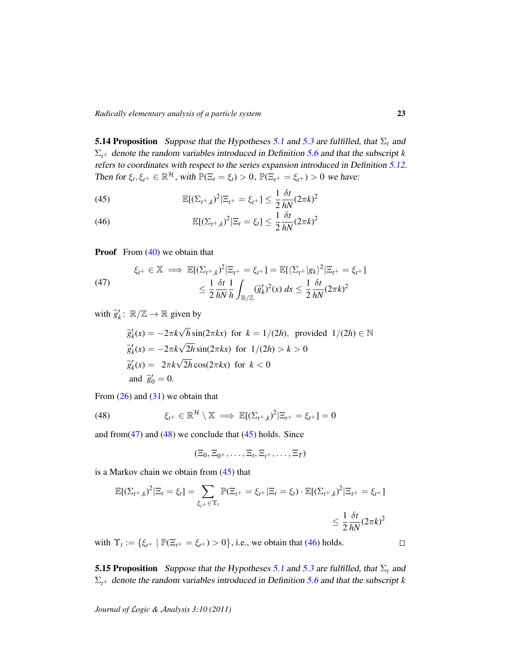<span id="page-22-0"></span>**[5.1](#page-17-2)4 Proposition** Suppose that the Hypotheses 5.1 and [5.3](#page-17-1) are fulfilled, that  $\Sigma_t$  and  $\Sigma_{t+}$  denote the random variables introduced in Definition [5.6](#page-19-1) and that the subscript *k* refers to coordinates with respect to the series expansion introduced in Definition [5.12.](#page-21-4) Then for  $\xi_t, \xi_{t^+} \in \mathbb{R}^{\mathcal{H}}$ , with  $\mathbb{P}(\Xi_t = \xi_t) > 0$ ,  $\mathbb{P}(\Xi_{t^+} = \xi_{t^+}) > 0$  we have:

<span id="page-22-4"></span>(45) 
$$
\mathbb{E}[(\Sigma_{t^+,k})^2|\Xi_{t^+} = \xi_{t^+}] \leq \frac{1}{2} \frac{\delta t}{hN} (2\pi k)^2
$$

<span id="page-22-5"></span>(46) 
$$
\mathbb{E}[(\Sigma_{t^+,k})^2|\Xi_t=\xi_t]\leq \frac{1}{2}\frac{\delta t}{hN}(2\pi k)^2
$$

**Proof** From  $(40)$  we obtain that

<span id="page-22-2"></span>(47) 
$$
\xi_{t^{+}} \in \mathbb{X} \implies \mathbb{E}[(\Sigma_{t^{+},k})^{2} | \Xi_{t^{+}} = \xi_{t^{+}}] = \mathbb{E}[\langle \Sigma_{t^{+}} | g_{k} \rangle^{2} | \Xi_{t^{+}} = \xi_{t^{+}}]
$$

$$
\leq \frac{1}{2} \frac{\delta t}{h N} \frac{1}{h} \int_{\mathbb{R}/\mathbb{Z}} (\widetilde{g}_{k}')^{2}(x) dx \leq \frac{1}{2} \frac{\delta t}{h N} (2\pi k)^{2}
$$

with  $\widetilde{g}'_k$ :  $\mathbb{R}/\mathbb{Z} \to \mathbb{R}$  given by

$$
\widetilde{g}'_k(x) = -2\pi k \sqrt{h} \sin(2\pi kx) \text{ for } k = 1/(2h), \text{ provided } 1/(2h) \in \mathbb{N}
$$
  
\n
$$
\widetilde{g}'_k(x) = -2\pi k \sqrt{2h} \sin(2\pi kx) \text{ for } 1/(2h) > k > 0
$$
  
\n
$$
\widetilde{g}'_k(x) = 2\pi k \sqrt{2h} \cos(2\pi kx) \text{ for } k < 0
$$
  
\nand  $\widetilde{g}'_0 = 0$ .

From  $(26)$  and  $(31)$  we obtain that

(48) 
$$
\xi_{t^+} \in \mathbb{R}^{\mathcal{H}} \setminus \mathbb{X} \implies \mathbb{E}[(\Sigma_{t^+,k})^2 | \Xi_{t^+} = \xi_{t^+}] = 0
$$

and from  $(47)$  and  $(48)$  we conclude that  $(45)$  holds. Since

<span id="page-22-3"></span>
$$
(\Xi_0,\Xi_{0^+},\ldots,\Xi_t,\Xi_{t^+},\ldots,\Xi_T)
$$

is a Markov chain we obtain from  $(45)$  that

$$
\mathbb{E}[(\Sigma_{t^+,k})^2 | \Xi_t = \xi_t] = \sum_{\xi_t + \in \Upsilon_t} \mathbb{P}(\Xi_{t^+} = \xi_{t^+} | \Xi_t = \xi_t) \cdot \mathbb{E}[(\Sigma_{t^+,k})^2 | \Xi_{t^+} = \xi_{t^+}]
$$
  

$$
\leq \frac{1}{2} \frac{\delta t}{hN} (2\pi k)^2
$$

with  $\Upsilon_t := \{ \xi_{t^+} \mid \mathbb{P}(\Xi_{t^+} = \xi_{t^+}) > 0 \}$ , i.e., we obtain that [\(46\)](#page-22-5) holds.

<span id="page-22-1"></span>**[5.1](#page-17-2)5 Proposition** Suppose that the Hypotheses 5.1 and [5.3](#page-17-1) are fulfilled, that  $\Sigma_t$  and  $\Sigma_{t+}$  denote the random variables introduced in Definition [5.6](#page-19-1) and that the subscript *k* 

*Journal of* L*ogic &* A*nalysis 3:10 (2011)*

 $\Box$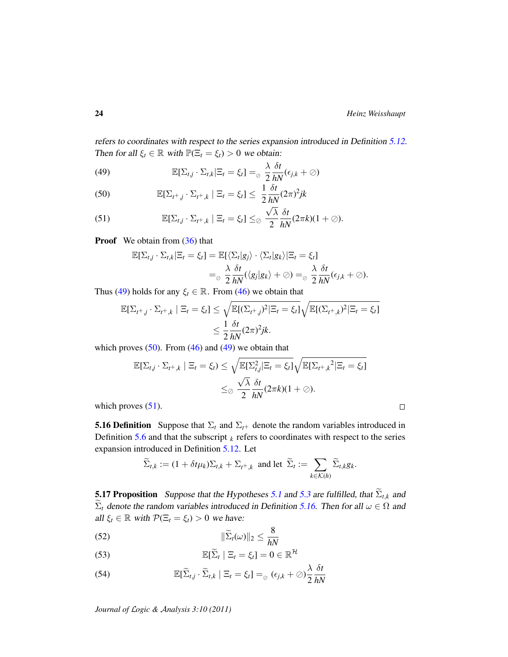refers to coordinates with respect to the series expansion introduced in Definition [5.12.](#page-21-4) Then for all  $\xi_t \in \mathbb{R}$  with  $\mathbb{P}(\Xi_t = \xi_t) > 0$  we obtain:

<span id="page-23-2"></span>(49) 
$$
\mathbb{E}[\Sigma_{t,j} \cdot \Sigma_{t,k} | \Xi_t = \xi_t] =_{\odot} \frac{\lambda}{2} \frac{\delta t}{hN} (\epsilon_{j,k} + \oslash)
$$

<span id="page-23-3"></span>(50) 
$$
\mathbb{E}[\Sigma_{t^+,j} \cdot \Sigma_{t^+,k} \mid \Xi_t = \xi_t] \leq \frac{1}{2} \frac{\delta t}{hN} (2\pi)^2 jk
$$

<span id="page-23-4"></span>(51) 
$$
\mathbb{E}[\Sigma_{t,j}\cdot\Sigma_{t^+,k} \mid \Xi_t=\xi_t]\leq_{\oslash} \frac{\sqrt{\lambda}}{2}\frac{\delta t}{hN}(2\pi k)(1+\oslash).
$$

**Proof** We obtain from [\(36\)](#page-20-2) that

$$
\mathbb{E}[\Sigma_{t,j} \cdot \Sigma_{t,k} | \Xi_t = \xi_t] = \mathbb{E}[\langle \Sigma_t | g_j \rangle \cdot \langle \Sigma_t | g_k \rangle | \Xi_t = \xi_t]
$$
  
= 
$$
\frac{\lambda}{2} \frac{\delta t}{hN} (\langle g_j | g_k \rangle + \emptyset) =_{\emptyset} \frac{\lambda}{2} \frac{\delta t}{hN} (\epsilon_{j,k} + \emptyset).
$$

Thus [\(49\)](#page-23-2) holds for any  $\xi_t \in \mathbb{R}$ . From [\(46\)](#page-22-5) we obtain that

$$
\mathbb{E}[\Sigma_{t^+,j} \cdot \Sigma_{t^+,k} \mid \Xi_t = \xi_t] \leq \sqrt{\mathbb{E}[(\Sigma_{t^+,j})^2 | \Xi_t = \xi_t]} \sqrt{\mathbb{E}[(\Sigma_{t^+,k})^2 | \Xi_t = \xi_t]}
$$

$$
\leq \frac{1}{2} \frac{\delta t}{hN} (2\pi)^2 jk.
$$

which proves  $(50)$ . From  $(46)$  and  $(49)$  we obtain that

$$
\mathbb{E}[\Sigma_{t,j} \cdot \Sigma_{t^+,k} \mid \Xi_t = \xi_t) \leq \sqrt{\mathbb{E}[\Sigma_{t,j}^2 \mid \Xi_t = \xi_t]} \sqrt{\mathbb{E}[\Sigma_{t^+,k}^2 \mid \Xi_t = \xi_t]}
$$

$$
\leq \delta \frac{\sqrt{\lambda}}{2} \frac{\delta t}{hN} (2\pi k)(1+\emptyset).
$$

which proves  $(51)$ .

<span id="page-23-5"></span>**5.16 Definition** Suppose that  $\Sigma_t$  and  $\Sigma_{t+}$  denote the random variables introduced in Definition [5.6](#page-19-1) and that the subscript  $_k$  refers to coordinates with respect to the series expansion introduced in Definition [5.12.](#page-21-4) Let

$$
\widetilde{\Sigma}_{t,k} := (1 + \delta t \mu_k) \Sigma_{t,k} + \Sigma_{t^+,k} \text{ and let } \widetilde{\Sigma}_t := \sum_{k \in \mathcal{K}(h)} \widetilde{\Sigma}_{t,k} g_k.
$$

<span id="page-23-0"></span>**[5.1](#page-17-2)7 Proposition** Suppose that the Hypotheses 5.1 and [5.3](#page-17-1) are fulfilled, that  $\widetilde{\Sigma}_{t,k}$  and  $\widetilde{\Sigma}_t$  denote the random variables introduced in Definition [5.16.](#page-23-5) Then for all  $\omega \in \Omega$  and all  $\xi_t \in \mathbb{R}$  with  $\mathcal{P}(\Xi_t = \xi_t) > 0$  we have:

<span id="page-23-6"></span>
$$
||\widetilde{\Sigma}_t(\omega)||_2 \le \frac{8}{hN}
$$

<span id="page-23-7"></span>(53) 
$$
\mathbb{E}[\widetilde{\Sigma}_t \mid \Xi_t = \xi_t] = 0 \in \mathbb{R}^{\mathcal{H}}
$$

<span id="page-23-1"></span>(54) 
$$
\mathbb{E}[\widetilde{\Sigma}_{t,j} \cdot \widetilde{\Sigma}_{t,k} | \Xi_t = \xi_t] =_{\oslash} (\epsilon_{j,k} + \oslash) \frac{\lambda}{2} \frac{\delta t}{hN}
$$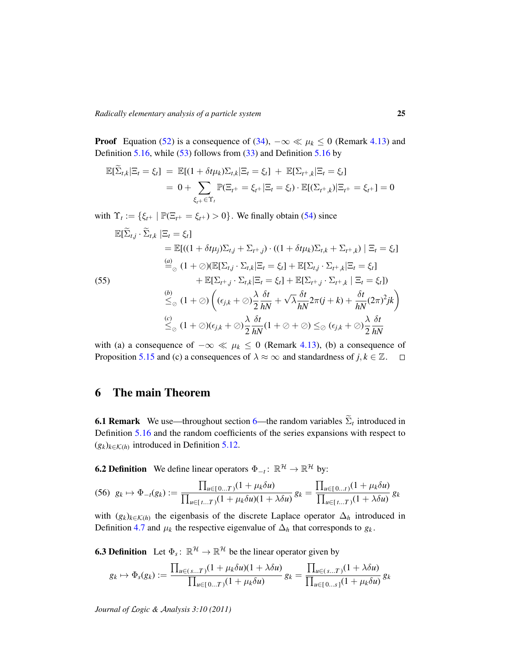**Proof** Equation [\(52\)](#page-23-6) is a consequence of [\(34\)](#page-19-8),  $-\infty \ll \mu_k \le 0$  (Remark [4.13\)](#page-14-0) and Definition [5.16,](#page-23-5) while  $(53)$  follows from  $(33)$  and Definition [5.16](#page-23-5) by

$$
\mathbb{E}[\widetilde{\Sigma}_{t,k}|\Xi_t = \xi_t] = \mathbb{E}[(1 + \delta t \mu_k)\Sigma_{t,k}|\Xi_t = \xi_t] + \mathbb{E}[\Sigma_{t^+,k}|\Xi_t = \xi_t]
$$
  
= 0 +  $\sum_{\xi_{t^+}\in\Upsilon_t} \mathbb{P}(\Xi_{t^+} = \xi_{t^+}|\Xi_t = \xi_t) \cdot \mathbb{E}[(\Sigma_{t^+,k})|\Xi_{t^+} = \xi_{t^+}] = 0$ 

with  $\Upsilon_t := \{ \xi_{t^+} \mid \mathbb{P}(\Xi_{t^+} = \xi_{t^+}) > 0 \}$ . We finally obtain [\(54\)](#page-23-1) since

$$
\mathbb{E}[\widetilde{\Sigma}_{t,j} \cdot \widetilde{\Sigma}_{t,k} \mid \Xi_t = \xi_t]
$$
\n
$$
= \mathbb{E}[( (1 + \delta t \mu_j) \Sigma_{t,j} + \Sigma_{t+j}) \cdot ((1 + \delta t \mu_k) \Sigma_{t,k} + \Sigma_{t+k}) \mid \Xi_t = \xi_t]
$$
\n
$$
\stackrel{(a)}{=} (1 + \oslash)(\mathbb{E}[\Sigma_{t,j} \cdot \Sigma_{t,k} \mid \Xi_t = \xi_t] + \mathbb{E}[\Sigma_{t,j} \cdot \Sigma_{t+k} \mid \Xi_t = \xi_t]
$$
\n(55)\n
$$
+ \mathbb{E}[\Sigma_{t+j} \cdot \Sigma_{t,k} \mid \Xi_t = \xi_t] + \mathbb{E}[\Sigma_{t+j} \cdot \Sigma_{t+k} \mid \Xi_t = \xi_t])
$$
\n
$$
\stackrel{(b)}{\leq_{\oslash}} (1 + \oslash) \left( (\epsilon_{j,k} + \oslash) \frac{\lambda}{2} \frac{\delta t}{hN} + \sqrt{\lambda} \frac{\delta t}{hN} 2\pi (j+k) + \frac{\delta t}{hN} (2\pi)^2 jk \right)
$$
\n
$$
\stackrel{(c)}{\leq_{\oslash}} (1 + \oslash)(\epsilon_{j,k} + \oslash) \frac{\lambda}{2} \frac{\delta t}{hN} (1 + \oslash + \oslash) \leq_{\oslash} (\epsilon_{j,k} + \oslash) \frac{\lambda}{2} \frac{\delta t}{hN}
$$

with (a) a consequence of  $-\infty \ll \mu_k \leq 0$  (Remark [4.13\)](#page-14-0), (b) a consequence of Proposition [5.15](#page-22-1) and (c) a consequences of  $\lambda \approx \infty$  and standardness of *j*,  $k \in \mathbb{Z}$ .  $\square$ 

## <span id="page-24-0"></span>6 The main Theorem

**6.1 Remark** We use—throughout section [6—](#page-24-0)the random variables  $\Sigma_t$  introduced in Definition [5.16](#page-23-5) and the random coefficients of the series expansions with respect to  $(g_k)_{k \in \mathcal{K}(h)}$  introduced in Definition [5.12.](#page-21-4)

<span id="page-24-1"></span>**6.2 Definition** We define linear operators  $\Phi_{-t} : \mathbb{R}^{\mathcal{H}} \to \mathbb{R}^{\mathcal{H}}$  by:

<span id="page-24-3"></span>
$$
(56) \ \ g_k \mapsto \Phi_{-t}(g_k) := \frac{\prod_{u \in [0...T)} (1 + \mu_k \delta u)}{\prod_{u \in [t...T)} (1 + \mu_k \delta u)(1 + \lambda \delta u)} \ g_k = \frac{\prod_{u \in [0...t)} (1 + \mu_k \delta u)}{\prod_{u \in [t...T)} (1 + \lambda \delta u)} \ g_k
$$

with  $(g_k)_{k \in \mathcal{K}(h)}$  the eigenbasis of the discrete Laplace operator  $\Delta_h$  introduced in Definition [4.7](#page-13-2) and  $\mu_k$  the respective eigenvalue of  $\Delta_h$  that corresponds to  $g_k$ .

<span id="page-24-2"></span>**6.3 Definition** Let  $\Phi_s: \mathbb{R}^{\mathcal{H}} \to \mathbb{R}^{\mathcal{H}}$  be the linear operator given by

$$
g_k \mapsto \Phi_s(g_k) := \frac{\prod_{u \in (s...T)} (1 + \mu_k \delta u)(1 + \lambda \delta u)}{\prod_{u \in [0...T)} (1 + \mu_k \delta u)} g_k = \frac{\prod_{u \in (s...T)} (1 + \lambda \delta u)}{\prod_{u \in [0...s]} (1 + \mu_k \delta u)} g_k
$$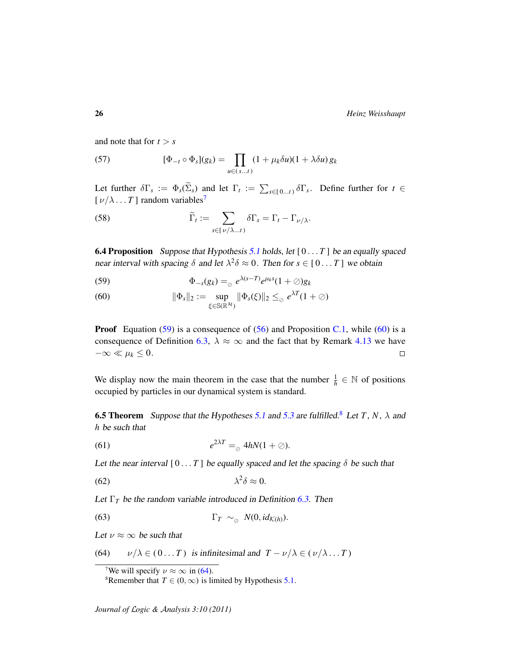26 *Heinz Weisshaupt*

and note that for  $t > s$ 

<span id="page-25-10"></span>(57) 
$$
[\Phi_{-t} \circ \Phi_s](g_k) = \prod_{u \in (s...t)} (1 + \mu_k \delta u)(1 + \lambda \delta u) g_k
$$

Let further  $\delta\Gamma_s := \Phi_s(\Sigma_s)$  and let  $\Gamma_t := \sum_{s \in [0...t)} \delta\Gamma_s$ . Define further for  $t \in$  $[\nu/\lambda \dots T]$  random variables<sup>[7](#page-25-2)</sup>

<span id="page-25-11"></span>(58) 
$$
\widetilde{\Gamma}_t := \sum_{s \in [\nu/\lambda...t)} \delta \Gamma_s = \Gamma_t - \Gamma_{\nu/\lambda}.
$$

<span id="page-25-1"></span>**6.4 Proposition** Suppose that Hypothesis [5.1](#page-17-2) holds, let  $[0 \dots T]$  be an equally spaced near interval with spacing  $\delta$  and let  $\lambda^2 \delta \approx 0$ . Then for  $s \in [0 \dots T]$  we obtain

<span id="page-25-3"></span>(59) 
$$
\Phi_{-s}(g_k) = \underset{\varnothing}{\circ} e^{\lambda(s-T)} e^{\mu_k s} (1+\varnothing) g_k
$$

<span id="page-25-4"></span>(60) 
$$
\|\Phi_s\|_2 := \sup_{\xi \in \mathbb{S}(\mathbb{R}^H)} \|\Phi_s(\xi)\|_2 \leq_{\oslash} e^{\lambda T} (1+\oslash)
$$

**Proof** Equation [\(59\)](#page-25-3) is a consequence of [\(56\)](#page-24-3) and Proposition [C.1,](#page-43-2) while [\(60\)](#page-25-4) is a consequence of Definition [6.3,](#page-24-2)  $\lambda \approx \infty$  and the fact that by Remark [4.13](#page-14-0) we have  $-\infty \ll \mu_k \leq 0.$  $\Box$ 

We display now the main theorem in the case that the number  $\frac{1}{h} \in \mathbb{N}$  of positions occupied by particles in our dynamical system is standard.

<span id="page-25-0"></span>**6.5 Theorem** Suppose that the Hypotheses [5.1](#page-17-2) and [5.3](#page-17-1) are fulfilled.<sup>[8](#page-25-5)</sup> Let *T*, *N*,  $\lambda$  and *h* be such that

<span id="page-25-7"></span>(61) 
$$
e^{2\lambda T} =_{\odot} 4hN(1+\oslash).
$$

Let the near interval  $[0 \dots T]$  be equally spaced and let the spacing  $\delta$  be such that

<span id="page-25-8"></span>
$$
\lambda^2 \delta \approx 0.
$$

Let  $\Gamma_T$  be the random variable introduced in Definition [6.3.](#page-24-2) Then

<span id="page-25-9"></span>(63) 
$$
\Gamma_T \sim_{\oslash} N(0, id_{\mathcal{K}(h)}).
$$

Let  $\nu \approx \infty$  be such that

(64)  $v/\lambda \in (0...T)$  is infinitesimal and  $T - v/\lambda \in (v/\lambda...T)$ 

<span id="page-25-6"></span><span id="page-25-2"></span><sup>&</sup>lt;sup>7</sup>We will specify  $\nu \approx \infty$  in [\(64\)](#page-25-6).

<span id="page-25-5"></span><sup>&</sup>lt;sup>8</sup>Remember that *T*  $\in$  (0,  $\infty$ ) is limited by Hypothesis [5.1.](#page-17-2)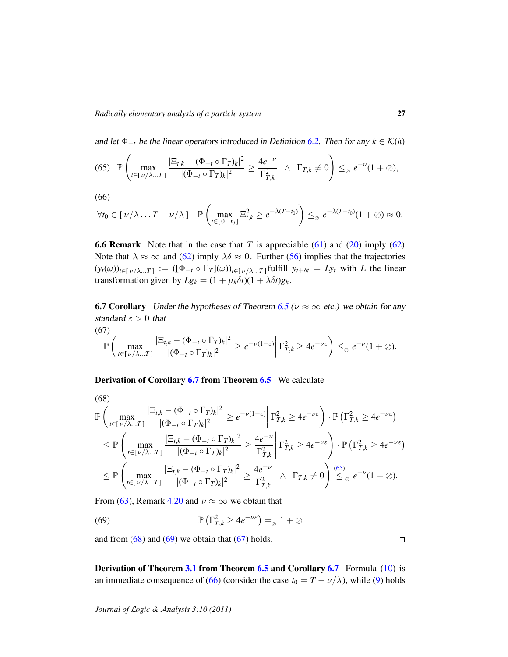and let  $\Phi_{-t}$  be the linear operators introduced in Definition [6.2.](#page-24-1) Then for any  $k \in \mathcal{K}(h)$ 

<span id="page-26-3"></span>
$$
(65) \quad \mathbb{P}\left(\max_{t\in[\nu/\lambda\ldots T]}\frac{|\Xi_{t,k}-(\Phi_{-t}\circ\Gamma_T)_k|^2}{|(\Phi_{-t}\circ\Gamma_T)_k|^2}\geq\frac{4e^{-\nu}}{\Gamma_{T,k}^2}\quad\wedge\quad\Gamma_{T,k}\neq 0\right)\leq_{\oslash}e^{-\nu}(1+\oslash),
$$

$$
(66)
$$

<span id="page-26-2"></span>
$$
\forall t_0 \in [\nu/\lambda \dots T - \nu/\lambda] \quad \mathbb{P}\left(\max_{t \in [0...t_0]} \Xi_{t,k}^2 \geq e^{-\lambda(T-t_0)}\right) \leq_{\oslash} e^{-\lambda(T-t_0)}(1+\oslash) \approx 0.
$$

<span id="page-26-1"></span>6.6 Remark Note that in the case that *T* is appreciable [\(61\)](#page-25-7) and [\(20\)](#page-17-5) imply [\(62\)](#page-25-8). Note that  $\lambda \approx \infty$  and [\(62\)](#page-25-8) imply  $\lambda \delta \approx 0$ . Further [\(56\)](#page-24-3) implies that the trajectories  $(y_t(\omega))_{t \in [\nu/\lambda...T]} := ([\Phi_{-t} \circ \Gamma_T](\omega))_{t \in [\nu/\lambda...T]}$  fulfill  $y_{t+\delta t} = Ly_t$  with *L* the linear transformation given by  $Lg_k = (1 + \mu_k \delta t)(1 + \lambda \delta t)g_k$ .

<span id="page-26-0"></span>**6.7 Corollary** Under the hypotheses of Theorem [6.5](#page-25-0) ( $\nu \approx \infty$  etc.) we obtain for any standard  $\varepsilon > 0$  that

<span id="page-26-6"></span>(67)  

$$
\mathbb{P}\left(\max_{t\in[\nu/\lambda...T]} \frac{|\Xi_{t,k}-(\Phi_{-t}\circ\Gamma_T)_k|^2}{|(\Phi_{-t}\circ\Gamma_T)_k|^2}\geq e^{-\nu(1-\varepsilon)}\bigg|\Gamma_{T,k}^2\geq 4e^{-\nu\varepsilon}\right)\leq_{\odot} e^{-\nu}(1+\oslash).
$$

Derivation of Corollary [6.7](#page-26-0) from Theorem [6.5](#page-25-0) We calculate

<span id="page-26-4"></span>(68)  
\n
$$
\mathbb{P}\left(\max_{t\in[\nu/\lambda...T]} \frac{|\Xi_{t,k} - (\Phi_{-t} \circ \Gamma_T)_k|^2}{|(\Phi_{-t} \circ \Gamma_T)_k|^2} \geq e^{-\nu(1-\varepsilon)} \middle| \Gamma_{T,k}^2 \geq 4e^{-\nu\varepsilon} \right) \cdot \mathbb{P}\left(\Gamma_{T,k}^2 \geq 4e^{-\nu\varepsilon}\right)
$$
\n
$$
\leq \mathbb{P}\left(\max_{t\in[\nu/\lambda...T]} \frac{|\Xi_{t,k} - (\Phi_{-t} \circ \Gamma_T)_k|^2}{|(\Phi_{-t} \circ \Gamma_T)_k|^2} \geq \frac{4e^{-\nu}}{\Gamma_{T,k}^2} \middle| \Gamma_{T,k}^2 \geq 4e^{-\nu\varepsilon} \right) \cdot \mathbb{P}\left(\Gamma_{T,k}^2 \geq 4e^{-\nu\varepsilon}\right)
$$
\n
$$
\leq \mathbb{P}\left(\max_{t\in[\nu/\lambda...T]} \frac{|\Xi_{t,k} - (\Phi_{-t} \circ \Gamma_T)_k|^2}{|(\Phi_{-t} \circ \Gamma_T)_k|^2} \geq \frac{4e^{-\nu}}{\Gamma_{T,k}^2} \land \Gamma_{T,k} \neq 0 \right) \stackrel{(65)}{\leq} e^{-\nu}(1+\emptyset).
$$

From [\(63\)](#page-25-9), Remark [4.20](#page-16-2) and  $\nu \approx \infty$  we obtain that

<span id="page-26-5"></span>(69) 
$$
\mathbb{P}\left(\Gamma_{T,k}^2 \ge 4e^{-\nu \varepsilon}\right) =_{\odot} 1 + \oslash
$$

and from  $(68)$  and  $(69)$  we obtain that  $(67)$  holds.

Derivation of Theorem [3.1](#page-7-1) from Theorem [6.5](#page-25-0) and Corollary [6.7](#page-26-0) Formula [\(10\)](#page-8-0) is an immediate consequence of [\(66\)](#page-26-2) (consider the case  $t_0 = T - \nu/\lambda$ ), while [\(9\)](#page-8-1) holds

*Journal of* L*ogic &* A*nalysis 3:10 (2011)*

 $\Box$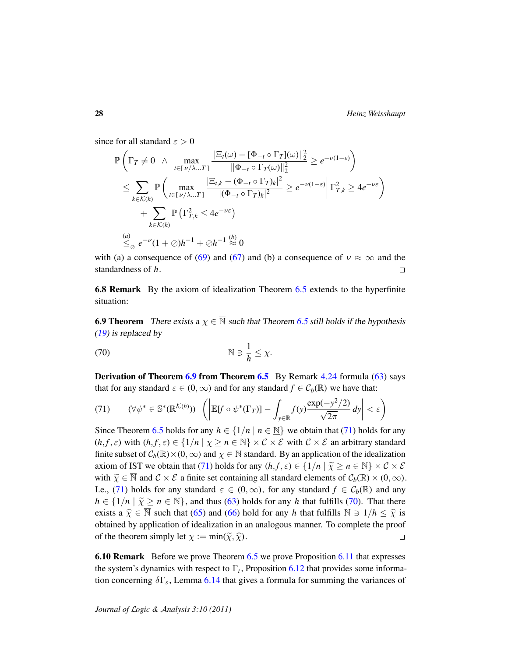since for all standard  $\varepsilon > 0$ 

$$
\mathbb{P}\left(\Gamma_{T} \neq 0 \ \wedge \ \max_{t \in [1/\lambda...T]} \frac{\|\Xi_{t}(\omega) - [\Phi_{-t} \circ \Gamma_{T}](\omega)\|_{2}^{2}}{\|\Phi_{-t} \circ \Gamma_{T}(\omega)\|_{2}^{2}} \geq e^{-\nu(1-\varepsilon)}\right) \n\leq \sum_{k \in \mathcal{K}(h)} \mathbb{P}\left(\max_{t \in [1/\lambda...T]} \frac{|\Xi_{t,k} - (\Phi_{-t} \circ \Gamma_{T})_{k}|^{2}}{|(\Phi_{-t} \circ \Gamma_{T})_{k}|^{2}} \geq e^{-\nu(1-\varepsilon)}\right) \Gamma_{T,k}^{2} \geq 4e^{-\nu\varepsilon} \n+ \sum_{k \in \mathcal{K}(h)} \mathbb{P}\left(\Gamma_{T,k}^{2} \leq 4e^{-\nu\varepsilon}\right) \n\leq_{\oslash} e^{-\nu}(1+\oslash h^{-1} + \oslash h^{-1} \stackrel{(b)}{\approx} 0
$$

with (a) a consequence of [\(69\)](#page-26-5) and [\(67\)](#page-26-6) and (b) a consequence of  $\nu \approx \infty$  and the standardness of *h*.  $\Box$ 

6.8 Remark By the axiom of idealization Theorem [6.5](#page-25-0) extends to the hyperfinite situation:

<span id="page-27-0"></span>**6.9 Theorem** There exists  $a \chi \in \overline{\mathbb{N}}$  such that Theorem [6.5](#page-25-0) still holds if the hypothesis [\(19\)](#page-17-6) is replaced by

<span id="page-27-2"></span>(70) N 3 1 *h* ≤ χ.

**Derivation of Theorem [6.9](#page-27-0) from Theorem [6.5](#page-25-0)** By Remark  $4.24$  formula  $(63)$  says that for any standard  $\varepsilon \in (0,\infty)$  and for any standard  $f \in C_b(\mathbb{R})$  we have that:

<span id="page-27-1"></span>(71) 
$$
(\forall \psi^* \in \mathbb{S}^*(\mathbb{R}^{\mathcal{K}(h)})) \left( \left| \mathbb{E}[f \circ \psi^*(\Gamma_T)] - \int_{y \in \mathbb{R}} f(y) \frac{\exp(-y^2/2)}{\sqrt{2\pi}} dy \right| < \varepsilon \right)
$$

Since Theorem [6.5](#page-25-0) holds for any  $h \in \{1/n \mid n \in \mathbb{N}\}\$  we obtain that [\(71\)](#page-27-1) holds for any  $(h, f, \varepsilon)$  with  $(h, f, \varepsilon) \in \{1/n \mid \chi \geq n \in \mathbb{N}\}\times C \times \mathcal{E}$  with  $C \times \mathcal{E}$  an arbitrary standard finite subset of  $C_b(\mathbb{R}) \times (0,\infty)$  and  $\chi \in \mathbb{N}$  standard. By an application of the idealization axiom of IST we obtain that [\(71\)](#page-27-1) holds for any  $(h, f, \varepsilon) \in \{1/n \mid \tilde{\chi} \ge n \in \mathbb{N}\}\times C \times \mathcal{E}$ with  $\widetilde{\chi} \in \overline{\mathbb{N}}$  and  $\mathcal{C} \times \mathcal{E}$  a finite set containing all standard elements of  $\mathcal{C}_b(\mathbb{R}) \times (0,\infty)$ . I.e., [\(71\)](#page-27-1) holds for any standard  $\varepsilon \in (0,\infty)$ , for any standard  $f \in C_b(\mathbb{R})$  and any  $h \in \{1/n \mid \tilde{\chi} \ge n \in \mathbb{N}\},$  and thus [\(63\)](#page-25-9) holds for any *h* that fulfills [\(70\)](#page-27-2). That there exists a  $\hat{\chi} \in \overline{\mathbb{N}}$  such that [\(65\)](#page-26-3) and [\(66\)](#page-26-2) hold for any *h* that fulfills  $\mathbb{N} \ni 1/h \leq \hat{\chi}$  is obtained by application of idealization in an analogous manner. To complete the proof of the theorem simply let  $\chi := min(\tilde{\chi}, \hat{\chi})$ .  $\Box$ 

**6.10 Remark** Before we prove Theorem [6.5](#page-25-0) we prove Proposition [6.11](#page-28-0) that expresses the system's dynamics with respect to  $\Gamma_t$ , Proposition [6.12](#page-28-2) that provides some information concerning δΓ*<sup>s</sup>* , Lemma [6.14](#page-29-0) that gives a formula for summing the variances of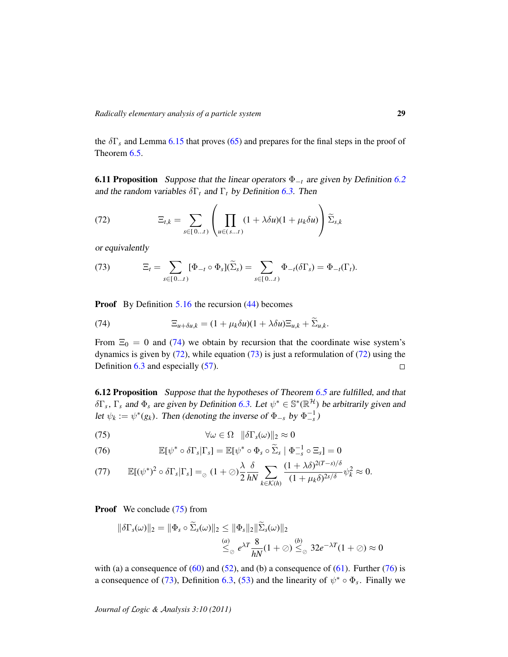the  $\delta\Gamma_s$  and Lemma [6.15](#page-30-0) that proves [\(65\)](#page-26-3) and prepares for the final steps in the proof of Theorem [6.5.](#page-25-0)

<span id="page-28-0"></span>**6.11 Proposition** Suppose that the linear operators  $\Phi_{-t}$  are given by Definition [6.2](#page-24-1) and the random variables  $\delta\Gamma_t$  and  $\Gamma_t$  by Definition [6.3.](#page-24-2) Then

<span id="page-28-4"></span>(72) 
$$
\Xi_{t,k} = \sum_{s \in [0...t)} \left( \prod_{u \in (s...t)} (1 + \lambda \delta u)(1 + \mu_k \delta u) \right) \widetilde{\Sigma}_{s,k}
$$

or equivalently

<span id="page-28-5"></span>(73) 
$$
\Xi_t = \sum_{s \in [0...t]} [\Phi_{-t} \circ \Phi_s] (\widetilde{\Sigma}_s) = \sum_{s \in [0...t)} \Phi_{-t} (\delta \Gamma_s) = \Phi_{-t} (\Gamma_t).
$$

**Proof** By Definition 5.[16](#page-23-5) the recursion [\(44\)](#page-21-2) becomes

<span id="page-28-3"></span>(74) 
$$
\Xi_{u+\delta u,k} = (1+\mu_k \delta u)(1+\lambda \delta u)\Xi_{u,k} + \Sigma_{u,k}.
$$

From  $\Xi_0 = 0$  and [\(74\)](#page-28-3) we obtain by recursion that the coordinate wise system's dynamics is given by  $(72)$ , while equation  $(73)$  is just a reformulation of  $(72)$  using the Definition [6.3](#page-24-2) and especially [\(57\)](#page-25-10).  $\Box$ 

<span id="page-28-2"></span>6.12 Proposition Suppose that the hypotheses of Theorem [6.5](#page-25-0) are fulfilled, and that  $\delta\Gamma_s$ ,  $\Gamma_s$  and  $\Phi_s$  are given by Definition [6.3.](#page-24-2) Let  $\psi^* \in \mathbb{S}^*(\mathbb{R}^{\mathcal{H}})$  be arbitrarily given and let  $\psi_k := \psi^*(g_k)$ . Then (denoting the inverse of  $\Phi_{-s}$  by  $\Phi_{-s}^{-1}$ )

<span id="page-28-6"></span>
$$
\forall \omega \in \Omega \quad \|\delta \Gamma_s(\omega)\|_2 \approx 0
$$

<span id="page-28-7"></span>(76) 
$$
\mathbb{E}[\psi^* \circ \delta \Gamma_s | \Gamma_s] = \mathbb{E}[\psi^* \circ \Phi_s \circ \widetilde{\Sigma}_s | \Phi_{-s}^{-1} \circ \Xi_s] = 0
$$

<span id="page-28-1"></span>
$$
(77) \qquad \mathbb{E}[(\psi^*)^2 \circ \delta \Gamma_s | \Gamma_s] =_{\varnothing} (1+\varnothing) \frac{\lambda}{2} \frac{\delta}{hN} \sum_{k \in \mathcal{K}(h)} \frac{(1+\lambda \delta)^{2(T-s)/\delta}}{(1+\mu_k \delta)^{2s/\delta}} \psi_k^2 \approx 0.
$$

Proof We conclude [\(75\)](#page-28-6) from

$$
\|\delta\Gamma_s(\omega)\|_2 = \|\Phi_s \circ \Sigma_s(\omega)\|_2 \le \|\Phi_s\|_2 \|\Sigma_s(\omega)\|_2
$$
  

$$
\overset{(a)}{\leq_\oslash} e^{\lambda T} \frac{8}{hN} (1+\oslash) \overset{(b)}{\leq_\oslash} 32e^{-\lambda T} (1+\oslash) \approx 0
$$

with (a) a consequence of  $(60)$  and  $(52)$ , and (b) a consequence of  $(61)$ . Further  $(76)$  is a consequence of [\(73\)](#page-28-5), Definition [6.3,](#page-24-2) [\(53\)](#page-23-7) and the linearity of  $\psi^* \circ \Phi_s$ . Finally we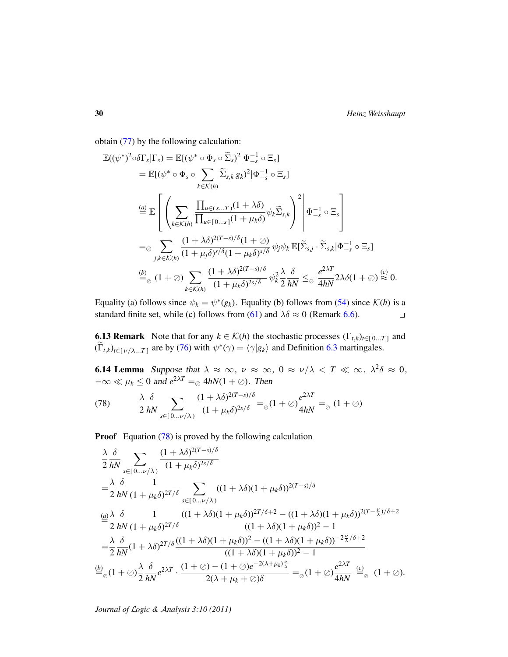obtain [\(77\)](#page-28-1) by the following calculation:

$$
\mathbb{E}((\psi^*)^2 \circ \delta \Gamma_s | \Gamma_s) = \mathbb{E}[(\psi^* \circ \Phi_s \circ \widetilde{\Sigma}_s)^2 | \Phi_{-s}^{-1} \circ \Xi_s]
$$
\n
$$
= \mathbb{E}[(\psi^* \circ \Phi_s \circ \sum_{k \in \mathcal{K}(h)} \widetilde{\Sigma}_{s,k} g_k)^2 | \Phi_{-s}^{-1} \circ \Xi_s]
$$
\n
$$
\stackrel{(a)}{=} \mathbb{E} \left[ \left( \sum_{k \in \mathcal{K}(h)} \frac{\prod_{u \in (s...T)} (1 + \lambda \delta)}{\prod_{u \in [0...s]} (1 + \mu_k \delta)} \psi_k \widetilde{\Sigma}_{s,k} \right)^2 \middle| \Phi_{-s}^{-1} \circ \Xi_s \right]
$$
\n
$$
= \otimes \sum_{j,k \in \mathcal{K}(h)} \frac{(1 + \lambda \delta)^{2(T-s)/\delta} (1 + \emptyset)}{(1 + \mu_j \delta)^{s/\delta} (1 + \mu_k \delta)^{s/\delta}} \psi_j \psi_k \mathbb{E}[\widetilde{\Sigma}_{s,j} \cdot \widetilde{\Sigma}_{s,k} | \Phi_{-s}^{-1} \circ \Xi_s]
$$
\n
$$
\stackrel{(b)}{=} \otimes (1 + \emptyset) \sum_{k \in \mathcal{K}(h)} \frac{(1 + \lambda \delta)^{2(T-s)/\delta}}{(1 + \mu_k \delta)^{2s/\delta}} \psi_k^2 \frac{\lambda}{2} \frac{\delta}{hN} \leq \otimes \frac{e^{2\lambda T}}{4hN} 2\lambda \delta (1 + \emptyset) \stackrel{(c)}{\approx} 0.
$$

Equality (a) follows since  $\psi_k = \psi^*(g_k)$ . Equality (b) follows from [\(54\)](#page-23-1) since  $\mathcal{K}(h)$  is a standard finite set, while (c) follows from [\(61\)](#page-25-7) and  $\lambda \delta \approx 0$  (Remark [6.6\)](#page-26-1).  $\Box$ 

<span id="page-29-2"></span>**6.13 Remark** Note that for any  $k \in \mathcal{K}(h)$  the stochastic processes  $(\Gamma_{t,k})_{t \in [0...T]}$  and  $(\widetilde{\Gamma}_{t,k})_{t \in [\nu/\lambda...T]}$  are by [\(76\)](#page-28-7) with  $\psi^*(\gamma) = \langle \gamma | g_k \rangle$  and Definition [6.3](#page-24-2) martingales.

<span id="page-29-0"></span>**6.14 Lemma** Suppose that  $\lambda \approx \infty$ ,  $\nu \approx \infty$ ,  $0 \approx \nu/\lambda < T \ll \infty$ ,  $\lambda^2 \delta \approx 0$ ,  $-\infty \ll \mu_k \leq 0$  and  $e^{2\lambda T} =_{\odot} 4hN(1+\oslash)$ . Then

<span id="page-29-1"></span>(78) 
$$
\frac{\lambda}{2} \frac{\delta}{hN} \sum_{s \in [0... \nu/\lambda)} \frac{(1 + \lambda \delta)^{2(T-s)/\delta}}{(1 + \mu_k \delta)^{2s/\delta}} =_{\oslash} (1 + \oslash) \frac{e^{2\lambda T}}{4hN} =_{\oslash} (1 + \oslash)
$$

**Proof** Equation [\(78\)](#page-29-1) is proved by the following calculation

$$
\frac{\lambda}{2} \frac{\delta}{hN} \sum_{s \in [0... \nu/\lambda)} \frac{(1 + \lambda \delta)^{2(T-s)/\delta}}{(1 + \mu_k \delta)^{2s/\delta}}
$$
\n
$$
= \frac{\lambda}{2} \frac{\delta}{hN} \frac{1}{(1 + \mu_k \delta)^{2T/\delta}} \sum_{s \in [0... \nu/\lambda)} ((1 + \lambda \delta)(1 + \mu_k \delta))^{2(T-s)/\delta}
$$
\n
$$
\frac{a}{2} \frac{\lambda}{hN} \frac{\delta}{(1 + \mu_k \delta)^{2T/\delta}} \frac{1}{(1 + \lambda \delta)(1 + \mu_k \delta)^{2T/\delta + 2} - ((1 + \lambda \delta)(1 + \mu_k \delta))^{2(T - \frac{\nu}{\lambda})/\delta + 2}}{((1 + \lambda \delta)(1 + \mu_k \delta)^2 - 1)}
$$
\n
$$
= \frac{\lambda}{2} \frac{\delta}{hN} (1 + \lambda \delta)^{2T/\delta} \frac{((1 + \lambda \delta)(1 + \mu_k \delta))^2 - ((1 + \lambda \delta)(1 + \mu_k \delta))^{-2\frac{\nu}{\lambda}/\delta + 2}}{((1 + \lambda \delta)(1 + \mu_k \delta))^2 - 1}
$$
\n
$$
\frac{b}{2} (1 + \infty) \frac{\lambda}{2} \frac{\delta}{hN} e^{2\lambda T} \cdot \frac{(1 + \infty) - (1 + \infty)e^{-2(\lambda + \mu_k)\frac{\nu}{\lambda}}}{2(\lambda + \mu_k + \infty)\delta} = \infty (1 + \infty) \frac{e^{2\lambda T}}{4hN} \stackrel{(c)}{=} \infty (1 + \infty).
$$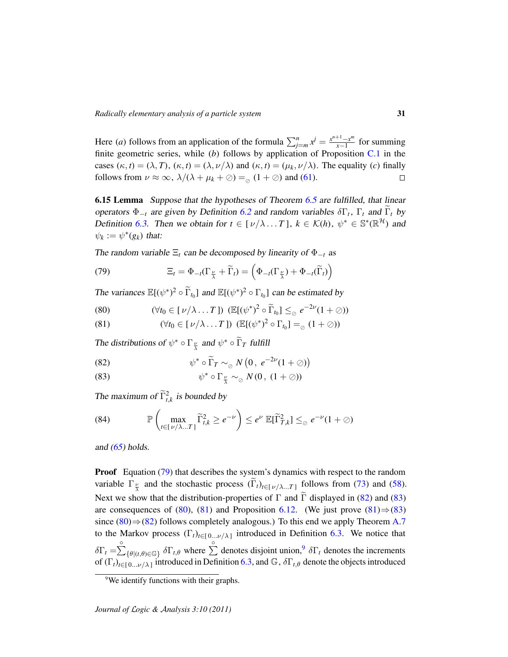Here (*a*) follows from an application of the formula  $\sum_{j=m}^{n} x^{j} = \frac{x^{n+1}-x^{m}}{x-1}$  $\frac{x-1-x^m}{x-1}$  for summing finite geometric series, while (*b*) follows by application of Proposition [C.1](#page-43-2) in the cases  $(\kappa, t) = (\lambda, T)$ ,  $(\kappa, t) = (\lambda, \nu/\lambda)$  and  $(\kappa, t) = (\mu_k, \nu/\lambda)$ . The equality (*c*) finally follows from  $\nu \approx \infty$ ,  $\lambda/(\lambda + \mu_k + \oslash) =_{\odot} (1 + \oslash)$  and [\(61\)](#page-25-7).  $\Box$ 

<span id="page-30-0"></span>**6.15 Lemma** Suppose that the hypotheses of Theorem [6.5](#page-25-0) are fulfilled, that linear operators  $\Phi_{-t}$  are given by Definition [6.2](#page-24-1) and random variables  $\delta\Gamma_t$ ,  $\Gamma_t$  and  $\Gamma_t$  by Definition [6.3.](#page-24-2) Then we obtain for  $t \in [\nu/\lambda \dots T]$ ,  $k \in \mathcal{K}(h)$ ,  $\psi^* \in \mathbb{S}^*(\mathbb{R}^H)$  and  $\psi_k := \psi^*(g_k)$  that:

The random variable  $\Xi_t$  can be decomposed by linearity of  $\Phi_{-t}$  as

<span id="page-30-3"></span>(79) 
$$
\Xi_t = \Phi_{-t}(\Gamma_{\frac{\nu}{\lambda}} + \widetilde{\Gamma}_t) = \left(\Phi_{-t}(\Gamma_{\frac{\nu}{\lambda}}) + \Phi_{-t}(\widetilde{\Gamma}_t)\right)
$$

The variances  $\mathbb{E}[(\psi^*)^2 \circ \widetilde{\Gamma}_{t_0}]$  and  $\mathbb{E}[(\psi^*)^2 \circ \Gamma_{t_0}]$  can be estimated by

<span id="page-30-1"></span>(80) 
$$
(\forall t_0 \in [\nu/\lambda \dots T]) \ (\mathbb{E}[(\psi^*)^2 \circ \widetilde{\Gamma}_{t_0}] \leq_{\oslash} e^{-2\nu} (1+\oslash))
$$

<span id="page-30-5"></span>(81) 
$$
(\forall t_0 \in [\nu/\lambda \dots T]) \ (\mathbb{E}[(\psi^*)^2 \circ \Gamma_{t_0}] =_{\oslash} (1+\oslash))
$$

The distributions of  $\psi^* \circ \Gamma_{\frac{\nu}{\lambda}}$  and  $\psi^* \circ \widetilde{\Gamma}_T$  fulfill

<span id="page-30-4"></span>(82) 
$$
\psi^* \circ \widetilde{\Gamma}_T \sim_{\oslash} N\left(0, e^{-2\nu}(1+\oslash)\right)
$$

<span id="page-30-2"></span>(83) 
$$
\psi^* \circ \Gamma_{\frac{\nu}{\lambda}} \sim_{\oslash} N(0, (1+\oslash))
$$

The maximum of  $\tilde{\Gamma}_{t,k}^2$  is bounded by

<span id="page-30-7"></span>(84) 
$$
\mathbb{P}\left(\max_{t\in[\nu/\lambda...T]}\widetilde{\Gamma}_{t,k}^2 \geq e^{-\nu}\right) \leq e^{\nu}\mathbb{E}[\widetilde{\Gamma}_{T,k}^2] \leq e^{-\nu}(1+\varnothing)
$$

and  $(65)$  holds.

**Proof** Equation [\(79\)](#page-30-3) that describes the system's dynamics with respect to the random variable  $\Gamma_{\frac{\nu}{\lambda}}$  and the stochastic process  $(\Gamma_t)_{t \in [\nu/\lambda...T]}$  follows from [\(73\)](#page-28-5) and [\(58\)](#page-25-11). Next we show that the distribution-properties of  $\Gamma$  and  $\widetilde{\Gamma}$  displayed in [\(82\)](#page-30-4) and [\(83\)](#page-30-2) are consequences of [\(80\)](#page-30-1), [\(81\)](#page-30-5) and Proposition [6.12.](#page-28-2) (We just prove  $(81) \Rightarrow (83)$  $(81) \Rightarrow (83)$ since [\(80\)](#page-30-1) $\Rightarrow$ [\(82\)](#page-30-4) follows completely analogous.) To this end we apply Theorem [A.7](#page-40-0) to the Markov process  $(\Gamma_t)_{t \in [0...\nu/\lambda]}$  introduced in Definition [6.3.](#page-24-2) We notice that  $\delta\Gamma_t = \sum_{\{\theta \mid (t,\theta) \in \mathbb{G}\}}^{\circ} \delta\Gamma_{t,\theta}$  where  $\sum_{n=1}^{\infty}$  denotes disjoint union,<sup>[9](#page-30-6)</sup>  $\delta\Gamma_t$  denotes the increments of  $(\Gamma_t)_{t\in[0,\ldots,\nu/\lambda]}$  introduced in Definition [6.3,](#page-24-2) and  $\mathbb{G}$ ,  $\delta\Gamma_{t,\theta}$  denote the objects introduced

<span id="page-30-6"></span><sup>&</sup>lt;sup>9</sup>We identify functions with their graphs.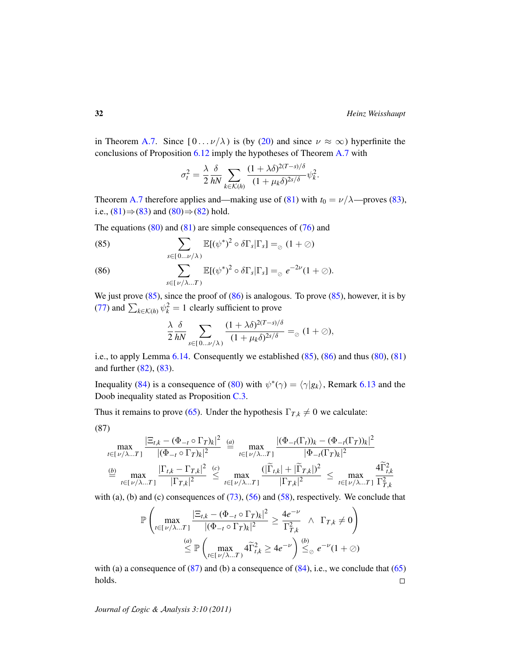in Theorem [A.7.](#page-40-0) Since  $[0 \dots \nu/\lambda)$  is (by [\(20\)](#page-17-5) and since  $\nu \approx \infty$ ) hyperfinite the conclusions of Proposition [6.12](#page-28-2) imply the hypotheses of Theorem [A.7](#page-40-0) with

$$
\sigma_t^2 = \frac{\lambda}{2} \frac{\delta}{hN} \sum_{k \in \mathcal{K}(h)} \frac{(1 + \lambda \delta)^{2(T-s)/\delta}}{(1 + \mu_k \delta)^{2s/\delta}} \psi_k^2.
$$

Theorem [A.7](#page-40-0) therefore applies and—making use of [\(81\)](#page-30-5) with  $t_0 = \nu/\lambda$ —proves [\(83\)](#page-30-2), i.e.,  $(81) \Rightarrow (83)$  $(81) \Rightarrow (83)$  $(81) \Rightarrow (83)$  and  $(80) \Rightarrow (82)$  $(80) \Rightarrow (82)$  $(80) \Rightarrow (82)$  hold.

The equations  $(80)$  and  $(81)$  are simple consequences of  $(76)$  and

<span id="page-31-0"></span>(85) 
$$
\sum_{s \in [0... \nu/\lambda)} \mathbb{E}[(\psi^*)^2 \circ \delta \Gamma_s | \Gamma_s] =_{\oslash} (1 + \oslash)
$$

<span id="page-31-1"></span>(86) 
$$
\sum_{s \in [\nu/\lambda...T)} \mathbb{E}[(\psi^*)^2 \circ \delta \Gamma_s | \Gamma_s] =_{\varnothing} e^{-2\nu} (1 + \varnothing).
$$

We just prove  $(85)$ , since the proof of  $(86)$  is analogous. To prove  $(85)$ , however, it is by [\(77\)](#page-28-1) and  $\sum_{k \in \mathcal{K}(h)} \psi_k^2 = 1$  clearly sufficient to prove

$$
\frac{\lambda}{2} \frac{\delta}{hN} \sum_{s \in [0... \nu/\lambda)} \frac{(1 + \lambda \delta)^{2(T-s)/\delta}}{(1 + \mu_k \delta)^{2s/\delta}} =_{\oslash} (1 + \oslash),
$$

i.e., to apply Lemma [6.14.](#page-29-0) Consequently we established [\(85\)](#page-31-0), [\(86\)](#page-31-1) and thus [\(80\)](#page-30-1), [\(81\)](#page-30-5) and further [\(82\)](#page-30-4), [\(83\)](#page-30-2).

Inequality [\(84\)](#page-30-7) is a consequence of [\(80\)](#page-30-1) with  $\psi^*(\gamma) = \langle \gamma | g_k \rangle$ , Remark [6.13](#page-29-2) and the Doob inequality stated as Proposition [C.3.](#page-44-2)

Thus it remains to prove [\(65\)](#page-26-3). Under the hypothesis  $\Gamma_{T,k} \neq 0$  we calculate:

$$
(87)
$$

<span id="page-31-2"></span>
$$
\max_{t \in [\nu/\lambda...T]} \frac{|\Xi_{t,k} - (\Phi_{-t} \circ \Gamma_T)_k|^2}{|(\Phi_{-t} \circ \Gamma_T)_k|^2} \stackrel{(a)}{=} \max_{t \in [\nu/\lambda...T]} \frac{|(\Phi_{-t}(\Gamma_t))_k - (\Phi_{-t}(\Gamma_T))_k|^2}{|\Phi_{-t}(\Gamma_T)_k|^2}
$$
  

$$
\stackrel{(b)}{=} \max_{t \in [\nu/\lambda...T]} \frac{|\Gamma_{t,k} - \Gamma_{T,k}|^2}{|\Gamma_{T,k}|^2} \stackrel{(c)}{\leq} \max_{t \in [\nu/\lambda...T]} \frac{(|\widetilde{\Gamma}_{t,k}| + |\widetilde{\Gamma}_{T,k}|^2)}{|\Gamma_{T,k}|^2} \leq \max_{t \in [\nu/\lambda...T]} \frac{4\widetilde{\Gamma}_{t,k}^2}{\Gamma_{T,k}^2}
$$

with (a), (b) and (c) consequences of  $(73)$ ,  $(56)$  and  $(58)$ , respectively. We conclude that

$$
\mathbb{P}\left(\max_{t\in[\nu/\lambda...T]} \frac{|\Xi_{t,k} - (\Phi_{-t} \circ \Gamma_T)_k|^2}{|(\Phi_{-t} \circ \Gamma_T)_k|^2} \ge \frac{4e^{-\nu}}{\Gamma_{T,k}^2} \land \Gamma_{T,k} \neq 0\right)
$$

$$
\stackrel{(a)}{\leq} \mathbb{P}\left(\max_{t\in[\nu/\lambda...T]} 4\widetilde{\Gamma}_{t,k}^2 \ge 4e^{-\nu}\right) \stackrel{(b)}{\leq_\varnothing} e^{-\nu}(1+\varnothing)
$$

with (a) a consequence of  $(87)$  and (b) a consequence of  $(84)$ , i.e., we conclude that  $(65)$ holds.  $\Box$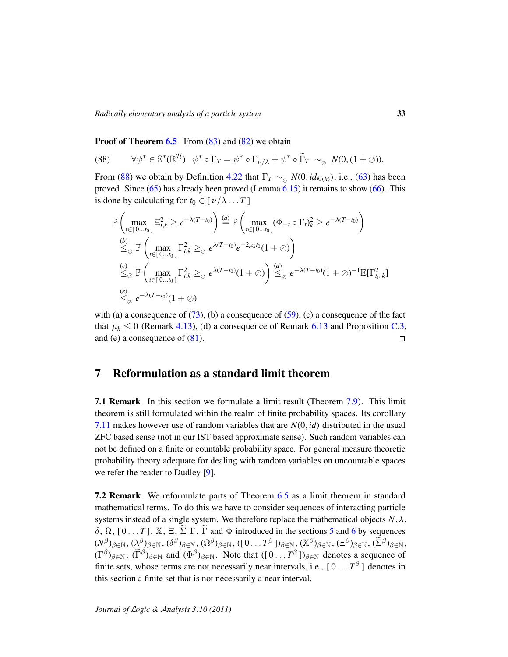*Radically elementary analysis of a particle system* 33

**Proof of Theorem [6.5](#page-25-0)** From  $(83)$  and  $(82)$  we obtain

<span id="page-32-1"></span>(88) 
$$
\forall \psi^* \in \mathbb{S}^*(\mathbb{R}^{\mathcal{H}}) \quad \psi^* \circ \Gamma_T = \psi^* \circ \Gamma_{\nu/\lambda} + \psi^* \circ \widetilde{\Gamma}_T \sim_{\oslash} N(0, (1+\oslash)).
$$

From [\(88\)](#page-32-1) we obtain by Definition [4.22](#page-16-0) that  $\Gamma_T \sim_{\varnothing} N(0, id_{\mathcal{K}(h)})$ , i.e., [\(63\)](#page-25-9) has been proved. Since  $(65)$  has already been proved (Lemma  $6.15$ ) it remains to show  $(66)$ . This is done by calculating for  $t_0 \in [\nu/\lambda \dots T]$ 

$$
\mathbb{P}\left(\max_{t\in[0...t_0]}\Xi_{t,k}^2 \geq e^{-\lambda(T-t_0)}\right) \stackrel{(a)}{=} \mathbb{P}\left(\max_{t\in[0...t_0]}(\Phi_{-t}\circ\Gamma_t)_k^2 \geq e^{-\lambda(T-t_0)}\right)
$$
\n
$$
\stackrel{(b)}{\leq_\emptyset} \mathbb{P}\left(\max_{t\in[0...t_0]}\Gamma_{t,k}^2 \geq_\emptyset e^{\lambda(T-t_0)}e^{-2\mu_k t_0}(1+\emptyset)\right)
$$
\n
$$
\stackrel{(c)}{\leq_\emptyset} \mathbb{P}\left(\max_{t\in[0...t_0]}\Gamma_{t,k}^2 \geq_\emptyset e^{\lambda(T-t_0)}(1+\emptyset)\right) \stackrel{(d)}{\leq_\emptyset} e^{-\lambda(T-t_0)}(1+\emptyset)^{-1}\mathbb{E}[\Gamma_{t_0,k}^2]
$$
\n
$$
\stackrel{(e)}{\leq_\emptyset} e^{-\lambda(T-t_0)}(1+\emptyset)
$$

with (a) a consequence of  $(73)$ , (b) a consequence of  $(59)$ , (c) a consequence of the fact that  $\mu_k \leq 0$  (Remark [4.13\)](#page-14-0), (d) a consequence of Remark [6.13](#page-29-2) and Proposition [C.3,](#page-44-2) and (e) a consequence of [\(81\)](#page-30-5).  $\Box$ 

## <span id="page-32-0"></span>7 Reformulation as a standard limit theorem

7.1 Remark In this section we formulate a limit result (Theorem [7.9\)](#page-34-0). This limit theorem is still formulated within the realm of finite probability spaces. Its corollary [7.11](#page-35-0) makes however use of random variables that are *N*(0, *id*) distributed in the usual ZFC based sense (not in our IST based approximate sense). Such random variables can not be defined on a finite or countable probability space. For general measure theoretic probability theory adequate for dealing with random variables on uncountable spaces we refer the reader to Dudley [\[9\]](#page-45-14).

7.2 Remark We reformulate parts of Theorem [6.5](#page-25-0) as a limit theorem in standard mathematical terms. To do this we have to consider sequences of interacting particle systems instead of a single system. We therefore replace the mathematical objects  $N, \lambda$ ,  $\delta$ , Ω, [0... *T*], X, Ξ, Σ Γ, Γ and Φ introduced in the sections [5](#page-17-0) and [6](#page-24-0) by sequences  $(\mathcal{N}^{\beta})_{\beta \in \mathbb{N}}, (\mathcal{X}^{\beta})_{\beta \in \mathbb{N}}, (\delta^{\beta})_{\beta \in \mathbb{N}}, (\Omega^{\beta})_{\beta \in \mathbb{N}}, ((10\dots T^{\beta}))_{\beta \in \mathbb{N}}, (\mathbb{X}^{\beta})_{\beta \in \mathbb{N}}, (\Xi^{\beta})_{\beta \in \mathbb{N}}, (\widetilde{\Sigma}^{\beta})_{\beta \in \mathbb{N}},$  $(\Gamma^{\beta})_{\beta \in \mathbb{N}}, (\widetilde{\Gamma}^{\beta})_{\beta \in \mathbb{N}}$  and  $(\Phi^{\beta})_{\beta \in \mathbb{N}}$ . Note that  $([0 \dots T^{\beta}])_{\beta \in \mathbb{N}}$  denotes a sequence of finite sets, whose terms are not necessarily near intervals, i.e.,  $[0 \dots T^{\beta}]$  denotes in this section a finite set that is not necessarily a near interval.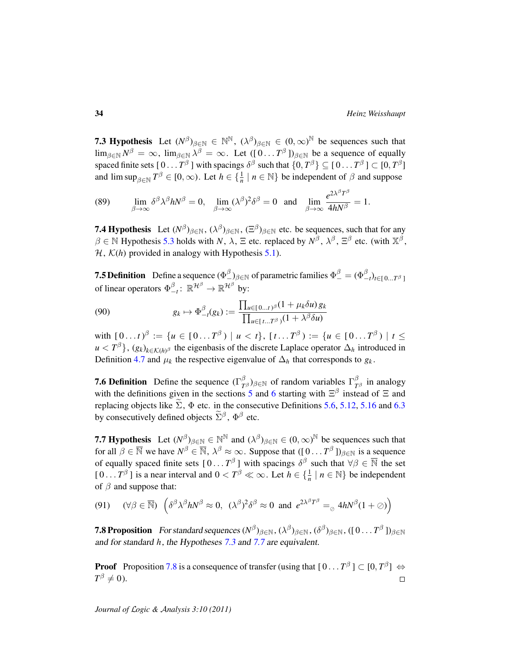<span id="page-33-0"></span>**7.3 Hypothesis** Let  $(N^{\beta})_{\beta \in \mathbb{N}} \in \mathbb{N}^{\mathbb{N}}$ ,  $(\lambda^{\beta})_{\beta \in \mathbb{N}} \in (0, \infty)^{\mathbb{N}}$  be sequences such that  $\lim_{\beta \in \mathbb{N}} N^{\beta} = \infty$ ,  $\lim_{\beta \in \mathbb{N}} \lambda^{\beta} = \infty$ . Let  $([0 \dots T^{\beta}])_{\beta \in \mathbb{N}}$  be a sequence of equally spaced finite sets [  $0\ldots T^\beta$  ] with spacings  $\delta^\beta$  such that  $\{0,T^\beta\}\subseteq$  [  $0\ldots T^\beta$  ]  $\subset [0,T^\beta]$ and  $\limsup_{\beta \in \mathbb{N}} T^{\beta} \in [0, \infty)$ . Let  $h \in \{\frac{1}{n} \mid n \in \mathbb{N}\}\$  be independent of  $\beta$  and suppose

(89) 
$$
\lim_{\beta \to \infty} \delta^{\beta} \lambda^{\beta} h N^{\beta} = 0, \quad \lim_{\beta \to \infty} (\lambda^{\beta})^2 \delta^{\beta} = 0 \quad \text{and} \quad \lim_{\beta \to \infty} \frac{e^{2\lambda^{\beta} T^{\beta}}}{4h N^{\beta}} = 1.
$$

<span id="page-33-3"></span>**7.4 Hypothesis** Let  $(N^{\beta})_{\beta \in \mathbb{N}}$ ,  $(\lambda^{\beta})_{\beta \in \mathbb{N}}$ ,  $(\Xi^{\beta})_{\beta \in \mathbb{N}}$  etc. be sequences, such that for any  $\beta \in \mathbb{N}$  Hypothesis [5.3](#page-17-1) holds with *N*,  $\lambda$ ,  $\Xi$  etc. replaced by  $N^{\beta}$ ,  $\lambda^{\beta}$ ,  $\Xi^{\beta}$  etc. (with  $\mathbb{X}^{\beta}$ ,  $H$ ,  $K(h)$  provided in analogy with Hypothesis [5.1\)](#page-17-2).

**7.5 Definition** Define a sequence  $(\Phi_{-}^{\beta})_{\beta \in \mathbb{N}}$  of parametric families  $\Phi_{-}^{\beta} = (\Phi_{-}^{\beta})$  $\binom{p}{-t}$ *t*∈[0...*T*<sup>β</sup>] of linear operators  $\Phi_{-}^{\beta}$  $\frac{\beta}{\alpha-t}$ : ℝ<sup>Hβ</sup> → ℝ<sup>Hβ</sup> by:

$$
(90) \t\t g_k \mapsto \Phi_{-t}^{\beta}(g_k) := \frac{\prod_{u \in [0...t)^{\beta}} (1 + \mu_k \delta u) g_k}{\prod_{u \in [t...T^{\beta}} (1 + \lambda^{\beta} \delta u)}
$$

 $\text{with } [0 \dots t)^{\beta} := \{ u \in [0 \dots T^{\beta}) \mid u < t \}, [t \dots T^{\beta}) := \{ u \in [0 \dots T^{\beta}) \mid t \leq t \}$  $u < T^{\beta}$ ,  $(g_k)_{k \in \mathcal{K}(h)^\beta}$  the eigenbasis of the discrete Laplace operator  $\Delta_h$  introduced in Definition [4.7](#page-13-2) and  $\mu_k$  the respective eigenvalue of  $\Delta_h$  that corresponds to  $g_k$ .

**7.6 Definition** Define the sequence  $(\Gamma)^{\beta}_{T}$  $({}^{\beta}_{T^{\beta}})_{\beta\in\mathbb{N}}$  of random variables Γ<sup>β</sup>  $T^{\beta}$  in analogy with the definitions given in the sections [5](#page-17-0) and [6](#page-24-0) starting with  $\Xi^{\beta}$  instead of  $\Xi$  and replacing objects like  $\Sigma$ ,  $\Phi$  etc. in the consecutive Definitions [5.6,](#page-19-1) [5.12,](#page-21-4) [5.16](#page-23-5) and [6.3](#page-24-2) by consecutively defined objects  $\tilde{\Sigma}^{\beta}$ ,  $\Phi^{\beta}$  etc.

<span id="page-33-1"></span>**7.7 Hypothesis** Let  $(N^{\beta})_{\beta \in \mathbb{N}} \in \mathbb{N}^{\mathbb{N}}$  and  $(\lambda^{\beta})_{\beta \in \mathbb{N}} \in (0, \infty)^{\mathbb{N}}$  be sequences such that for all  $\beta \in \overline{\mathbb{N}}$  we have  $N^{\beta} \in \overline{\mathbb{N}}$ ,  $\lambda^{\beta} \approx \infty$ . Suppose that  $([0 \dots T^{\beta}])_{\beta \in \mathbb{N}}$  is a sequence of equally spaced finite sets  $[0...T^{\beta}]$  with spacings  $\delta^{\beta}$  such that  $\forall \beta \in \overline{\mathbb{N}}$  the set  $[0...T^{\beta}]$  is a near interval and  $0 < T^{\beta} \ll \infty$ . Let  $h \in \{\frac{1}{n} \mid n \in \mathbb{N}\}\$  be independent of  $\beta$  and suppose that:

(91) 
$$
(\forall \beta \in \overline{\mathbb{N}}) \left( \delta^{\beta} \lambda^{\beta} h N^{\beta} \approx 0, (\lambda^{\beta})^2 \delta^{\beta} \approx 0 \text{ and } e^{2\lambda^{\beta} T^{\beta}} =_{\oslash} 4h N^{\beta} (1 + \oslash) \right)
$$

<span id="page-33-2"></span>**7.8 Proposition** For standard sequences  $(N^{\beta})_{\beta \in \mathbb{N}}$ ,  $(\lambda^{\beta})_{\beta \in \mathbb{N}}$ ,  $(\delta^{\beta})_{\beta \in \mathbb{N}}$ ,  $([0 \dots T^{\beta}])_{\beta \in \mathbb{N}}$ and for standard *h*, the Hypotheses [7.3](#page-33-0) and [7.7](#page-33-1) are equivalent.

**Proof** Proposition [7.8](#page-33-2) is a consequence of transfer (using that  $[0 \dots T^{\beta}] \subset [0, T^{\beta}] \Leftrightarrow$  $T^{\beta} \neq 0$ ).  $\Box$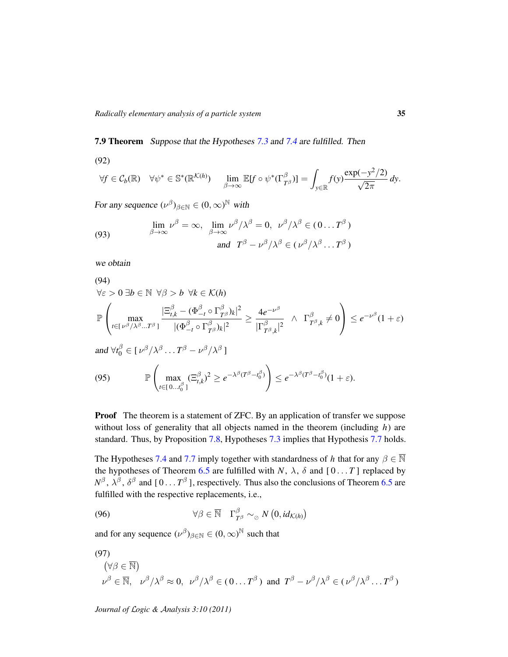### <span id="page-34-0"></span>7.9 Theorem Suppose that the Hypotheses [7.3](#page-33-0) and [7.4](#page-33-3) are fulfilled. Then

$$
(92)
$$

<span id="page-34-5"></span>
$$
\forall f \in \mathcal{C}_b(\mathbb{R}) \quad \forall \psi^* \in \mathbb{S}^*(\mathbb{R}^{\mathcal{K}(h)}) \quad \lim_{\beta \to \infty} \mathbb{E}[f \circ \psi^*(\Gamma_{T^{\beta}}^{\beta})] = \int_{y \in \mathbb{R}} f(y) \frac{\exp(-y^2/2)}{\sqrt{2\pi}} dy.
$$

For any sequence  $(\nu^{\beta})_{\beta \in \mathbb{N}} \in (0, \infty)^{\mathbb{N}}$  with

<span id="page-34-2"></span>(93) 
$$
\lim_{\beta \to \infty} \nu^{\beta} = \infty, \lim_{\beta \to \infty} \nu^{\beta} / \lambda^{\beta} = 0, \quad \nu^{\beta} / \lambda^{\beta} \in (0 \dots T^{\beta})
$$
  
and 
$$
T^{\beta} - \nu^{\beta} / \lambda^{\beta} \in (\nu^{\beta} / \lambda^{\beta} \dots T^{\beta})
$$

we obtain

<span id="page-34-3"></span>(94)  
\n
$$
\forall \varepsilon > 0 \exists b \in \mathbb{N} \ \forall \beta > b \ \forall k \in \mathcal{K}(h)
$$
\n
$$
\mathbb{P}\left(\max_{t \in [\nu^{\beta}/\lambda^{\beta}...T^{\beta}]} \frac{|\Xi_{t,k}^{\beta} - (\Phi_{-t}^{\beta} \circ \Gamma_{T^{\beta}}^{\beta})_k|^2}{|(\Phi_{-t}^{\beta} \circ \Gamma_{T^{\beta}}^{\beta})_k|^2} \geq \frac{4e^{-\nu^{\beta}}}{|\Gamma_{T^{\beta},k}^{\beta}|^2} \ \wedge \ \Gamma_{T^{\beta},k}^{\beta} \neq 0\right) \leq e^{-\nu^{\beta}}(1+\varepsilon)
$$
\nand 
$$
\forall t_0^{\beta} \in [\nu^{\beta}/\lambda^{\beta}...T^{\beta} - \nu^{\beta}/\lambda^{\beta}]
$$
\n(95)\n
$$
\mathbb{P}\left(\max_{t \in [0...t_0^{\beta}]} (\Xi_{t,k}^{\beta})^2 \geq e^{-\lambda^{\beta}(T^{\beta} - t_0^{\beta})}) \leq e^{-\lambda^{\beta}(T^{\beta} - t_0^{\beta})}(1+\varepsilon).
$$

<span id="page-34-4"></span>**Proof** The theorem is a statement of ZFC. By an application of transfer we suppose without loss of generality that all objects named in the theorem (including *h*) are standard. Thus, by Proposition [7.8,](#page-33-2) Hypotheses [7.3](#page-33-0) implies that Hypothesis [7.7](#page-33-1) holds.

The Hypotheses [7.4](#page-33-3) and [7.7](#page-33-1) imply together with standardness of *h* that for any  $\beta \in \overline{\mathbb{N}}$ the hypotheses of Theorem [6.5](#page-25-0) are fulfilled with *N*,  $\lambda$ ,  $\delta$  and  $[0 \dots T]$  replaced by  $N^{\beta}$ ,  $\lambda^{\beta}$ ,  $\delta^{\beta}$  and  $[0 \dots T^{\beta}]$ , respectively. Thus also the conclusions of Theorem [6.5](#page-25-0) are fulfilled with the respective replacements, i.e.,

<span id="page-34-6"></span>(96) 
$$
\forall \beta \in \overline{\mathbb{N}} \quad \Gamma^{\beta}_{T^{\beta}} \sim_{\oslash} N(0, id_{\mathcal{K}(h)})
$$

and for any sequence  $(\nu^{\beta})_{\beta \in \mathbb{N}} \in (0, \infty)^{\mathbb{N}}$  such that

<span id="page-34-1"></span>(97)  
\n
$$
(\forall \beta \in \overline{\mathbb{N}})
$$
  
\n $\nu^{\beta} \in \overline{\mathbb{N}}, \quad \nu^{\beta}/\lambda^{\beta} \approx 0, \quad \nu^{\beta}/\lambda^{\beta} \in (0...T^{\beta}) \text{ and } T^{\beta} - \nu^{\beta}/\lambda^{\beta} \in (\nu^{\beta}/\lambda^{\beta}...T^{\beta})$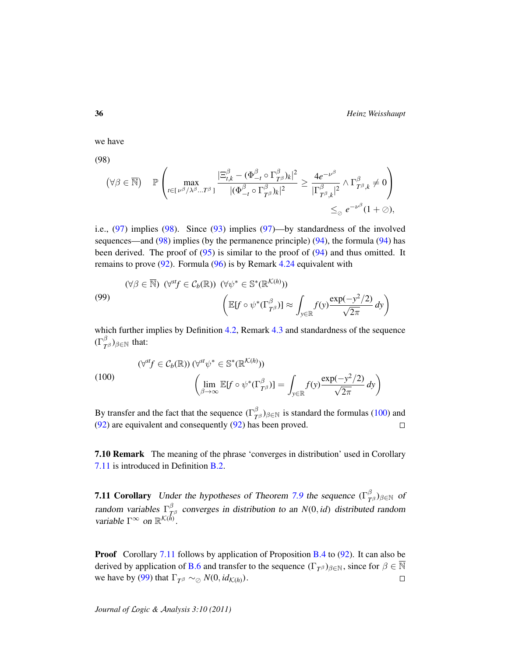36 *Heinz Weisshaupt*

we have

(98)

<span id="page-35-1"></span>
$$
(\forall \beta \in \overline{\mathbb{N}}) \quad \mathbb{P}\left(\max_{t \in [\nu^{\beta}/\lambda^{\beta}...T^{\beta}]} \frac{|\Xi^{\beta}_{t,k} - (\Phi^{\beta}_{-t} \circ \Gamma^{\beta}_{T^{\beta}})_{k}|^{2}}{|(\Phi^{\beta}_{-t} \circ \Gamma^{\beta}_{T^{\beta}})_{k}|^{2}} \geq \frac{4e^{-\nu^{\beta}}}{|\Gamma^{\beta}_{T^{\beta},k}|^{2}} \wedge \Gamma^{\beta}_{T^{\beta},k} \neq 0\right) \leq_{\oslash} e^{-\nu^{\beta}}(1+\oslash),
$$

i.e., [\(97\)](#page-34-1) implies [\(98\)](#page-35-1). Since [\(93\)](#page-34-2) implies [\(97\)](#page-34-1)—by standardness of the involved sequences—and  $(98)$  implies (by the permanence principle)  $(94)$ , the formula  $(94)$  has been derived. The proof of [\(95\)](#page-34-4) is similar to the proof of [\(94\)](#page-34-3) and thus omitted. It remains to prove  $(92)$ . Formula  $(96)$  is by Remark [4.24](#page-16-3) equivalent with

<span id="page-35-3"></span>(99)  
\n
$$
(\forall \beta \in \overline{\mathbb{N}}) \ (\forall^{\text{sf}} \in C_b(\mathbb{R})) \ (\forall \psi^* \in \mathbb{S}^*(\mathbb{R}^{\mathcal{K}(h)}))
$$
\n
$$
\left(\mathbb{E}[f \circ \psi^*(\Gamma_{T^\beta}^\beta)] \approx \int_{y \in \mathbb{R}} f(y) \frac{\exp(-y^2/2)}{\sqrt{2\pi}} dy\right)
$$

which further implies by Definition [4.2,](#page-12-3) Remark [4.3](#page-12-0) and standardness of the sequence  $(\Gamma^{\beta}_{\tau}% )^{2}=(\Gamma^{\beta}_{\tau}% )^{2}+(\Gamma^{\beta}_{\tau}% )^{2}+(\Gamma^{\beta}_{\tau}% )^{2})$  $_{T^{\beta}}^{\rho})_{\beta\in\mathbb{N}}$  that:

<span id="page-35-2"></span>(100)  
\n
$$
(\forall^{st} f \in C_b(\mathbb{R})) (\forall^{st} \psi^* \in \mathbb{S}^*(\mathbb{R}^{\mathcal{K}(h)}))
$$
\n
$$
\left(\lim_{\beta \to \infty} \mathbb{E}[f \circ \psi^*(\Gamma_{T^\beta}^\beta)] = \int_{y \in \mathbb{R}} f(y) \frac{\exp(-y^2/2)}{\sqrt{2\pi}} dy\right)
$$

By transfer and the fact that the sequence  $(\Gamma)^{\beta}_{\tau}$  $(T^{\beta})_{\beta \in \mathbb{N}}$  is standard the formulas [\(100\)](#page-35-2) and [\(92\)](#page-34-5) are equivalent and consequently [\(92\)](#page-34-5) has been proved.  $\Box$ 

7.10 Remark The meaning of the phrase 'converges in distribution' used in Corollary [7.11](#page-35-0) is introduced in Definition [B.2.](#page-42-2)

<span id="page-35-0"></span>**7.11 Corollary** Under the hypotheses of Theorem [7.9](#page-34-0) the sequence  $(\Gamma^{\beta}_{T\beta})_{\beta \in \mathbb{N}}$  of *T* random variables  $\Gamma^{\beta}_{\tau}$ *T* <sup>β</sup> converges in distribution to an *N*(0, *id*) distributed random variable  $\Gamma^{\infty}$  on  $\mathbb{R}^{\mathcal{K}(\bar{h})}$ .

**Proof** Corollary [7.11](#page-35-0) follows by application of Proposition [B.4](#page-42-0) to [\(92\)](#page-34-5). It can also be derived by application of [B.6](#page-42-1) and transfer to the sequence  $(\Gamma_{T^{\beta}})_{\beta \in \mathbb{N}}$ , since for  $\beta \in \overline{\mathbb{N}}$ we have by [\(99\)](#page-35-3) that  $\Gamma_{T^{\beta}} \sim_{\mathcal{O}} N(0, id_{\mathcal{K}(h)})$ .  $\Box$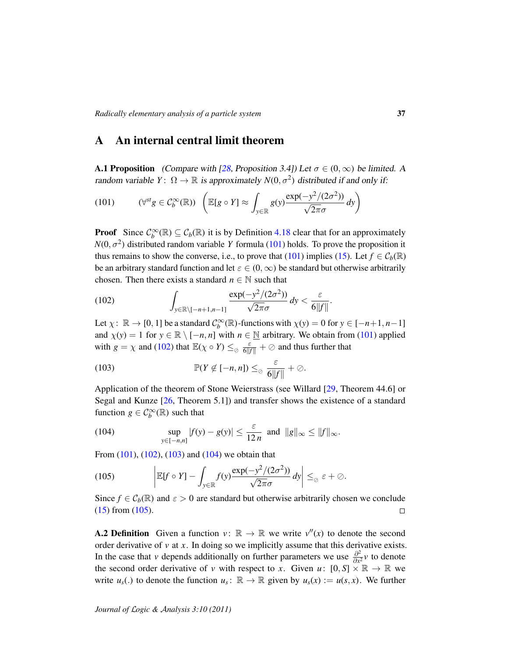### <span id="page-36-0"></span>A An internal central limit theorem

<span id="page-36-6"></span>**A.1 Proposition** (Compare with [\[28,](#page-46-0) Proposition 3.4]) Let  $\sigma \in (0,\infty)$  be limited. A random variable  $Y: \Omega \to \mathbb{R}$  is approximately  $N(0, \sigma^2)$  distributed if and only if:

<span id="page-36-1"></span>(101) 
$$
(\forall^{st} g \in C_b^{\infty}(\mathbb{R})) \left( \mathbb{E}[g \circ Y] \approx \int_{y \in \mathbb{R}} g(y) \frac{\exp(-y^2/(2\sigma^2))}{\sqrt{2\pi}\sigma} dy \right)
$$

**Proof** Since  $C_b^{\infty}(\mathbb{R}) \subseteq C_b(\mathbb{R})$  it is by Definition [4.18](#page-16-1) clear that for an approximately  $N(0, \sigma^2)$  distributed random variable *Y* formula [\(101\)](#page-36-1) holds. To prove the proposition it thus remains to show the converse, i.e., to prove that [\(101\)](#page-36-1) implies [\(15\)](#page-16-4). Let  $f \in C_b(\mathbb{R})$ be an arbitrary standard function and let  $\varepsilon \in (0, \infty)$  be standard but otherwise arbitrarily chosen. Then there exists a standard  $n \in \mathbb{N}$  such that

<span id="page-36-2"></span>(102) 
$$
\int_{y \in \mathbb{R} \setminus [-n+1,n-1]} \frac{\exp(-y^2/(2\sigma^2))}{\sqrt{2\pi}\sigma} dy < \frac{\varepsilon}{6\|f\|}.
$$

Let  $\chi: \mathbb{R} \to [0, 1]$  be a standard  $\mathcal{C}_b^{\infty}(\mathbb{R})$ -functions with  $\chi(y) = 0$  for  $y \in [-n+1, n-1]$ and  $\chi(y) = 1$  for  $y \in \mathbb{R} \setminus [-n, n]$  with  $n \in \mathbb{N}$  arbitrary. We obtain from [\(101\)](#page-36-1) applied with  $g = \chi$  and [\(102\)](#page-36-2) that  $\mathbb{E}(\chi \circ Y) \leq_{\emptyset} \frac{\varepsilon}{6||f||} + \emptyset$  and thus further that

<span id="page-36-3"></span>(103) 
$$
\mathbb{P}(Y \notin [-n, n]) \leq_{\oslash} \frac{\varepsilon}{6||f||} + \oslash.
$$

Application of the theorem of Stone Weierstrass (see Willard [\[29,](#page-46-2) Theorem 44.6] or Segal and Kunze [\[26,](#page-46-3) Theorem 5.1]) and transfer shows the existence of a standard function  $g \in C_b^{\infty}(\mathbb{R})$  such that

<span id="page-36-4"></span>(104) 
$$
\sup_{y\in[-n,n]}|f(y)-g(y)|\leq \frac{\varepsilon}{12n} \text{ and } \|g\|_{\infty}\leq \|f\|_{\infty}.
$$

From  $(101)$ ,  $(102)$ ,  $(103)$  and  $(104)$  we obtain that

<span id="page-36-5"></span>(105) 
$$
\left| \mathbb{E}[f \circ Y] - \int_{y \in \mathbb{R}} f(y) \frac{\exp(-y^2/(2\sigma^2))}{\sqrt{2\pi}\sigma} dy \right| \leq_{\oslash} \varepsilon + \oslash.
$$

Since  $f \in \mathcal{C}_b(\mathbb{R})$  and  $\varepsilon > 0$  are standard but otherwise arbitrarily chosen we conclude [\(15\)](#page-16-4) from [\(105\)](#page-36-5).  $\Box$ 

**A.2 Definition** Given a function  $v: \mathbb{R} \to \mathbb{R}$  we write  $v''(x)$  to denote the second order derivative of *v* at *x*. In doing so we implicitly assume that this derivative exists. In the case that *v* depends additionally on further parameters we use  $\frac{\partial^2}{\partial x^2}$  $\frac{\partial^2}{\partial x^2}$ *v* to denote the second order derivative of *v* with respect to *x*. Given  $u: [0, S] \times \mathbb{R} \to \mathbb{R}$  we write  $u_s(.)$  to denote the function  $u_s: \mathbb{R} \to \mathbb{R}$  given by  $u_s(x) := u(s, x)$ . We further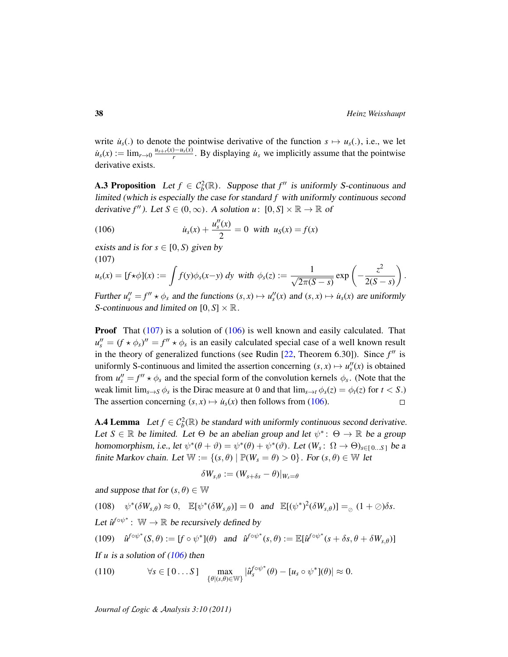write  $\dot{u}_s(.)$  to denote the pointwise derivative of the function  $s \mapsto u_s(.)$ , i.e., we let  $\dot{u}_s(x) := \lim_{r \to 0} \frac{u_{s+r}(x) - u_s(x)}{r}$  $\frac{y - u_s(x)}{r}$ . By displaying  $\dot{u}_s$  we implicitly assume that the pointwise derivative exists.

<span id="page-37-2"></span>**A.3 Proposition** Let  $f \in C_b^2(\mathbb{R})$ . Suppose that  $f''$  is uniformly S-continuous and limited (which is especially the case for standard *f* with uniformly continuous second derivative  $f''$ ). Let  $S \in (0, \infty)$ . A solution  $u: [0, S] \times \mathbb{R} \to \mathbb{R}$  of

<span id="page-37-1"></span>(106) 
$$
\dot{u}_s(x) + \frac{u''_s(x)}{2} = 0 \text{ with } u_s(x) = f(x)
$$

exists and is for  $s \in [0, S)$  given by (107)

<span id="page-37-0"></span>
$$
u_s(x) = [f \star \phi](x) := \int f(y) \phi_s(x-y) \, dy \text{ with } \phi_s(z) := \frac{1}{\sqrt{2\pi(S-s)}} \exp\left(-\frac{z^2}{2(S-s)}\right).
$$

Further  $u''_s = f'' \star \phi_s$  and the functions  $(s, x) \mapsto u''_s(x)$  and  $(s, x) \mapsto u_s(x)$  are uniformly S-continuous and limited on  $[0, S] \times \mathbb{R}$ .

**Proof** That  $(107)$  is a solution of  $(106)$  is well known and easily calculated. That  $u''_s = (f \star \phi_s)' = f'' \star \phi_s$  is an easily calculated special case of a well known result in the theory of generalized functions (see Rudin  $[22,$  Theorem 6.30]). Since  $f''$  is uniformly S-continuous and limited the assertion concerning  $(s, x) \mapsto u''_s(x)$  is obtained from  $u''_s = f'' \star \phi_s$  and the special form of the convolution kernels  $\phi_s$ . (Note that the weak limit  $\lim_{s\to S}\phi_s$  is the Dirac measure at 0 and that  $\lim_{s\to t}\phi_s(z) = \phi_t(z)$  for  $t < S$ .) The assertion concerning  $(s, x) \mapsto u_s(x)$  then follows from [\(106\)](#page-37-1).  $\Box$ 

<span id="page-37-6"></span>**A.4 Lemma** Let  $f \in C_b^2(\mathbb{R})$  be standard with uniformly continuous second derivative. Let  $S \in \mathbb{R}$  be limited. Let  $\Theta$  be an abelian group and let  $\psi^* \colon \Theta \to \mathbb{R}$  be a group homomorphism, i.e., let  $\psi^*(\theta + \vartheta) = \psi^*(\theta) + \psi^*(\vartheta)$ . Let  $(W_s: \Omega \to \Theta)_{s \in [0...S]}$  be a finite Markov chain. Let  $\mathbb{W} := \{(s, \theta) \mid \mathbb{P}(W_s = \theta) > 0\}$ . For  $(s, \theta) \in \mathbb{W}$  let

$$
\delta W_{s,\theta}:=(W_{s+\delta s}-\theta)|_{W_s=\theta}
$$

and suppose that for  $(s, \theta) \in \mathbb{W}$ 

<span id="page-37-3"></span> $(108)$   $\psi^*(\delta W_{s,\theta}) \approx 0$ ,  $\mathbb{E}[\psi^*(\delta W_{s,\theta})] = 0$  and  $\mathbb{E}[(\psi^*)^2(\delta W_{s,\theta})] =_{\oslash} (1+\oslash)\delta s$ . Let  $\hat{u}^{f \circ \psi^*}$ : W  $\to \mathbb{R}$  be recursively defined by ∗ ∗ ∗

<span id="page-37-4"></span>(109) 
$$
\hat{u}^{f \circ \psi^*}(S, \theta) := [f \circ \psi^*](\theta)
$$
 and  $\hat{u}^{f \circ \psi^*}(s, \theta) := \mathbb{E}[\hat{u}^{f \circ \psi^*}(s + \delta s, \theta + \delta W_{s, \theta})]$ 

If *u* is a solution of [\(106\)](#page-37-1) then

<span id="page-37-5"></span>(110) 
$$
\forall s \in [0...S] \quad \max_{\{\theta | (s,\theta) \in \mathbb{W}\}} |\hat{u}_s^{f \circ \psi^*}(\theta) - [u_s \circ \psi^*](\theta)| \approx 0.
$$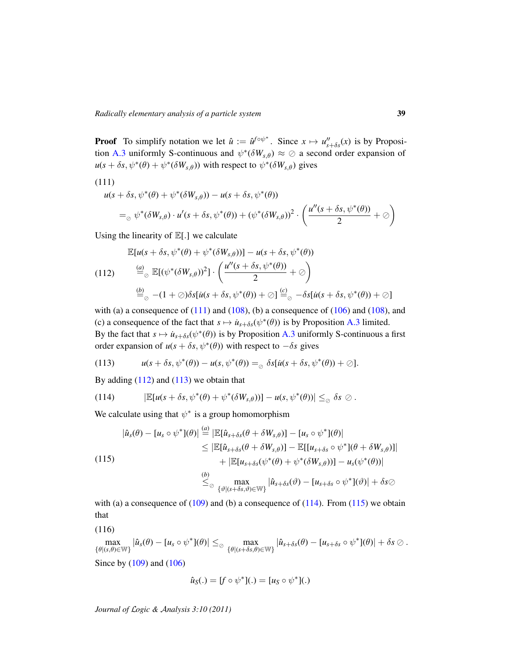**Proof** To simplify notation we let  $\hat{u} := \hat{u}^{f \circ \psi^*}$ . Since  $x \mapsto u''_{s+\delta s}(x)$  is by Proposi-tion [A.3](#page-37-2) uniformly S-continuous and  $\psi^*(\delta W_{s,\theta}) \approx \emptyset$  a second order expansion of  $u(s + \delta s, \psi^*(\theta) + \psi^*(\delta W_{s,\theta}))$  with respect to  $\psi^*(\delta W_{s,\theta})$  gives

$$
(111)
$$

<span id="page-38-0"></span>
$$
u(s + \delta s, \psi^*(\theta) + \psi^*(\delta W_{s,\theta})) - u(s + \delta s, \psi^*(\theta))
$$
  
=<sub>o</sub>  $\psi^*(\delta W_{s,\theta}) \cdot u'(s + \delta s, \psi^*(\theta)) + (\psi^*(\delta W_{s,\theta}))^2 \cdot \left(\frac{u''(s + \delta s, \psi^*(\theta))}{2} + \emptyset\right)$ 

Using the linearity of  $\mathbb{E}[.]$  we calculate

$$
\mathbb{E}[u(s+\delta s,\psi^*(\theta)+\psi^*(\delta W_{s,\theta}))]-u(s+\delta s,\psi^*(\theta))
$$

<span id="page-38-1"></span>(112) 
$$
\stackrel{(a)}{=} \mathbb{E}[(\psi^*(\delta W_{s,\theta}))^2] \cdot \left(\frac{u''(s+\delta s, \psi^*(\theta))}{2} + \emptyset\right)
$$

$$
\stackrel{(b)}{=} \circ - (1+\emptyset)\delta s[\dot{u}(s+\delta s, \psi^*(\theta)) + \emptyset] \stackrel{(c)}{=} \circ -\delta s[\dot{u}(s+\delta s, \psi^*(\theta)) + \emptyset]
$$

with (a) a consequence of  $(111)$  and  $(108)$ , (b) a consequence of  $(106)$  and  $(108)$ , and (c) a consequence of the fact that  $s \mapsto u_{s+\delta s}(\psi^*(\theta))$  is by Proposition [A.3](#page-37-2) limited. By the fact that  $s \mapsto u_{s+\delta s}(\psi^*(\theta))$  is by Proposition [A.3](#page-37-2) uniformly S-continuous a first order expansion of  $u(s + \delta s, \psi^*(\theta))$  with respect to  $-\delta s$  gives

<span id="page-38-2"></span>(113) 
$$
u(s+\delta s,\psi^*(\theta)) - u(s,\psi^*(\theta)) =_{\oslash} \delta s [u(s+\delta s,\psi^*(\theta)) + \oslash].
$$

By adding  $(112)$  and  $(113)$  we obtain that

<span id="page-38-3"></span>(114) 
$$
|\mathbb{E}[u(s+\delta s,\psi^*(\theta)+\psi^*(\delta W_{s,\theta}))]-u(s,\psi^*(\theta))|\leq_{\oslash}\delta s\oslash.
$$

We calculate using that  $\psi^*$  is a group homomorphism

<span id="page-38-4"></span>
$$
|\hat{u}_s(\theta) - [u_s \circ \psi^*](\theta)| \stackrel{(a)}{=} |\mathbb{E}[\hat{u}_{s+\delta s}(\theta + \delta W_{s,\theta})] - [u_s \circ \psi^*](\theta)|
$$
  
\n
$$
\leq |\mathbb{E}[\hat{u}_{s+\delta s}(\theta + \delta W_{s,\theta})] - \mathbb{E}[[u_{s+\delta s} \circ \psi^*](\theta + \delta W_{s,\theta})]|
$$
  
\n
$$
+ |\mathbb{E}[u_{s+\delta s}(\psi^*(\theta) + \psi^*(\delta W_{s,\theta}))] - u_s(\psi^*(\theta))|
$$
  
\n
$$
\stackrel{(b)}{\leq} \max_{\{\vartheta | (s+\delta s,\vartheta) \in \mathbb{W}\}} |\hat{u}_{s+\delta s}(\vartheta) - [u_{s+\delta s} \circ \psi^*](\vartheta)| + \delta s \oslash
$$

with (a) a consequence of  $(109)$  and (b) a consequence of  $(114)$ . From  $(115)$  we obtain that

<span id="page-38-5"></span>(116)

 $\max_{\{\theta|(s,\theta)\in\mathbb{W}\}}|\hat{u}_s(\theta)-[u_s\circ\psi^*](\theta)| \leq_{\oslash} \max_{\{\theta|(s+\delta s,\theta)\in\mathbb{W}\}}|\hat{u}_{s+\delta s}(\theta)-[u_{s+\delta s}\circ\psi^*](\theta)|+\delta s\oslash.$ 

Since by [\(109\)](#page-37-4) and [\(106\)](#page-37-1)

$$
\hat{u}_S(.) = [f \circ \psi^*](.) = [u_S \circ \psi^*](.)
$$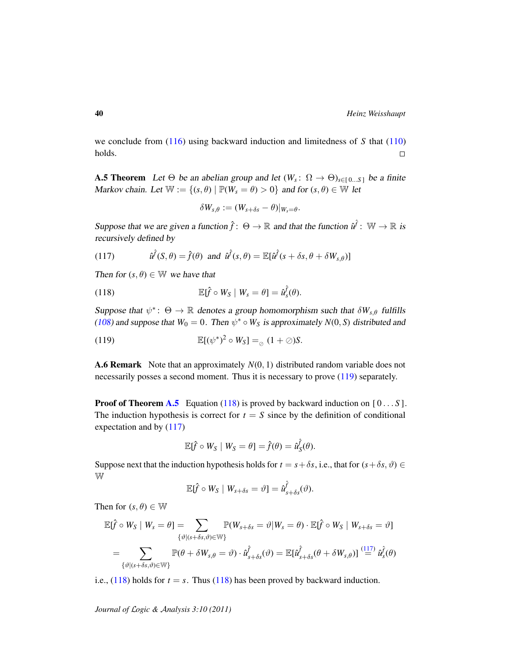we conclude from [\(116\)](#page-38-5) using backward induction and limitedness of *S* that [\(110\)](#page-37-5) holds.  $\Box$ 

<span id="page-39-0"></span>**A.5 Theorem** Let  $\Theta$  be an abelian group and let  $(W_s: \Omega \to \Theta)_{s \in [0...S]}$  be a finite Markov chain. Let  $\mathbb{W} := \{(s, \theta) \mid \mathbb{P}(W_s = \theta) > 0\}$  and for  $(s, \theta) \in \mathbb{W}$  let

<span id="page-39-2"></span>
$$
\delta W_{s,\theta} := (W_{s+\delta s} - \theta)|_{W_s = \theta}.
$$

Suppose that we are given a function  $\hat{f}$ :  $\Theta \to \mathbb{R}$  and that the function  $\hat{u}^{\hat{f}}$ :  $\mathbb{W} \to \mathbb{R}$  is recursively defined by

<span id="page-39-3"></span>(117) 
$$
\hat{u}^{\hat{f}}(S,\theta) = \hat{f}(\theta) \text{ and } \hat{u}^{\hat{f}}(s,\theta) = \mathbb{E}[\hat{u}^{\hat{f}}(s+\delta s,\theta+\delta W_{s,\theta})]
$$

Then for  $(s, \theta) \in \mathbb{W}$  we have that

(118) 
$$
\mathbb{E}[\hat{f} \circ W_S \mid W_s = \theta] = \hat{u}_s^{\hat{f}}(\theta).
$$

Suppose that  $\psi^* \colon \Theta \to \mathbb{R}$  denotes a group homomorphism such that  $\delta W_{s,\theta}$  fulfills [\(108\)](#page-37-3) and suppose that  $W_0 = 0$ . Then  $\psi^* \circ W_S$  is approximately  $N(0, S)$  distributed and

<span id="page-39-1"></span>(119) 
$$
\mathbb{E}[(\psi^*)^2 \circ W_S] =_{\odot} (1 + \oslash)S.
$$

A.6 Remark Note that an approximately *N*(0, 1) distributed random variable does not necessarily posses a second moment. Thus it is necessary to prove [\(119\)](#page-39-1) separately.

**Proof of Theorem [A.5](#page-39-0)** Equation [\(118\)](#page-39-2) is proved by backward induction on  $[0...S]$ . The induction hypothesis is correct for  $t = S$  since by the definition of conditional expectation and by [\(117\)](#page-39-3)

$$
\mathbb{E}[\hat{f} \circ W_S \mid W_S = \theta] = \hat{f}(\theta) = \hat{u}_S^{\hat{f}}(\theta).
$$

Suppose next that the induction hypothesis holds for  $t = s + \delta s$ , i.e., that for  $(s + \delta s, \vartheta) \in$ W

$$
\mathbb{E}[\hat{f} \circ W_S \mid W_{s+\delta s} = \vartheta] = \hat{u}_{s+\delta s}^{\hat{f}}(\vartheta).
$$

Then for  $(s, \theta) \in \mathbb{W}$ 

$$
\mathbb{E}[\hat{f} \circ W_S \mid W_s = \theta] = \sum_{\{\vartheta \mid (s+\delta s, \vartheta) \in \mathbb{W}\}} \mathbb{P}(W_{s+\delta s} = \vartheta \mid W_s = \theta) \cdot \mathbb{E}[\hat{f} \circ W_S \mid W_{s+\delta s} = \vartheta]
$$

$$
= \sum_{\{\vartheta \mid (s+\delta s, \vartheta) \in \mathbb{W}\}} \mathbb{P}(\theta + \delta W_{s,\theta} = \vartheta) \cdot \hat{u}_{s+\delta s}^{\hat{f}}(\vartheta) = \mathbb{E}[\hat{u}_{s+\delta s}^{\hat{f}}(\theta + \delta W_{s,\theta})] \stackrel{(117)}{=} \hat{u}_s^{\hat{f}}(\theta)
$$

i.e.,  $(118)$  holds for  $t = s$ . Thus  $(118)$  has been proved by backward induction.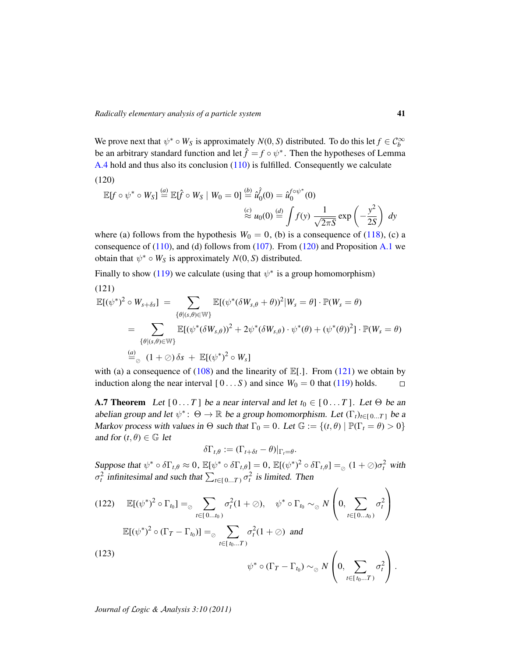We prove next that  $\psi^* \circ W_S$  is approximately  $N(0, S)$  distributed. To do this let  $f \in C_b^{\infty}$ be an arbitrary standard function and let  $\hat{f} = f \circ \psi^*$ . Then the hypotheses of Lemma [A.4](#page-37-6) hold and thus also its conclusion [\(110\)](#page-37-5) is fulfilled. Consequently we calculate (120)

<span id="page-40-1"></span>
$$
\mathbb{E}[f \circ \psi^* \circ W_S] \stackrel{(a)}{=} \mathbb{E}[\hat{f} \circ W_S \mid W_0 = 0] \stackrel{(b)}{=} \hat{u}_0^{\hat{f}}(0) = \hat{u}_0^{f \circ \psi^*}(0)
$$
  

$$
\stackrel{(c)}{\approx} u_0(0) \stackrel{(d)}{=} \int f(y) \frac{1}{\sqrt{2\pi S}} \exp\left(-\frac{y^2}{2S}\right) dy
$$

where (a) follows from the hypothesis  $W_0 = 0$ , (b) is a consequence of [\(118\)](#page-39-2), (c) a consequence of  $(110)$ , and  $(d)$  follows from  $(107)$ . From  $(120)$  and Proposition [A.1](#page-36-6) we obtain that  $\psi^* \circ W_S$  is approximately  $N(0, S)$  distributed.

Finally to show [\(119\)](#page-39-1) we calculate (using that  $\psi^*$  is a group homomorphism) (121)

<span id="page-40-2"></span>
$$
\mathbb{E}[(\psi^*)^2 \circ W_{s+\delta s}] = \sum_{\{\theta|(s,\theta) \in \mathbb{W}\}} \mathbb{E}[(\psi^*(\delta W_{s,\theta} + \theta))^2 | W_s = \theta] \cdot \mathbb{P}(W_s = \theta)
$$
  
\n
$$
= \sum_{\{\theta|(s,\theta) \in \mathbb{W}\}} \mathbb{E}[(\psi^*(\delta W_{s,\theta}))^2 + 2\psi^*(\delta W_{s,\theta}) \cdot \psi^*(\theta) + (\psi^*(\theta))^2] \cdot \mathbb{P}(W_s = \theta)
$$
  
\n
$$
\stackrel{(a)}{=} {}_{\odot} (1 + \oslash) \delta s + \mathbb{E}[(\psi^*)^2 \circ W_s]
$$

with (a) a consequence of [\(108\)](#page-37-3) and the linearity of  $\mathbb{E}[.]$ . From [\(121\)](#page-40-2) we obtain by induction along the near interval  $[0...S)$  and since  $W_0 = 0$  that [\(119\)](#page-39-1) holds.  $\Box$ 

<span id="page-40-0"></span>**A.7 Theorem** Let  $[0...T]$  be a near interval and let  $t_0 \in [0...T]$ . Let  $\Theta$  be an abelian group and let  $\psi^*$ :  $\Theta \to \mathbb{R}$  be a group homomorphism. Let  $(\Gamma_t)_{t \in [0...T]}$  be a Markov process with values in  $\Theta$  such that  $\Gamma_0 = 0$ . Let  $\mathbb{G} := \{(t, \theta) \mid \mathbb{P}(\Gamma_t = \theta) > 0\}$ and for  $(t, \theta) \in \mathbb{G}$  let

$$
\delta\Gamma_{t,\theta} := (\Gamma_{t+\delta t} - \theta)|_{\Gamma_t = \theta}.
$$

Suppose that  $\psi^* \circ \delta \Gamma_{t,\theta} \approx 0$ ,  $\mathbb{E}[\psi^* \circ \delta \Gamma_{t,\theta}] = 0$ ,  $\mathbb{E}[(\psi^*)^2 \circ \delta \Gamma_{t,\theta}] =_{\text{O}} (1 + \text{O})\sigma_t^2$  with  $\sigma_t^2$  infinitesimal and such that  $\sum_{t \in [0...T)} \sigma_t^2$  is limited. Then

<span id="page-40-4"></span><span id="page-40-3"></span>(122) 
$$
\mathbb{E}[(\psi^*)^2 \circ \Gamma_{t_0}] =_{\oslash} \sum_{t \in [0...t_0)} \sigma_t^2 (1 + \oslash), \quad \psi^* \circ \Gamma_{t_0} \sim_{\oslash} N \left(0, \sum_{t \in [0...t_0)} \sigma_t^2\right)
$$

$$
\mathbb{E}[(\psi^*)^2 \circ (\Gamma_T - \Gamma_{t_0})] =_{\oslash} \sum_{t \in [t_0...T)} \sigma_t^2 (1 + \oslash) \text{ and}
$$
  
(123) 
$$
\psi^* \circ (\Gamma_T - \Gamma_{t_0}) \sim_{\oslash} N \left(0, \sum_{t \in [t_0...T)} \sigma_t^2\right).
$$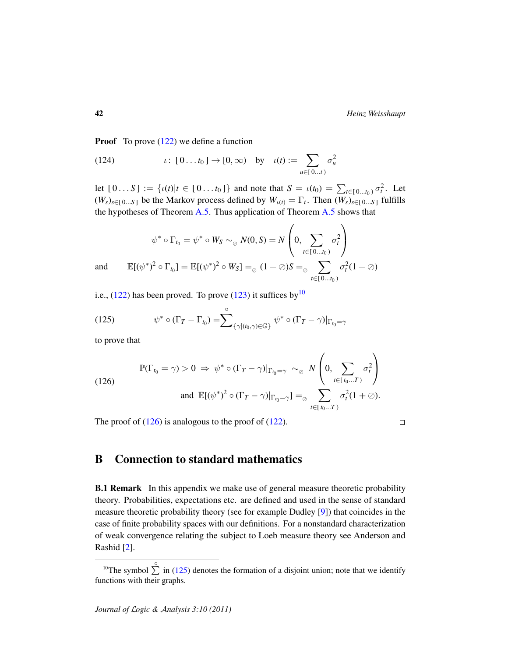**Proof** To prove  $(122)$  we define a function

(124) 
$$
\iota: [0...t_0] \to [0,\infty)
$$
 by  $\iota(t) := \sum_{u \in [0...t)} \sigma_u^2$ 

let  $[0...S] := \{ \iota(t) | t \in [0...t_0] \}$  and note that  $S = \iota(t_0) = \sum_{t \in [0...t_0)} \sigma_t^2$ . Let  $(W_s)_{s \in [0...S]}$  be the Markov process defined by  $W_{\iota(t)} = \Gamma_t$ . Then  $(W_s)_{s \in [0...S]}$  fulfills the hypotheses of Theorem [A.5.](#page-39-0) Thus application of Theorem [A.5](#page-39-0) shows that

$$
\psi^* \circ \Gamma_{t_0} = \psi^* \circ W_S \sim_{\oslash} N(0, S) = N \left( 0, \sum_{t \in [0...t_0)} \sigma_t^2 \right)
$$
  
and 
$$
\mathbb{E}[(\psi^*)^2 \circ \Gamma_{t_0}] = \mathbb{E}[(\psi^*)^2 \circ W_S] =_{\oslash} (1 + \oslash)S =_{\oslash} \sum_{t \in [0...t_0)} \sigma_t^2 (1 + \oslash)
$$

i.e.,  $(122)$  has been proved. To prove  $(123)$  it suffices by <sup>[10](#page-41-1)</sup>

<span id="page-41-3"></span>(125) 
$$
\psi^* \circ (\Gamma_T - \Gamma_{t_0}) = \sum_{\{\gamma \mid (t_0, \gamma) \in \mathbb{G}\}}^{\circ} \psi^* \circ (\Gamma_T - \gamma)|_{\Gamma_{t_0} = \gamma}
$$

to prove that

<span id="page-41-2"></span>(126) 
$$
\mathbb{P}(\Gamma_{t_0} = \gamma) > 0 \Rightarrow \psi^* \circ (\Gamma_T - \gamma)|_{\Gamma_{t_0} = \gamma} \sim_{\oslash} N\left(0, \sum_{t \in [t_0...T)} \sigma_t^2\right)
$$
  
and 
$$
\mathbb{E}[(\psi^*)^2 \circ (\Gamma_T - \gamma)|_{\Gamma_{t_0} = \gamma}] =_{\oslash} \sum_{t \in [t_0...T)} \sigma_t^2(1 + \oslash).
$$

The proof of  $(126)$  is analogous to the proof of  $(122)$ .

 $\Box$ 

## <span id="page-41-0"></span>B Connection to standard mathematics

**B.1 Remark** In this appendix we make use of general measure theoretic probability theory. Probabilities, expectations etc. are defined and used in the sense of standard measure theoretic probability theory (see for example Dudley [\[9\]](#page-45-14)) that coincides in the case of finite probability spaces with our definitions. For a nonstandard characterization of weak convergence relating the subject to Loeb measure theory see Anderson and Rashid [\[2\]](#page-44-7).

<span id="page-41-1"></span><sup>&</sup>lt;sup>10</sup>The symbol  $\sum_{n=1}^{\infty}$  in [\(125\)](#page-41-3) denotes the formation of a disjoint union; note that we identify functions with their graphs.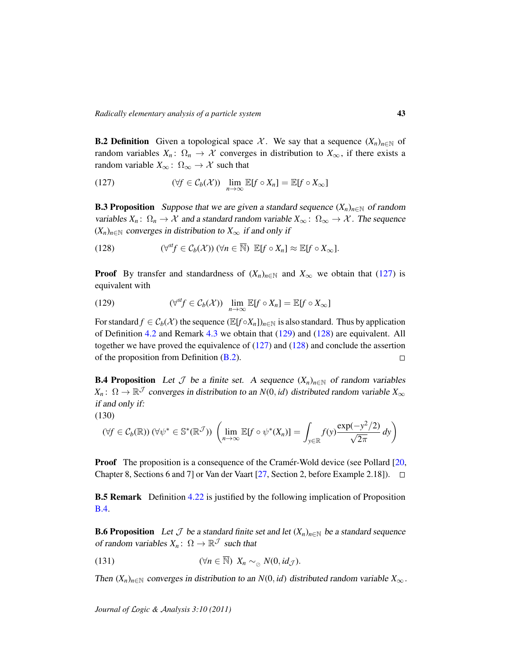<span id="page-42-2"></span>**B.2 Definition** Given a topological space X. We say that a sequence  $(X_n)_{n \in \mathbb{N}}$  of random variables  $X_n: \Omega_n \to \mathcal{X}$  converges in distribution to  $X_\infty$ , if there exists a random variable  $X_{\infty}$ :  $\Omega_{\infty} \to \mathcal{X}$  such that

<span id="page-42-3"></span>(127) 
$$
(\forall f \in C_b(\mathcal{X})) \quad \lim_{n \to \infty} \mathbb{E}[f \circ X_n] = \mathbb{E}[f \circ X_{\infty}]
$$

**B.3 Proposition** Suppose that we are given a standard sequence  $(X_n)_{n\in\mathbb{N}}$  of random variables  $X_n: \Omega_n \to \mathcal{X}$  and a standard random variable  $X_\infty: \Omega_\infty \to \mathcal{X}$ . The sequence  $(X_n)_{n \in \mathbb{N}}$  converges in distribution to  $X_\infty$  if and only if

<span id="page-42-5"></span>(128) 
$$
(\forall^{\mathit{sf}} \in C_b(\mathcal{X})) \ (\forall n \in \overline{\mathbb{N}}) \ \mathbb{E}[f \circ X_n] \approx \mathbb{E}[f \circ X_{\infty}].
$$

**Proof** By transfer and standardness of  $(X_n)_{n \in \mathbb{N}}$  and  $X_\infty$  we obtain that [\(127\)](#page-42-3) is equivalent with

<span id="page-42-4"></span>(129) 
$$
(\forall^{st} f \in C_b(\mathcal{X})) \quad \lim_{n \to \infty} \mathbb{E}[f \circ X_n] = \mathbb{E}[f \circ X_{\infty}]
$$

For standard  $f \in C_b(\mathcal{X})$  the sequence  $(\mathbb{E}[f \circ X_n])_{n \in \mathbb{N}}$  is also standard. Thus by application of Definition [4.2](#page-12-3) and Remark [4.3](#page-12-0) we obtain that [\(129\)](#page-42-4) and [\(128\)](#page-42-5) are equivalent. All together we have proved the equivalence of  $(127)$  and  $(128)$  and conclude the assertion of the proposition from Definition [\(B.2\)](#page-42-2).  $\Box$ 

<span id="page-42-0"></span>**B.4 Proposition** Let  $\mathcal J$  be a finite set. A sequence  $(X_n)_{n \in \mathbb N}$  of random variables  $X_n$ :  $\Omega \to \mathbb{R}^{\mathcal{J}}$  converges in distribution to an *N*(0, *id*) distributed random variable  $X_{\infty}$ if and only if:

$$
(130)
$$

<span id="page-42-7"></span>
$$
(\forall f \in C_b(\mathbb{R})) \ (\forall \psi^* \in \mathbb{S}^*(\mathbb{R}^{\mathcal{J}})) \ \left( \lim_{n \to \infty} \mathbb{E}[f \circ \psi^*(X_n)] = \int_{y \in \mathbb{R}} f(y) \frac{\exp(-y^2/2)}{\sqrt{2\pi}} \, dy \right)
$$

**Proof** The proposition is a consequence of the Cramer-Wold device (see Pollard [[20,](#page-45-16) Chapter 8, Sections 6 and 7] or Van der Vaart  $[27,$  Section 2, before Example 2.18]).  $\square$ 

**B.5 Remark** Definition [4.22](#page-16-0) is justified by the following implication of Proposition [B.4.](#page-42-0)

<span id="page-42-1"></span>**B.6 Proposition** Let  $\mathcal J$  be a standard finite set and let  $(X_n)_{n\in\mathbb N}$  be a standard sequence of random variables  $X_n: \Omega \to \mathbb{R}^{\mathcal{J}}$  such that

<span id="page-42-6"></span>(131) 
$$
(\forall n \in \overline{\mathbb{N}}) \; X_n \sim_{\oslash} N(0, id_{\mathcal{J}}).
$$

Then  $(X_n)_{n \in \mathbb{N}}$  converges in distribution to an  $N(0, id)$  distributed random variable  $X_\infty$ .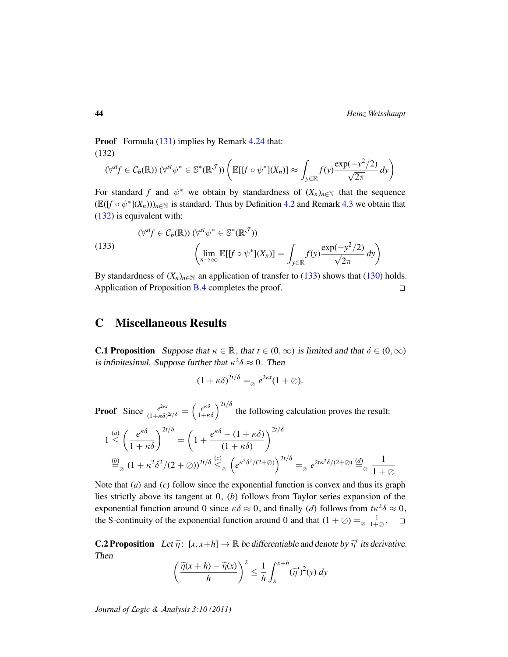Proof Formula [\(131\)](#page-42-6) implies by Remark [4.24](#page-16-3) that: (132)

<span id="page-43-3"></span>
$$
(\forall^{st} f \in C_b(\mathbb{R})) (\forall^{st} \psi^* \in \mathbb{S}^*(\mathbb{R}^{\mathcal{J}})) \left( \mathbb{E}[[f \circ \psi^*](X_n)] \approx \int_{y \in \mathbb{R}} f(y) \frac{\exp(-y^2/2)}{\sqrt{2\pi}} dy \right)
$$

For standard f and  $\psi^*$  we obtain by standardness of  $(X_n)_{n \in \mathbb{N}}$  that the sequence  $(\mathbb{E}([f \circ \psi^*](X_n)))_{n \in \mathbb{N}}$  is standard. Thus by Definition [4.2](#page-12-3) and Remark [4.3](#page-12-0) we obtain that [\(132\)](#page-43-3) is equivalent with:

<span id="page-43-4"></span>(133)  
\n
$$
(\forall^{st} f \in C_b(\mathbb{R})) (\forall^{st} \psi^* \in \mathbb{S}^*(\mathbb{R}^{\mathcal{J}}))
$$
\n
$$
\left(\lim_{n \to \infty} \mathbb{E}[[f \circ \psi^*](X_n)] = \int_{y \in \mathbb{R}} f(y) \frac{\exp(-y^2/2)}{\sqrt{2\pi}} dy\right)
$$

By standardness of  $(X_n)_{n \in \mathbb{N}}$  an application of transfer to [\(133\)](#page-43-4) shows that [\(130\)](#page-42-7) holds. Application of Proposition [B.4](#page-42-0) completes the proof.  $\Box$ 

### <span id="page-43-0"></span>C Miscellaneous Results

<span id="page-43-2"></span>**C.1 Proposition** Suppose that  $\kappa \in \mathbb{R}$ , that  $t \in (0, \infty)$  is limited and that  $\delta \in (0, \infty)$ is infinitesimal. Suppose further that  $\kappa^2 \delta \approx 0$ . Then

$$
(1+\kappa\delta)^{2t/\delta} =_{\varnothing} e^{2\kappa t} (1+\varnothing).
$$

**Proof** Since  $\frac{e^{2\kappa t}}{(1+\kappa\delta)}$  $\frac{e^{2\kappa t}}{(1+\kappa\delta)^{2t/\delta}} = \left(\frac{e^{\kappa\delta}}{1+\kappa\delta}\right)^{2t/\delta}$  the following calculation proves the result:

$$
1 \stackrel{(a)}{\leq} \left(\frac{e^{\kappa \delta}}{1 + \kappa \delta}\right)^{2t/\delta} = \left(1 + \frac{e^{\kappa \delta} - (1 + \kappa \delta)}{(1 + \kappa \delta)}\right)^{2t/\delta}
$$
  

$$
\stackrel{(b)}{=} \frac{(1 + \kappa^2 \delta^2 / (2 + \emptyset))^{2t/\delta}}{\leq} \left(e^{\kappa^2 \delta^2 / (2 + \emptyset)}\right)^{2t/\delta} = e^{2t\kappa^2 \delta / (2 + \emptyset)} \stackrel{(d)}{=} \frac{1}{1 + \emptyset}
$$

Note that (*a*) and (*c*) follow since the exponential function is convex and thus its graph lies strictly above its tangent at 0, (*b*) follows from Taylor series expansion of the exponential function around 0 since  $\kappa \delta \approx 0$ , and finally (*d*) follows from  $t \kappa^2 \delta \approx 0$ , the S-continuity of the exponential function around 0 and that  $(1 + \oslash) =_{\oslash} \frac{1}{1 + \oslash}$ .

<span id="page-43-1"></span>**C.2 Proposition** Let  $\widetilde{\eta}$ :  $[x, x+h] \to \mathbb{R}$  be differentiable and denote by  $\widetilde{\eta}'$  its derivative. Then

$$
\left(\frac{\widetilde{\eta}(x+h)-\widetilde{\eta}(x)}{h}\right)^2 \leq \frac{1}{h} \int_x^{x+h} (\widetilde{\eta}')^2(y) \, dy
$$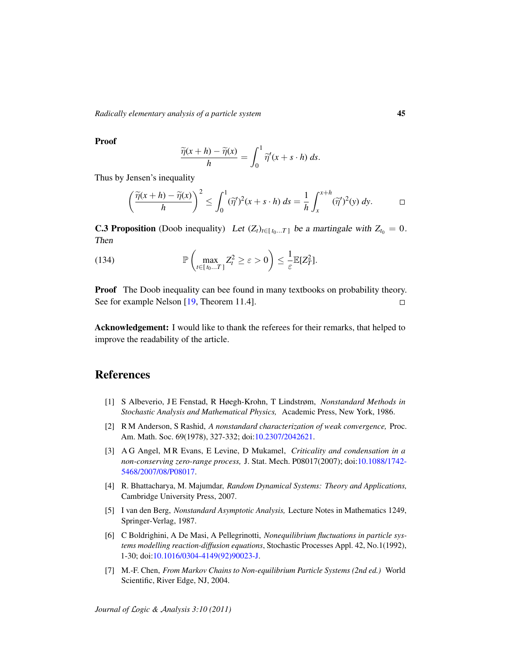*Radically elementary analysis of a particle system* 45

Proof

$$
\frac{\widetilde{\eta}(x+h)-\widetilde{\eta}(x)}{h}=\int_0^1\widetilde{\eta}'(x+s\cdot h)\,ds.
$$

Thus by Jensen's inequality

$$
\left(\frac{\widetilde{\eta}(x+h)-\widetilde{\eta}(x)}{h}\right)^2 \leq \int_0^1 (\widetilde{\eta}')^2(x+s\cdot h)\,ds = \frac{1}{h}\int_x^{x+h} (\widetilde{\eta}')^2(y)\,dy. \qquad \Box
$$

<span id="page-44-2"></span>**C.3 Proposition** (Doob inequality) Let  $(Z_t)_{t \in [t_0...T]}$  be a martingale with  $Z_{t_0} = 0$ . Then

(134) 
$$
\mathbb{P}\left(\max_{t\in[t_0...T]}Z_t^2\geq\varepsilon>0\right)\leq\frac{1}{\varepsilon}\mathbb{E}[Z_T^2].
$$

**Proof** The Doob inequality can bee found in many textbooks on probability theory. See for example Nelson [\[19,](#page-45-11) Theorem 11.4].  $\Box$ 

Acknowledgement: I would like to thank the referees for their remarks, that helped to improve the readability of the article.

## References

- <span id="page-44-0"></span>[1] S Albeverio, J E Fenstad, R Høegh-Krohn, T Lindstrøm, *Nonstandard Methods in Stochastic Analysis and Mathematical Physics,* Academic Press, New York, 1986.
- <span id="page-44-7"></span>[2] R M Anderson, S Rashid, *A nonstandard characterization of weak convergence,* Proc. Am. Math. Soc. 69(1978), 327-332; doi[:10.2307/2042621.](http://dx.doi.org/10.2307/2042621)
- <span id="page-44-5"></span>[3] A G Angel, M R Evans, E Levine, D Mukamel, *Criticality and condensation in a non-conserving zero-range process,* J. Stat. Mech. P08017(2007); doi[:10.1088/1742-](http://dx.doi.org/10.1088/1742-5468/2007/08/P08017) [5468/2007/08/P08017.](http://dx.doi.org/10.1088/1742-5468/2007/08/P08017)
- <span id="page-44-3"></span>[4] R. Bhattacharya, M. Majumdar, *Random Dynamical Systems: Theory and Applications,* Cambridge University Press, 2007.
- <span id="page-44-6"></span>[5] I van den Berg, *Nonstandard Asymptotic Analysis,* Lecture Notes in Mathematics 1249, Springer-Verlag, 1987.
- <span id="page-44-4"></span>[6] C Boldrighini, A De Masi, A Pellegrinotti, *Nonequilibrium fluctuations in particle systems modelling reaction-diffusion equations*, Stochastic Processes Appl. 42, No.1(1992), 1-30; doi[:10.1016/0304-4149\(92\)90023-J.](http://dx.doi.org/10.1016/0304-4149(92)90023-J)
- <span id="page-44-1"></span>[7] M.-F. Chen, *From Markov Chains to Non-equilibrium Particle Systems (2nd ed.)* World Scientific, River Edge, NJ, 2004.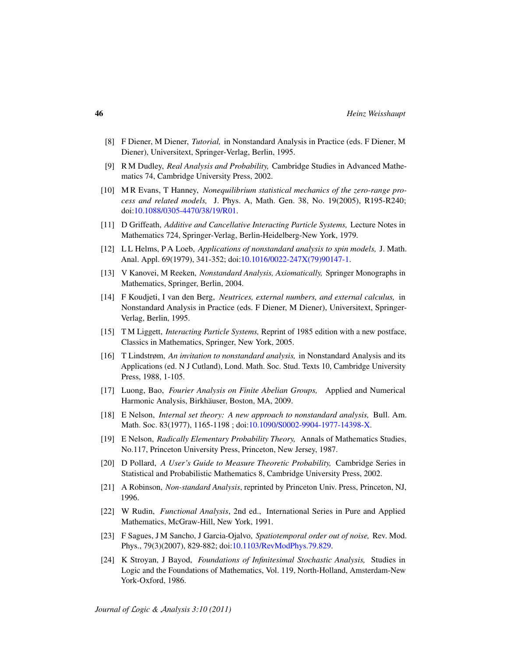- <span id="page-45-6"></span>[8] F Diener, M Diener, *Tutorial,* in Nonstandard Analysis in Practice (eds. F Diener, M Diener), Universitext, Springer-Verlag, Berlin, 1995.
- <span id="page-45-14"></span>[9] R M Dudley, *Real Analysis and Probability,* Cambridge Studies in Advanced Mathematics 74, Cambridge University Press, 2002.
- <span id="page-45-3"></span>[10] M R Evans, T Hanney, *Nonequilibrium statistical mechanics of the zero-range process and related models,* J. Phys. A, Math. Gen. 38, No. 19(2005), R195-R240; doi[:10.1088/0305-4470/38/19/R01.](http://dx.doi.org/10.1088/0305-4470/38/19/R01)
- <span id="page-45-0"></span>[11] D Griffeath, *Additive and Cancellative Interacting Particle Systems,* Lecture Notes in Mathematics 724, Springer-Verlag, Berlin-Heidelberg-New York, 1979.
- <span id="page-45-2"></span>[12] L L Helms, P A Loeb, *Applications of nonstandard analysis to spin models,* J. Math. Anal. Appl. 69(1979), 341-352; doi[:10.1016/0022-247X\(79\)90147-1.](http://dx.doi.org/10.1016/0022-247X(79)90147-1)
- <span id="page-45-7"></span>[13] V Kanovei, M Reeken, *Nonstandard Analysis, Axiomatically,* Springer Monographs in Mathematics, Springer, Berlin, 2004.
- <span id="page-45-12"></span>[14] F Koudjeti, I van den Berg, *Neutrices, external numbers, and external calculus,* in Nonstandard Analysis in Practice (eds. F Diener, M Diener), Universitext, Springer-Verlag, Berlin, 1995.
- <span id="page-45-1"></span>[15] T M Liggett, *Interacting Particle Systems,* Reprint of 1985 edition with a new postface, Classics in Mathematics, Springer, New York, 2005.
- <span id="page-45-10"></span>[16] T Lindstrøm, *An invitation to nonstandard analysis,* in Nonstandard Analysis and its Applications (ed. N J Cutland), Lond. Math. Soc. Stud. Texts 10, Cambridge University Press, 1988, 1-105.
- <span id="page-45-13"></span>[17] Luong, Bao, *Fourier Analysis on Finite Abelian Groups,* Applied and Numerical Harmonic Analysis, Birkhäuser, Boston, MA, 2009.
- <span id="page-45-5"></span>[18] E Nelson, *Internal set theory: A new approach to nonstandard analysis,* Bull. Am. Math. Soc. 83(1977), 1165-1198 ; doi[:10.1090/S0002-9904-1977-14398-X.](http://dx.doi.org/10.1090/S0002-9904-1977-14398-X)
- <span id="page-45-11"></span>[19] E Nelson, *Radically Elementary Probability Theory,* Annals of Mathematics Studies, No.117, Princeton University Press, Princeton, New Jersey, 1987.
- <span id="page-45-16"></span>[20] D Pollard, *A User's Guide to Measure Theoretic Probability,* Cambridge Series in Statistical and Probabilistic Mathematics 8, Cambridge University Press, 2002.
- <span id="page-45-8"></span>[21] A Robinson, *Non-standard Analysis*, reprinted by Princeton Univ. Press, Princeton, NJ, 1996.
- <span id="page-45-15"></span>[22] W Rudin, *Functional Analysis*, 2nd ed., International Series in Pure and Applied Mathematics, McGraw-Hill, New York, 1991.
- <span id="page-45-4"></span>[23] F Sagues, J M Sancho, J Garcia-Ojalvo, *Spatiotemporal order out of noise,* Rev. Mod. Phys., 79(3)(2007), 829-882; doi[:10.1103/RevModPhys.79.829.](http://dx.doi.org/10.1103/RevModPhys.79.829)
- <span id="page-45-9"></span>[24] K Stroyan, J Bayod, *Foundations of Infinitesimal Stochastic Analysis,* Studies in Logic and the Foundations of Mathematics, Vol. 119, North-Holland, Amsterdam-New York-Oxford, 1986.